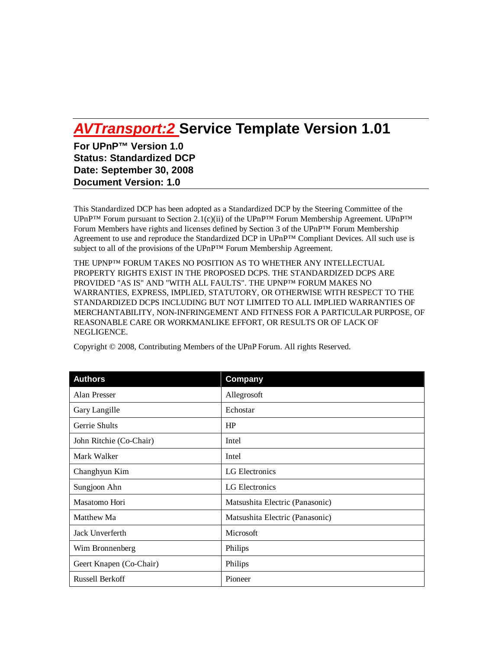# *AVTransport:2* **Service Template Version 1.01**

**For UPnP™ Version 1.0 Status: Standardized DCP Date: September 30, 2008 Document Version: 1.0**

This Standardized DCP has been adopted as a Standardized DCP by the Steering Committee of the UPnP<sup>™</sup> Forum pursuant to Section 2.1(c)(ii) of the UPnP<sup>™</sup> Forum Membership Agreement. UPnP<sup>™</sup> Forum Members have rights and licenses defined by Section 3 of the UPnP™ Forum Membership Agreement to use and reproduce the Standardized DCP in UPnP™ Compliant Devices. All such use is subject to all of the provisions of the UPnP™ Forum Membership Agreement.

THE UPNP™ FORUM TAKES NO POSITION AS TO WHETHER ANY INTELLECTUAL PROPERTY RIGHTS EXIST IN THE PROPOSED DCPS. THE STANDARDIZED DCPS ARE PROVIDED "AS IS" AND "WITH ALL FAULTS". THE UPNP™ FORUM MAKES NO WARRANTIES, EXPRESS, IMPLIED, STATUTORY, OR OTHERWISE WITH RESPECT TO THE STANDARDIZED DCPS INCLUDING BUT NOT LIMITED TO ALL IMPLIED WARRANTIES OF MERCHANTABILITY, NON-INFRINGEMENT AND FITNESS FOR A PARTICULAR PURPOSE, OF REASONABLE CARE OR WORKMANLIKE EFFORT, OR RESULTS OR OF LACK OF NEGLIGENCE.

| <b>Authors</b>          | Company                         |
|-------------------------|---------------------------------|
| Alan Presser            | Allegrosoft                     |
| Gary Langille           | Echostar                        |
| Gerrie Shults           | HP                              |
| John Ritchie (Co-Chair) | Intel                           |
| Mark Walker             | Intel                           |
| Changhyun Kim           | LG Electronics                  |
| Sungjoon Ahn            | LG Electronics                  |
| Masatomo Hori           | Matsushita Electric (Panasonic) |
| Matthew Ma              | Matsushita Electric (Panasonic) |
| Jack Unverferth         | Microsoft                       |
| Wim Bronnenberg         | Philips                         |
| Geert Knapen (Co-Chair) | Philips                         |
| <b>Russell Berkoff</b>  | Pioneer                         |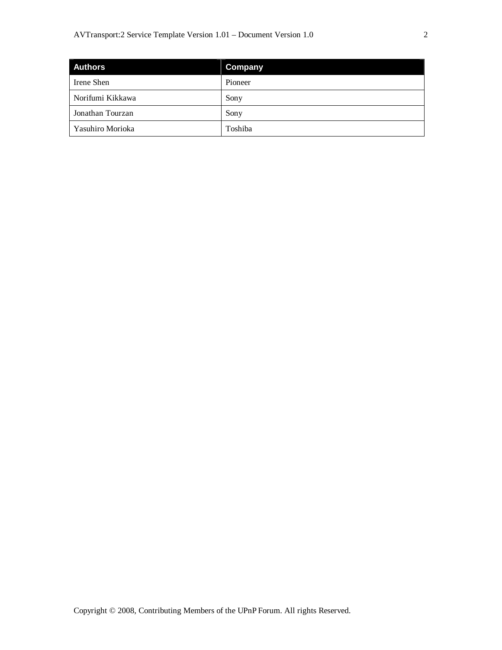| <b>Authors</b>   | <b>Company</b> |
|------------------|----------------|
| Irene Shen       | Pioneer        |
| Norifumi Kikkawa | Sony           |
| Jonathan Tourzan | Sony           |
| Yasuhiro Morioka | Toshiba        |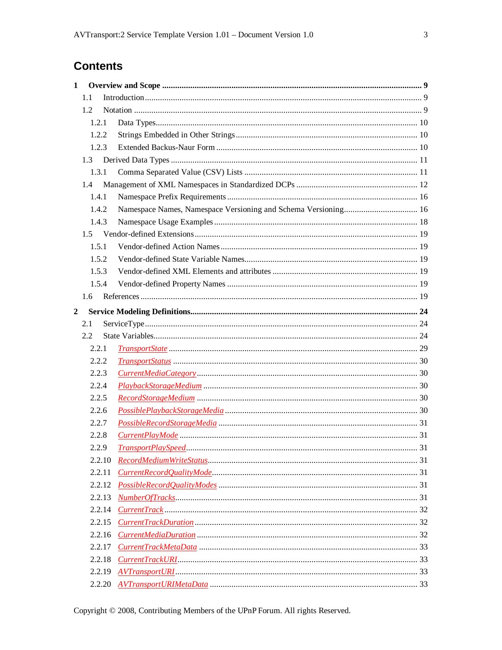# **Contents**

| $\mathbf{1}$   |               |  |
|----------------|---------------|--|
|                | 1.1           |  |
|                | 1.2           |  |
|                | 1.2.1         |  |
|                | 1.2.2         |  |
|                | 1.2.3         |  |
|                | $1.3 -$       |  |
|                | 1.3.1         |  |
|                | 1.4           |  |
|                | 1.4.1         |  |
|                | 1.4.2         |  |
|                | 1.4.3         |  |
|                |               |  |
|                | 1.5.1         |  |
|                | 1.5.2         |  |
|                | 1.5.3         |  |
|                | 1.5.4         |  |
|                | $1.6^{\circ}$ |  |
| $\overline{2}$ |               |  |
|                | 2.1           |  |
|                | 2.2           |  |
|                | 2.2.1         |  |
|                | 2.2.2         |  |
|                | 2.2.3         |  |
|                | 2.2.4         |  |
|                | 2.2.5         |  |
|                | 2.2.6         |  |
|                | 2.2.7         |  |
|                | 2.2.8         |  |
|                | 2.2.9         |  |
|                | 2.2.10        |  |
|                | 2.2.11        |  |
|                | 2.2.12        |  |
|                | 2.2.13        |  |
|                | 2.2.14        |  |
|                | 2.2.15        |  |
|                | 2.2.16        |  |
|                | 2.2.17        |  |
|                | 2.2.18        |  |
|                | 2.2.19        |  |
|                |               |  |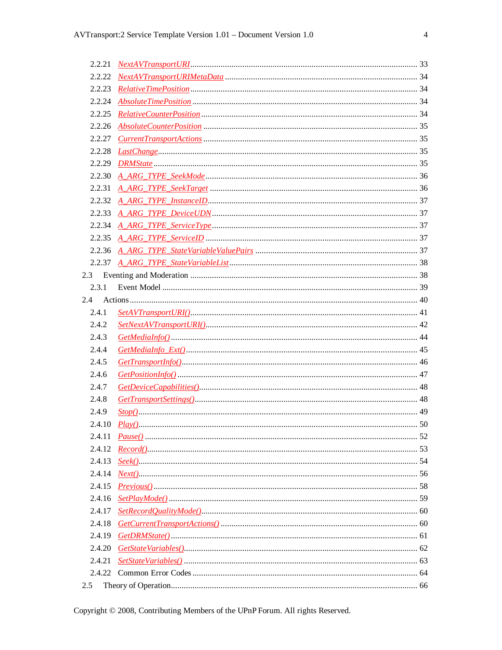| 2.2.23 |                                   |  |
|--------|-----------------------------------|--|
|        |                                   |  |
|        |                                   |  |
|        |                                   |  |
|        |                                   |  |
|        |                                   |  |
|        |                                   |  |
|        |                                   |  |
|        |                                   |  |
|        |                                   |  |
|        |                                   |  |
|        |                                   |  |
|        |                                   |  |
|        |                                   |  |
|        |                                   |  |
| 2.3    |                                   |  |
| 2.3.1  |                                   |  |
| 2.4    |                                   |  |
| 2.4.1  | $Set AVTransport URI( ) \dots 41$ |  |
| 2.4.2  |                                   |  |
| 2.4.3  |                                   |  |
| 2.4.4  |                                   |  |
| 2.4.5  |                                   |  |
| 2.4.6  |                                   |  |
| 2.4.7  |                                   |  |
| 2.4.8  |                                   |  |
| 2.4.9  |                                   |  |
| 2.4.10 |                                   |  |
| 2.4.11 |                                   |  |
| 2.4.12 |                                   |  |
|        |                                   |  |
|        |                                   |  |
|        |                                   |  |
|        |                                   |  |
| 2.4.17 |                                   |  |
|        |                                   |  |
|        |                                   |  |
|        |                                   |  |
| 2.4.21 |                                   |  |
|        |                                   |  |
| 2.5    |                                   |  |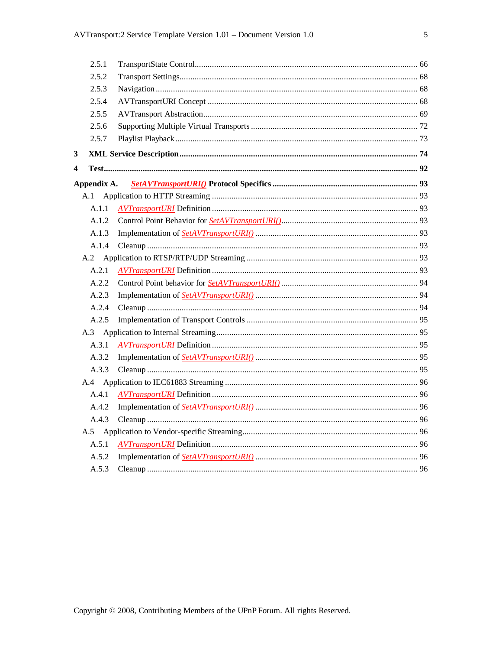| 2.5.1       |  |
|-------------|--|
| 2.5.2       |  |
| 2.5.3       |  |
| 2.5.4       |  |
| 2.5.5       |  |
| 2.5.6       |  |
| 2.5.7       |  |
| 3           |  |
| 4           |  |
| Appendix A. |  |
| A.1         |  |
| A.1.1       |  |
| A.1.2       |  |
| A.1.3       |  |
| A.1.4       |  |
|             |  |
| A.2.1       |  |
| A.2.2       |  |
| A.2.3       |  |
| A.2.4       |  |
| A.2.5       |  |
|             |  |
| A.3.1       |  |
| A.3.2       |  |
| A.3.3       |  |
|             |  |
| A.4.1       |  |
| A.4.2       |  |
| A.4.3       |  |
|             |  |
| A.5.1       |  |
| A.5.2       |  |
| A.5.3       |  |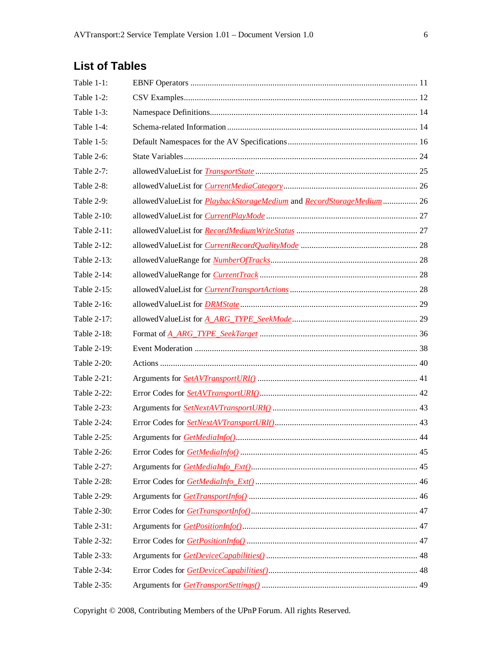# **List of Tables**

| Table 1-1:    |                                                                                     |  |
|---------------|-------------------------------------------------------------------------------------|--|
| Table 1-2:    |                                                                                     |  |
| Table $1-3$ : |                                                                                     |  |
| Table 1-4:    |                                                                                     |  |
| Table $1-5$ : |                                                                                     |  |
| Table 2-6:    |                                                                                     |  |
| Table 2-7:    |                                                                                     |  |
| Table 2-8:    |                                                                                     |  |
| Table $2-9$ : | allowedValueList for <i>PlaybackStorageMedium</i> and <i>RecordStorageMedium</i> 26 |  |
| Table 2-10:   |                                                                                     |  |
| Table 2-11:   |                                                                                     |  |
| Table 2-12:   |                                                                                     |  |
| Table 2-13:   |                                                                                     |  |
| Table 2-14:   |                                                                                     |  |
| Table 2-15:   |                                                                                     |  |
| Table 2-16:   |                                                                                     |  |
| Table 2-17:   |                                                                                     |  |
| Table 2-18:   |                                                                                     |  |
| Table 2-19:   |                                                                                     |  |
| Table 2-20:   |                                                                                     |  |
| Table 2-21:   |                                                                                     |  |
| Table 2-22:   |                                                                                     |  |
| Table 2-23:   |                                                                                     |  |
| Table 2-24:   |                                                                                     |  |
| Table 2-25:   |                                                                                     |  |
| Table 2-26:   |                                                                                     |  |
| Table 2-27:   |                                                                                     |  |
| Table 2-28:   |                                                                                     |  |
| Table 2-29:   |                                                                                     |  |
| Table 2-30:   |                                                                                     |  |
| Table 2-31:   |                                                                                     |  |
| Table 2-32:   |                                                                                     |  |
| Table 2-33:   |                                                                                     |  |
| Table 2-34:   |                                                                                     |  |
| Table 2-35:   |                                                                                     |  |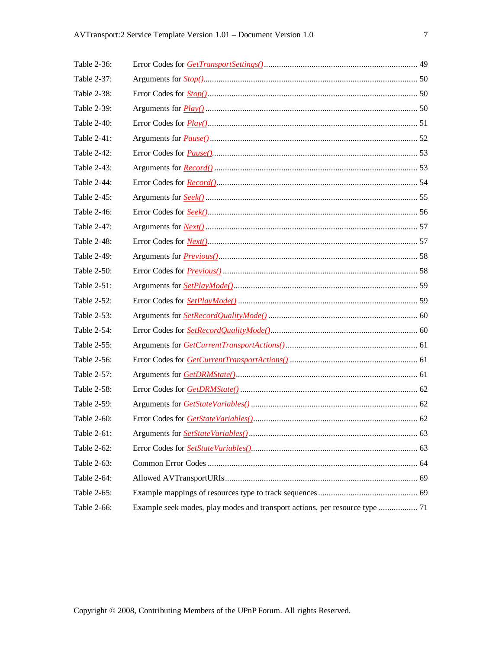| Table 2-36: |                                                                                                                                                                                                                                                                                                                                                                                                            |  |
|-------------|------------------------------------------------------------------------------------------------------------------------------------------------------------------------------------------------------------------------------------------------------------------------------------------------------------------------------------------------------------------------------------------------------------|--|
| Table 2-37: |                                                                                                                                                                                                                                                                                                                                                                                                            |  |
| Table 2-38: |                                                                                                                                                                                                                                                                                                                                                                                                            |  |
| Table 2-39: |                                                                                                                                                                                                                                                                                                                                                                                                            |  |
| Table 2-40: | Error Codes for $\frac{Plav}{(l_1, \ldots, l_n, \ldots, l_n, \ldots, l_n, \ldots, l_n, \ldots, l_n, \ldots, l_n, \ldots, l_n, \ldots, l_n, \ldots, l_n, \ldots, l_n, \ldots, l_n, \ldots, l_n, \ldots, l_n, \ldots, l_n, \ldots, l_n, \ldots, l_n, \ldots, l_n, \ldots, l_n, \ldots, l_n, \ldots, l_n, \ldots, l_n, \ldots, l_n, \ldots, l_n, \ldots, l_n, \ldots, l_n, \ldots, l_n, \ldots, l_n, \ldots,$ |  |
| Table 2-41: |                                                                                                                                                                                                                                                                                                                                                                                                            |  |
| Table 2-42: |                                                                                                                                                                                                                                                                                                                                                                                                            |  |
| Table 2-43: |                                                                                                                                                                                                                                                                                                                                                                                                            |  |
| Table 2-44: |                                                                                                                                                                                                                                                                                                                                                                                                            |  |
| Table 2-45: |                                                                                                                                                                                                                                                                                                                                                                                                            |  |
| Table 2-46: |                                                                                                                                                                                                                                                                                                                                                                                                            |  |
| Table 2-47: |                                                                                                                                                                                                                                                                                                                                                                                                            |  |
| Table 2-48: |                                                                                                                                                                                                                                                                                                                                                                                                            |  |
| Table 2-49: |                                                                                                                                                                                                                                                                                                                                                                                                            |  |
| Table 2-50: |                                                                                                                                                                                                                                                                                                                                                                                                            |  |
| Table 2-51: |                                                                                                                                                                                                                                                                                                                                                                                                            |  |
| Table 2-52: |                                                                                                                                                                                                                                                                                                                                                                                                            |  |
| Table 2-53: |                                                                                                                                                                                                                                                                                                                                                                                                            |  |
| Table 2-54: |                                                                                                                                                                                                                                                                                                                                                                                                            |  |
| Table 2-55: |                                                                                                                                                                                                                                                                                                                                                                                                            |  |
| Table 2-56: |                                                                                                                                                                                                                                                                                                                                                                                                            |  |
| Table 2-57: |                                                                                                                                                                                                                                                                                                                                                                                                            |  |
| Table 2-58: |                                                                                                                                                                                                                                                                                                                                                                                                            |  |
| Table 2-59: |                                                                                                                                                                                                                                                                                                                                                                                                            |  |
| Table 2-60: |                                                                                                                                                                                                                                                                                                                                                                                                            |  |
| Table 2-61: |                                                                                                                                                                                                                                                                                                                                                                                                            |  |
| Table 2-62: |                                                                                                                                                                                                                                                                                                                                                                                                            |  |
| Table 2-63: |                                                                                                                                                                                                                                                                                                                                                                                                            |  |
| Table 2-64: |                                                                                                                                                                                                                                                                                                                                                                                                            |  |
| Table 2-65: |                                                                                                                                                                                                                                                                                                                                                                                                            |  |
| Table 2-66: | Example seek modes, play modes and transport actions, per resource type  71                                                                                                                                                                                                                                                                                                                                |  |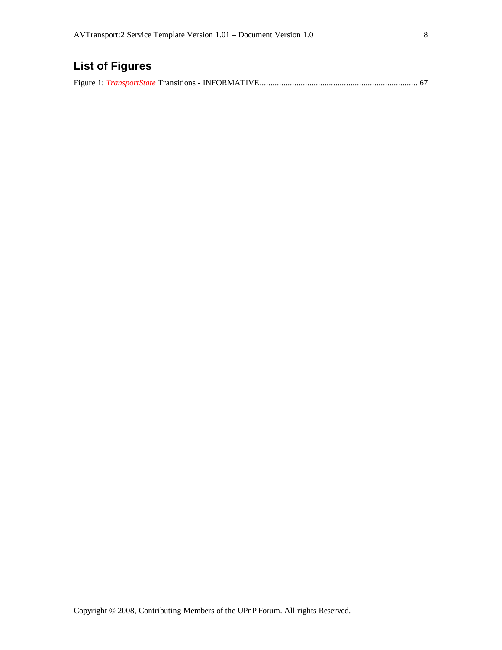# **List of Figures**

Figure 1: *TransportState* Transitions - INFORMATIVE......................................................................... 67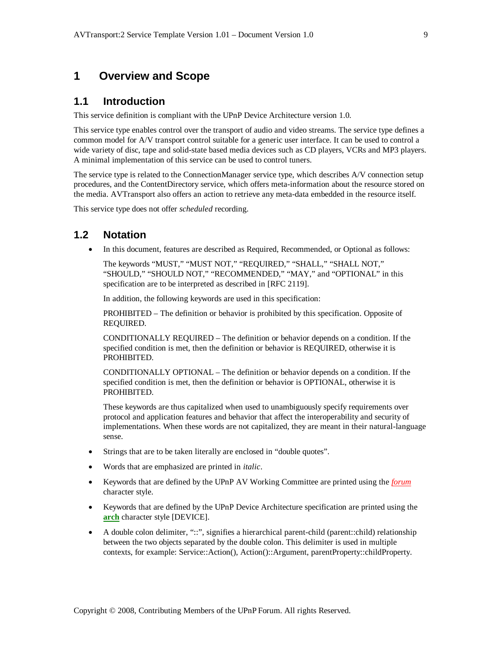## **1 Overview and Scope**

#### **1.1 Introduction**

This service definition is compliant with the UPnP Device Architecture version 1.0*.*

This service type enables control over the transport of audio and video streams. The service type defines a common model for A/V transport control suitable for a generic user interface. It can be used to control a wide variety of disc, tape and solid-state based media devices such as CD players, VCRs and MP3 players. A minimal implementation of this service can be used to control tuners.

The service type is related to the ConnectionManager service type, which describes A/V connection setup procedures, and the ContentDirectory service, which offers meta-information about the resource stored on the media. AVTransport also offers an action to retrieve any meta-data embedded in the resource itself.

This service type does not offer *scheduled* recording.

#### **1.2 Notation**

In this document, features are described as Required, Recommended, or Optional as follows:

The keywords "MUST," "MUST NOT," "REQUIRED," "SHALL," "SHALL NOT," "SHOULD," "SHOULD NOT," "RECOMMENDED," "MAY," and "OPTIONAL" in this specification are to be interpreted as described in [RFC 2119].

In addition, the following keywords are used in this specification:

PROHIBITED – The definition or behavior is prohibited by this specification. Opposite of REQUIRED.

CONDITIONALLY REQUIRED – The definition or behavior depends on a condition. If the specified condition is met, then the definition or behavior is REQUIRED, otherwise it is PROHIBITED.

CONDITIONALLY OPTIONAL – The definition or behavior depends on a condition. If the specified condition is met, then the definition or behavior is OPTIONAL, otherwise it is PROHIBITED.

These keywords are thus capitalized when used to unambiguously specify requirements over protocol and application features and behavior that affect the interoperability and security of implementations. When these words are not capitalized, they are meant in their natural-language sense.

- Strings that are to be taken literally are enclosed in "double quotes".
- Words that are emphasized are printed in *italic*.
- Keywords that are defined by the UPnP AV Working Committee are printed using the *forum* character style.
- Keywords that are defined by the UPnP Device Architecture specification are printed using the **arch** character style [DEVICE].
- A double colon delimiter, "::", signifies a hierarchical parent-child (parent::child) relationship between the two objects separated by the double colon. This delimiter is used in multiple contexts, for example: Service::Action(), Action()::Argument, parentProperty::childProperty.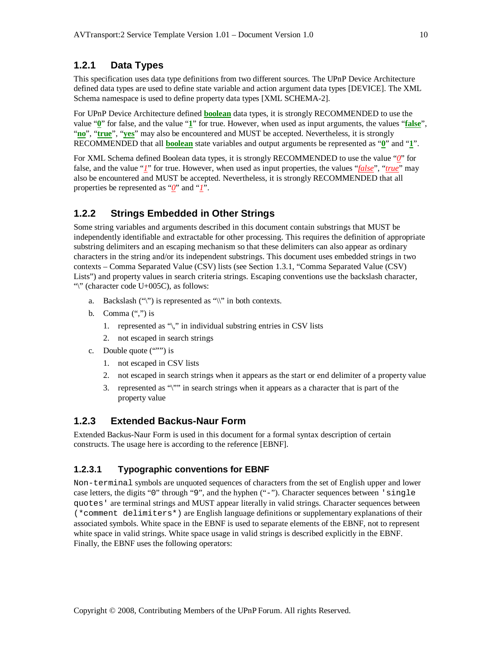#### **1.2.1 Data Types**

This specification uses data type definitions from two different sources. The UPnP Device Architecture defined data types are used to define state variable and action argument data types [DEVICE]. The XML Schema namespace is used to define property data types [XML SCHEMA-2].

For UPnP Device Architecture defined **boolean** data types, it is strongly RECOMMENDED to use the value "**0**" for false, and the value "**1**" for true. However, when used as input arguments, the values "**false**", "**no**", "**true**", "**yes**" may also be encountered and MUST be accepted. Nevertheless, it is strongly RECOMMENDED that all **boolean** state variables and output arguments be represented as "**0**" and "**1**".

For XML Schema defined Boolean data types, it is strongly RECOMMENDED to use the value "*0*" for false, and the value "*1*" for true. However, when used as input properties, the values "*false*", "*true*" may also be encountered and MUST be accepted. Nevertheless, it is strongly RECOMMENDED that all properties be represented as "*0*" and "*1*".

#### **1.2.2 Strings Embedded in Other Strings**

Some string variables and arguments described in this document contain substrings that MUST be independently identifiable and extractable for other processing. This requires the definition of appropriate substring delimiters and an escaping mechanism so that these delimiters can also appear as ordinary characters in the string and/or its independent substrings. This document uses embedded strings in two contexts – Comma Separated Value (CSV) lists (see Section 1.3.1, "Comma Separated Value (CSV) Lists") and property values in search criteria strings. Escaping conventions use the backslash character, "\" (character code U+005C), as follows:

- a. Backslash  $("\\")$  is represented as " $\\"$  in both contexts.
- b. Comma  $(\lq\lq, \lq)$  is
	- 1. represented as "\," in individual substring entries in CSV lists
	- 2. not escaped in search strings
- c. Double quote (""") is
	- 1. not escaped in CSV lists
	- 2. not escaped in search strings when it appears as the start or end delimiter of a property value
	- 3. represented as "\"" in search strings when it appears as a character that is part of the property value

#### **1.2.3 Extended Backus-Naur Form**

Extended Backus-Naur Form is used in this document for a formal syntax description of certain constructs. The usage here is according to the reference [EBNF].

#### **1.2.3.1 Typographic conventions for EBNF**

Non-terminal symbols are unquoted sequences of characters from the set of English upper and lower case letters, the digits "0" through "9", and the hyphen ("-"). Character sequences between 'single quotes' are terminal strings and MUST appear literally in valid strings. Character sequences between (\*comment delimiters\*) are English language definitions or supplementary explanations of their associated symbols. White space in the EBNF is used to separate elements of the EBNF, not to represent white space in valid strings. White space usage in valid strings is described explicitly in the EBNF. Finally, the EBNF uses the following operators: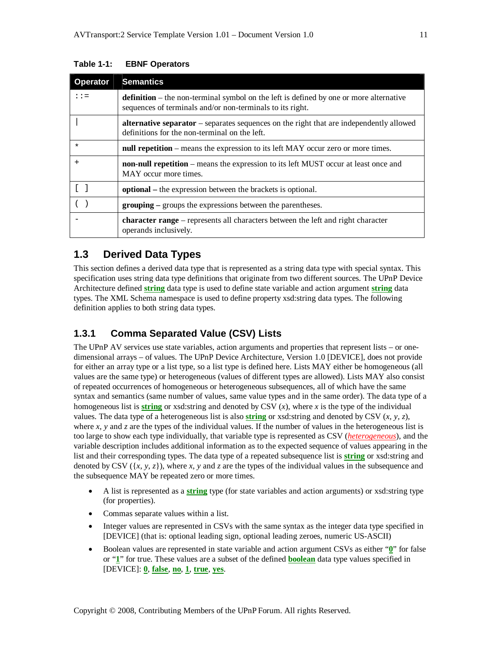| <b>Operator</b>       | <b>Semantics</b>                                                                                                                                           |
|-----------------------|------------------------------------------------------------------------------------------------------------------------------------------------------------|
| $: :=$                | <b>definition</b> – the non-terminal symbol on the left is defined by one or more alternative<br>sequences of terminals and/or non-terminals to its right. |
|                       | <b>alternative separator</b> – separates sequences on the right that are independently allowed<br>definitions for the non-terminal on the left.            |
| $\ast$                | null repetition – means the expression to its left MAY occur zero or more times.                                                                           |
| $+$                   | <b>non-null repetition</b> – means the expression to its left MUST occur at least once and<br>MAY occur more times.                                        |
| $\lceil \cdot \rceil$ | <b>optional</b> – the expression between the brackets is optional.                                                                                         |
|                       | <b>grouping</b> – groups the expressions between the parentheses.                                                                                          |
|                       | <b>character range</b> – represents all characters between the left and right character<br>operands inclusively.                                           |

#### **Table 1-1: EBNF Operators**

## **1.3 Derived Data Types**

This section defines a derived data type that is represented as a string data type with special syntax. This specification uses string data type definitions that originate from two different sources. The UPnP Device Architecture defined **string** data type is used to define state variable and action argument **string** data types. The XML Schema namespace is used to define property xsd:string data types. The following definition applies to both string data types.

## **1.3.1 Comma Separated Value (CSV) Lists**

The UPnP AV services use state variables, action arguments and properties that represent lists – or onedimensional arrays – of values. The UPnP Device Architecture, Version 1.0 [DEVICE], does not provide for either an array type or a list type, so a list type is defined here. Lists MAY either be homogeneous (all values are the same type) or heterogeneous (values of different types are allowed). Lists MAY also consist of repeated occurrences of homogeneous or heterogeneous subsequences, all of which have the same syntax and semantics (same number of values, same value types and in the same order). The data type of a homogeneous list is **string** or xsd:string and denoted by CSV (*x*), where *x* is the type of the individual values. The data type of a heterogeneous list is also **string** or xsd:string and denoted by CSV (*x, y, z*), where  $x$ ,  $y$  and  $z$  are the types of the individual values. If the number of values in the heterogeneous list is too large to show each type individually, that variable type is represented as CSV (*heterogeneous*), and the variable description includes additional information as to the expected sequence of values appearing in the list and their corresponding types. The data type of a repeated subsequence list is **string** or xsd:string and denoted by CSV  $({x, y, z})$ , where *x*, *y* and *z* are the types of the individual values in the subsequence and the subsequence MAY be repeated zero or more times.

- A list is represented as a **string** type (for state variables and action arguments) or xsd:string type (for properties).
- Commas separate values within a list.
- Integer values are represented in CSVs with the same syntax as the integer data type specified in [DEVICE] (that is: optional leading sign, optional leading zeroes, numeric US-ASCII)
- Boolean values are represented in state variable and action argument CSVs as either "**0**" for false or "**1**" for true. These values are a subset of the defined **boolean** data type values specified in [DEVICE]: **0**, **false**, **no**, **1**, **true**, **yes**.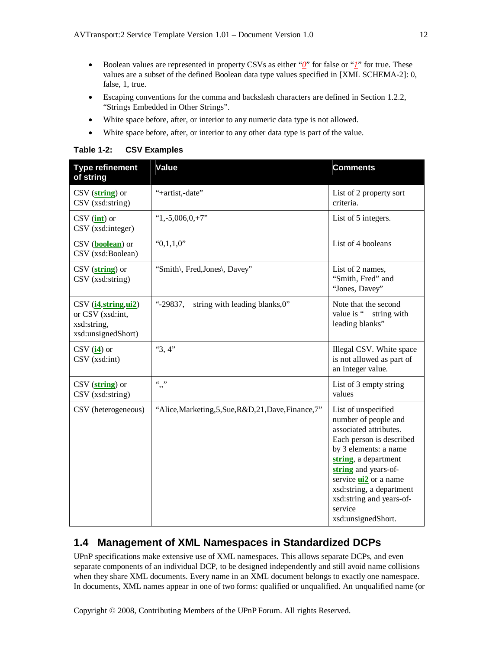- Boolean values are represented in property CSVs as either "*0*" for false or "*1*" for true. These values are a subset of the defined Boolean data type values specified in [XML SCHEMA-2]: 0, false, 1, true.
- Escaping conventions for the comma and backslash characters are defined in Section 1.2.2, "Strings Embedded in Other Strings".
- White space before, after, or interior to any numeric data type is not allowed.
- White space before, after, or interior to any other data type is part of the value.

| <b>Table 1-2:</b> | <b>CSV Examples</b> |
|-------------------|---------------------|
|-------------------|---------------------|

| <b>Type refinement</b><br>of string                                                  | Value                                                 | <b>Comments</b>                                                                                                                                                                                                                                                                                     |
|--------------------------------------------------------------------------------------|-------------------------------------------------------|-----------------------------------------------------------------------------------------------------------------------------------------------------------------------------------------------------------------------------------------------------------------------------------------------------|
| $\text{CSV}$ (string) or<br>CSV (xsd:string)                                         | "+artist,-date"                                       | List of 2 property sort<br>criteria.                                                                                                                                                                                                                                                                |
| $CSV(\underline{\text{int}})$ or<br>CSV (xsd:integer)                                | $"1,-5,006,0,+7"$                                     | List of 5 integers.                                                                                                                                                                                                                                                                                 |
| CSV ( <b>boolean</b> ) or<br>CSV (xsd:Boolean)                                       | "0,1,1,0"                                             | List of 4 booleans                                                                                                                                                                                                                                                                                  |
| $\text{CSV}(\textbf{string})$ or<br>CSV (xsd:string)                                 | "Smith\, Fred, Jones\, Davey"                         | List of 2 names,<br>"Smith, Fred" and<br>"Jones, Davey"                                                                                                                                                                                                                                             |
| $CSV$ ( $i4, string, ui2$ )<br>or CSV (xsd:int,<br>xsd:string,<br>xsd:unsignedShort) | $-.29837,$<br>string with leading blanks, 0"          | Note that the second<br>value is "<br>string with<br>leading blanks"                                                                                                                                                                                                                                |
| $CSV$ (i4) or<br>CSV (xsd:int)                                                       | "3,4"                                                 | Illegal CSV. White space<br>is not allowed as part of<br>an integer value.                                                                                                                                                                                                                          |
| $CSV$ (string) or<br>$\text{CSV (xsd:string)}$                                       | $66 - 99$                                             | List of 3 empty string<br>values                                                                                                                                                                                                                                                                    |
| CSV (heterogeneous)                                                                  | "Alice, Marketing, 5, Sue, R&D, 21, Dave, Finance, 7" | List of unspecified<br>number of people and<br>associated attributes.<br>Each person is described<br>by 3 elements: a name<br>string, a department<br>string and years-of-<br>service <b>ui2</b> or a name<br>xsd:string, a department<br>xsd:string and years-of-<br>service<br>xsd:unsignedShort. |

# **1.4 Management of XML Namespaces in Standardized DCPs**

UPnP specifications make extensive use of XML namespaces. This allows separate DCPs, and even separate components of an individual DCP, to be designed independently and still avoid name collisions when they share XML documents. Every name in an XML document belongs to exactly one namespace. In documents, XML names appear in one of two forms: qualified or unqualified. An unqualified name (or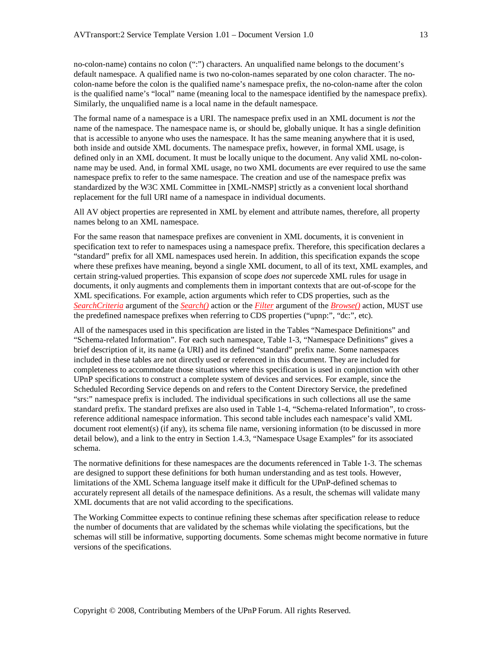no-colon-name) contains no colon (":") characters. An unqualified name belongs to the document's default namespace. A qualified name is two no-colon-names separated by one colon character. The nocolon-name before the colon is the qualified name's namespace prefix, the no-colon-name after the colon is the qualified name's "local" name (meaning local to the namespace identified by the namespace prefix). Similarly, the unqualified name is a local name in the default namespace.

The formal name of a namespace is a URI. The namespace prefix used in an XML document is *not* the name of the namespace. The namespace name is, or should be, globally unique. It has a single definition that is accessible to anyone who uses the namespace. It has the same meaning anywhere that it is used, both inside and outside XML documents. The namespace prefix, however, in formal XML usage, is defined only in an XML document. It must be locally unique to the document. Any valid XML no-colonname may be used. And, in formal XML usage, no two XML documents are ever required to use the same namespace prefix to refer to the same namespace. The creation and use of the namespace prefix was standardized by the W3C XML Committee in [XML-NMSP] strictly as a convenient local shorthand replacement for the full URI name of a namespace in individual documents.

All AV object properties are represented in XML by element and attribute names, therefore, all property names belong to an XML namespace.

For the same reason that namespace prefixes are convenient in XML documents, it is convenient in specification text to refer to namespaces using a namespace prefix. Therefore, this specification declares a "standard" prefix for all XML namespaces used herein. In addition, this specification expands the scope where these prefixes have meaning, beyond a single XML document, to all of its text, XML examples, and certain string-valued properties. This expansion of scope *does not* supercede XML rules for usage in documents, it only augments and complements them in important contexts that are out-of-scope for the XML specifications. For example, action arguments which refer to CDS properties, such as the *SearchCriteria* argument of the *Search()* action or the *Filter* argument of the *Browse()* action, MUST use the predefined namespace prefixes when referring to CDS properties ("upnp:", "dc:", etc).

All of the namespaces used in this specification are listed in the Tables "Namespace Definitions" and "Schema-related Information". For each such namespace, Table 1-3, "Namespace Definitions" gives a brief description of it, its name (a URI) and its defined "standard" prefix name. Some namespaces included in these tables are not directly used or referenced in this document. They are included for completeness to accommodate those situations where this specification is used in conjunction with other UPnP specifications to construct a complete system of devices and services. For example, since the Scheduled Recording Service depends on and refers to the Content Directory Service, the predefined "srs:" namespace prefix is included. The individual specifications in such collections all use the same standard prefix. The standard prefixes are also used in Table 1-4, "Schema-related Information", to crossreference additional namespace information. This second table includes each namespace's valid XML document root element(s) (if any), its schema file name, versioning information (to be discussed in more detail below), and a link to the entry in Section 1.4.3, "Namespace Usage Examples" for its associated schema.

The normative definitions for these namespaces are the documents referenced in Table 1-3. The schemas are designed to support these definitions for both human understanding and as test tools. However, limitations of the XML Schema language itself make it difficult for the UPnP-defined schemas to accurately represent all details of the namespace definitions. As a result, the schemas will validate many XML documents that are not valid according to the specifications.

The Working Committee expects to continue refining these schemas after specification release to reduce the number of documents that are validated by the schemas while violating the specifications, but the schemas will still be informative, supporting documents. Some schemas might become normative in future versions of the specifications.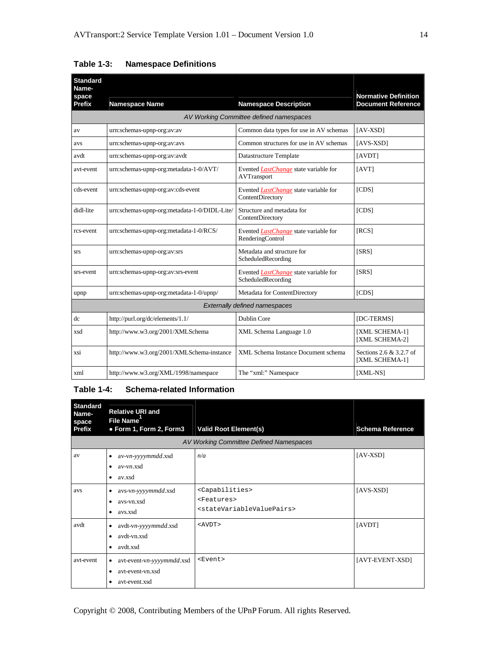| <b>Standard</b><br>Name- |                                              |                                                                    |                                                          |  |
|--------------------------|----------------------------------------------|--------------------------------------------------------------------|----------------------------------------------------------|--|
| space<br>Prefix          | <b>Namespace Name</b>                        | <b>Namespace Description</b>                                       | <b>Normative Definition</b><br><b>Document Reference</b> |  |
|                          |                                              | AV Working Committee defined namespaces                            |                                                          |  |
| av                       | urn:schemas-upnp-org:av:av                   | Common data types for use in AV schemas                            | $[AV-XSD]$                                               |  |
| avs                      | urn:schemas-upnp-org:av:avs                  | Common structures for use in AV schemas                            | $[AVS-XSD]$                                              |  |
| avdt                     | urn:schemas-upnp-org:av:avdt                 | Datastructure Template                                             | [AVDT]                                                   |  |
| avt-event                | urn:schemas-upnp-org:metadata-1-0/AVT/       | Evented <i>LastChange</i> state variable for<br>AVTransport        | [AVT]                                                    |  |
| cds-event                | urn:schemas-upnp-org:av:cds-event            | Evented <i>LastChange</i> state variable for<br>ContentDirectory   | [CDS]                                                    |  |
| didl-lite                | urn:schemas-upnp-org:metadata-1-0/DIDL-Lite/ | Structure and metadata for<br>ContentDirectory                     | [CDS]                                                    |  |
| rcs-event                | urn:schemas-upnp-org:metadata-1-0/RCS/       | Evented <i>LastChange</i> state variable for<br>RenderingControl   | [RCS]                                                    |  |
| <b>SrS</b>               | urn:schemas-upnp-org:av:srs                  | Metadata and structure for<br>ScheduledRecording                   | [SRS]                                                    |  |
| srs-event                | urn:schemas-upnp-org:av:srs-event            | Evented <i>LastChange</i> state variable for<br>ScheduledRecording | [SRS]                                                    |  |
| upnp                     | urn:schemas-upnp-org:metadata-1-0/upnp/      | Metadata for ContentDirectory                                      | [CDS]                                                    |  |
|                          | <b>Externally defined namespaces</b>         |                                                                    |                                                          |  |
| dc                       | http://purl.org/dc/elements/1.1/             | <b>Dublin Core</b>                                                 | [DC-TERMS]                                               |  |
| xsd                      | http://www.w3.org/2001/XMLSchema             | XML Schema Language 1.0                                            | [XML SCHEMA-1]<br>[XML SCHEMA-2]                         |  |
| xsi                      | http://www.w3.org/2001/XMLSchema-instance    | XML Schema Instance Document schema                                | Sections 2.6 & 3.2.7 of<br>[XML SCHEMA-1]                |  |
| xml                      | http://www.w3.org/XML/1998/namespace         | The "xml:" Namespace                                               | [XML-NS]                                                 |  |

**Table 1-3: Namespace Definitions**

#### **Table 1-4: Schema-related Information**

| <b>Standard</b><br>Name-<br>space<br>Prefix | <b>Relative URI and</b><br><b>File Name</b><br>• Form 1, Form 2, Form3        | <b>Valid Root Element(s)</b>                                                                                    | <b>Schema Reference</b> |
|---------------------------------------------|-------------------------------------------------------------------------------|-----------------------------------------------------------------------------------------------------------------|-------------------------|
|                                             |                                                                               | AV Working Committee Defined Namespaces                                                                         |                         |
| av                                          | av-vn-yyyymmdd.xsd<br>٠<br>$av-vn$ xsd<br>٠<br>av.xsd<br>٠                    | n/a                                                                                                             | $[AV-XSD]$              |
| avs                                         | avs-vn-yyyymmdd.xsd<br>٠<br>avs-vn.xsd<br>٠<br>avs.xsd<br>٠                   | <capabilities><br/><features><br/><statevariablevaluepairs></statevariablevaluepairs></features></capabilities> | $[AVS-XSD]$             |
| avdt                                        | avdt-vn-yyyymmdd.xsd<br>٠<br>avdt-vn.xsd<br>٠<br>avdt.xsd<br>$\bullet$        | $<$ $AVDT$ >                                                                                                    | [AVDT]                  |
| avt-event                                   | avt-event-vn-yyyymmdd.xsd<br>٠<br>avt-event-vn.xsd<br>٠<br>avt-event.xsd<br>٠ | $<$ Event>                                                                                                      | [AVT-EVENT-XSD]         |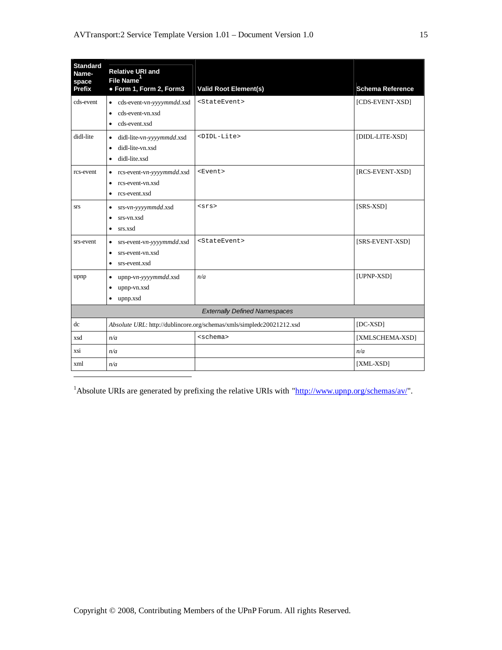| <b>Standard</b><br>Name-<br>space    | <b>Relative URI and</b><br>File Name <sup>1</sup>                                                     |                                                                       |                         |  |
|--------------------------------------|-------------------------------------------------------------------------------------------------------|-----------------------------------------------------------------------|-------------------------|--|
| <b>Prefix</b>                        | · Form 1, Form 2, Form3                                                                               | <b>Valid Root Element(s)</b>                                          | <b>Schema Reference</b> |  |
| cds-event                            | cds-event-vn-yyyymmdd.xsd<br>$\bullet$<br>cds-event-vn.xsd<br>$\bullet$<br>cds-event.xsd<br>$\bullet$ | <stateevent></stateevent>                                             | [CDS-EVENT-XSD]         |  |
| didl-lite                            | didl-lite-vn-yyyymmdd.xsd<br>$\bullet$<br>didl-lite-vn.xsd<br>$\bullet$<br>didl-lite.xsd<br>$\bullet$ | <didl-lite></didl-lite>                                               | [DIDL-LITE-XSD]         |  |
| rcs-event                            | rcs-event-vn-yyyymmdd.xsd<br>$\bullet$<br>rcs-event-vn.xsd<br>$\bullet$<br>rcs-event.xsd<br>$\bullet$ | $<$ Event>                                                            | [RCS-EVENT-XSD]         |  |
| <b>SrS</b>                           | srs-vn-yyyymmdd.xsd<br>$\bullet$<br>srs-vn.xsd<br>$\bullet$<br>srs.xsd<br>$\bullet$                   | s <sub>rs</sub>                                                       | $[SRS-XSD]$             |  |
| srs-event                            | srs-event-vn-yyyymmdd.xsd<br>$\bullet$<br>srs-event-vn.xsd<br>$\bullet$<br>srs-event.xsd<br>$\bullet$ | <stateevent></stateevent>                                             | [SRS-EVENT-XSD]         |  |
| upnp                                 | upnp-vn-yyyymmdd.xsd<br>$\bullet$<br>upnp-vn.xsd<br>$\bullet$<br>upnp.xsd<br>$\bullet$                | n/a                                                                   | [UPNP-XSD]              |  |
| <b>Externally Defined Namespaces</b> |                                                                                                       |                                                                       |                         |  |
| dc                                   |                                                                                                       | Absolute URL: http://dublincore.org/schemas/xmls/simpledc20021212.xsd | $[DC-XSD]$              |  |
| xsd                                  | n/a                                                                                                   | <schema></schema>                                                     | [XMLSCHEMA-XSD]         |  |
| xsi                                  | n/a                                                                                                   |                                                                       | n/a                     |  |
| xml                                  | n/a                                                                                                   |                                                                       | [XML-XSD]               |  |

<sup>1</sup>Absolute URIs are generated by prefixing the relative URIs with " $\frac{http://www.upnp.org/schemes/av/"}{http://www.upnp.org/schemes/av/"}.$ 

 $\overline{a}$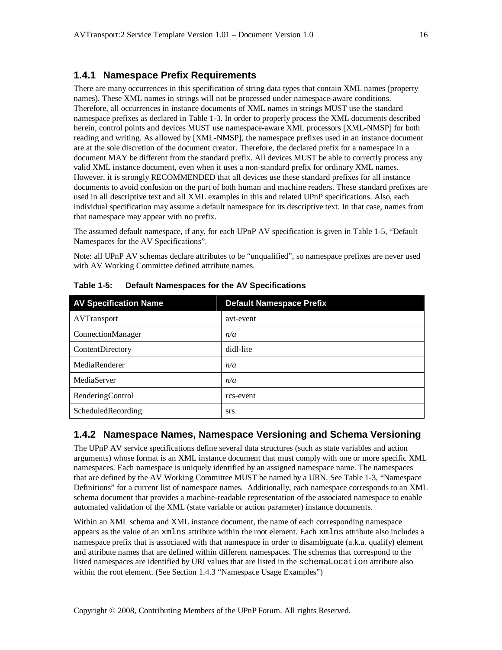#### **1.4.1 Namespace Prefix Requirements**

There are many occurrences in this specification of string data types that contain XML names (property names). These XML names in strings will not be processed under namespace-aware conditions. Therefore, all occurrences in instance documents of XML names in strings MUST use the standard namespace prefixes as declared in Table 1-3. In order to properly process the XML documents described herein, control points and devices MUST use namespace-aware XML processors [XML-NMSP] for both reading and writing. As allowed by [XML-NMSP], the namespace prefixes used in an instance document are at the sole discretion of the document creator. Therefore, the declared prefix for a namespace in a document MAY be different from the standard prefix. All devices MUST be able to correctly process any valid XML instance document, even when it uses a non-standard prefix for ordinary XML names. However, it is strongly RECOMMENDED that all devices use these standard prefixes for all instance documents to avoid confusion on the part of both human and machine readers. These standard prefixes are used in all descriptive text and all XML examples in this and related UPnP specifications. Also, each individual specification may assume a default namespace for its descriptive text. In that case, names from that namespace may appear with no prefix.

The assumed default namespace, if any, for each UPnP AV specification is given in Table 1-5, "Default Namespaces for the AV Specifications".

Note: all UPnP AV schemas declare attributes to be "unqualified", so namespace prefixes are never used with AV Working Committee defined attribute names.

| <b>AV Specification Name</b> | <b>Default Namespace Prefix</b> |
|------------------------------|---------------------------------|
| AVTransport                  | avt-event                       |
| ConnectionManager            | n/a                             |
| ContentDirectory             | didl-lite                       |
| MediaRenderer                | n/a                             |
| MediaServer                  | n/a                             |
| RenderingControl             | rcs-event                       |
| ScheduledRecording           | <b>STS</b>                      |

**Table 1-5: Default Namespaces for the AV Specifications**

#### **1.4.2 Namespace Names, Namespace Versioning and Schema Versioning**

The UPnP AV service specifications define several data structures (such as state variables and action arguments) whose format is an XML instance document that must comply with one or more specific XML namespaces. Each namespace is uniquely identified by an assigned namespace name. The namespaces that are defined by the AV Working Committee MUST be named by a URN. See Table 1-3, "Namespace Definitions" for a current list of namespace names. Additionally, each namespace corresponds to an XML schema document that provides a machine-readable representation of the associated namespace to enable automated validation of the XML (state variable or action parameter) instance documents.

Within an XML schema and XML instance document, the name of each corresponding namespace appears as the value of an xmlns attribute within the root element. Each xmlns attribute also includes a namespace prefix that is associated with that namespace in order to disambiguate (a.k.a. qualify) element and attribute names that are defined within different namespaces. The schemas that correspond to the listed namespaces are identified by URI values that are listed in the schemaLocation attribute also within the root element. (See Section 1.4.3 "Namespace Usage Examples")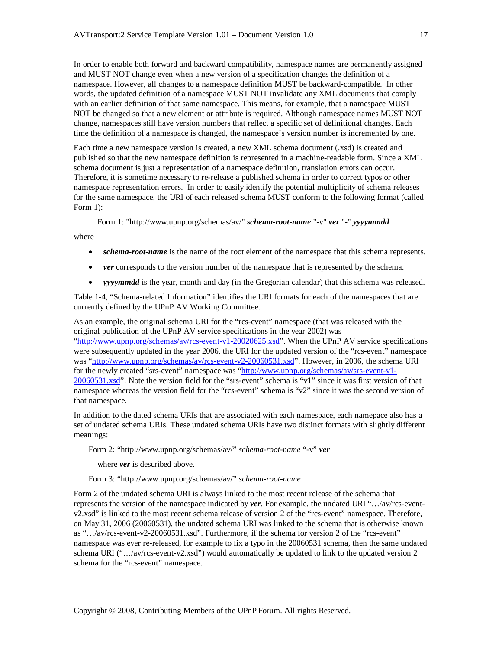In order to enable both forward and backward compatibility, namespace names are permanently assigned and MUST NOT change even when a new version of a specification changes the definition of a namespace. However, all changes to a namespace definition MUST be backward-compatible. In other words, the updated definition of a namespace MUST NOT invalidate any XML documents that comply with an earlier definition of that same namespace. This means, for example, that a namespace MUST NOT be changed so that a new element or attribute is required. Although namespace names MUST NOT change, namespaces still have version numbers that reflect a specific set of definitional changes. Each time the definition of a namespace is changed, the namespace's version number is incremented by one.

Each time a new namespace version is created, a new XML schema document (.xsd) is created and published so that the new namespace definition is represented in a machine-readable form. Since a XML schema document is just a representation of a namespace definition, translation errors can occur. Therefore, it is sometime necessary to re-release a published schema in order to correct typos or other namespace representation errors. In order to easily identify the potential multiplicity of schema releases for the same namespace, the URI of each released schema MUST conform to the following format (called Form 1):

Form 1: "http://www.upnp.org/schemas/av/" *schema-root-name* "-v" *ver* "*-*" *yyyymmdd*

where

- *schema-root-name* is the name of the root element of the namespace that this schema represents.
- *ver* corresponds to the version number of the namespace that is represented by the schema.
- *yyyymmdd* is the year, month and day (in the Gregorian calendar) that this schema was released.

Table 1-4, "Schema-related Information" identifies the URI formats for each of the namespaces that are currently defined by the UPnP AV Working Committee.

As an example, the original schema URI for the "rcs-event" namespace (that was released with the original publication of the UPnP AV service specifications in the year 2002) was "http://www.upnp.org/schemas/av/rcs-event-v1-20020625.xsd". When the UPnP AV service specifications were subsequently updated in the year 2006, the URI for the updated version of the "rcs-event" namespace was "http://www.upnp.org/schemas/av/rcs-event-v2-20060531.xsd". However, in 2006, the schema URI for the newly created "srs-event" namespace was "http://www.upnp.org/schemas/av/srs-event-v1- 20060531.xsd". Note the version field for the "srs-event" schema is "v1" since it was first version of that namespace whereas the version field for the "rcs-event" schema is "v2" since it was the second version of that namespace.

In addition to the dated schema URIs that are associated with each namespace, each namepace also has a set of undated schema URIs. These undated schema URIs have two distinct formats with slightly different meanings:

Form 2: "http://www.upnp.org/schemas/av/" *schema-root-name* "-v" *ver*

where *ver* is described above.

Form 3: "http://www.upnp.org/schemas/av/" *schema-root-name*

Form 2 of the undated schema URI is always linked to the most recent release of the schema that represents the version of the namespace indicated by *ver*. For example, the undated URI "…/av/rcs-eventv2.xsd" is linked to the most recent schema release of version 2 of the "rcs-event" namespace. Therefore, on May 31, 2006 (20060531), the undated schema URI was linked to the schema that is otherwise known as "…/av/rcs-event-v2-20060531.xsd". Furthermore, if the schema for version 2 of the "rcs-event" namespace was ever re-released, for example to fix a typo in the 20060531 schema, then the same undated schema URI (".../av/rcs-event-v2.xsd") would automatically be updated to link to the updated version 2 schema for the "rcs-event" namespace.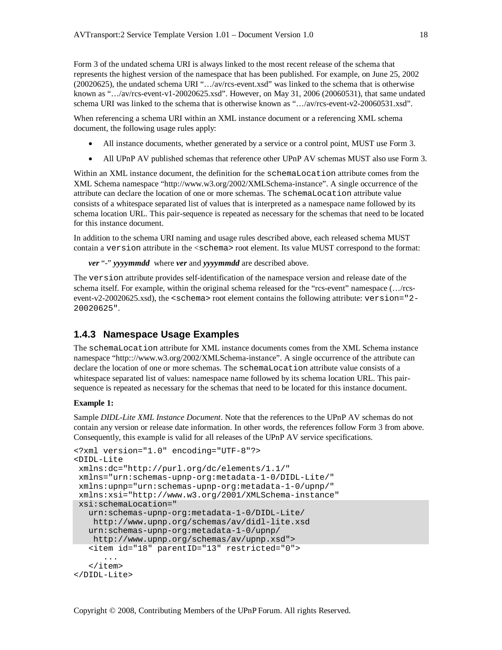Form 3 of the undated schema URI is always linked to the most recent release of the schema that represents the highest version of the namespace that has been published. For example, on June 25, 2002 (20020625), the undated schema URI "…/av/rcs-event.xsd" was linked to the schema that is otherwise known as "…/av/rcs-event-v1-20020625.xsd". However, on May 31, 2006 (20060531), that same undated schema URI was linked to the schema that is otherwise known as "…/av/rcs-event-v2-20060531.xsd".

When referencing a schema URI within an XML instance document or a referencing XML schema document, the following usage rules apply:

- All instance documents, whether generated by a service or a control point, MUST use Form 3.
- All UPnP AV published schemas that reference other UPnP AV schemas MUST also use Form 3.

Within an XML instance document, the definition for the schemaLocation attribute comes from the XML Schema namespace "http://www.w3.org/2002/XMLSchema-instance". A single occurrence of the attribute can declare the location of one or more schemas. The schemaLocation attribute value consists of a whitespace separated list of values that is interpreted as a namespace name followed by its schema location URL. This pair-sequence is repeated as necessary for the schemas that need to be located for this instance document.

In addition to the schema URI naming and usage rules described above, each released schema MUST contain a version attribute in the <schema> root element. Its value MUST correspond to the format:

*ver* "*-*" *yyyymmdd* where *ver* and *yyyymmdd* are described above.

The version attribute provides self-identification of the namespace version and release date of the schema itself. For example, within the original schema released for the "rcs-event" namespace (…/rcsevent-v2-20020625.xsd), the <schema> root element contains the following attribute: version="2- 20020625".

#### **1.4.3 Namespace Usage Examples**

The schemaLocation attribute for XML instance documents comes from the XML Schema instance namespace "http:://www.w3.org/2002/XMLSchema-instance". A single occurrence of the attribute can declare the location of one or more schemas. The schemaLocation attribute value consists of a whitespace separated list of values: namespace name followed by its schema location URL. This pairsequence is repeated as necessary for the schemas that need to be located for this instance document.

#### **Example 1:**

Sample *DIDL-Lite XML Instance Document*. Note that the references to the UPnP AV schemas do not contain any version or release date information. In other words, the references follow Form 3 from above. Consequently, this example is valid for all releases of the UPnP AV service specifications.

```
<?xml version="1.0" encoding="UTF-8"?>
<DIDL-Lite
 xmlns:dc="http://purl.org/dc/elements/1.1/"
 xmlns="urn:schemas-upnp-org:metadata-1-0/DIDL-Lite/"
 xmlns:upnp="urn:schemas-upnp-org:metadata-1-0/upnp/"
 xmlns:xsi="http://www.w3.org/2001/XMLSchema-instance"
 xsi:schemaLocation="
   urn:schemas-upnp-org:metadata-1-0/DIDL-Lite/
   http://www.upnp.org/schemas/av/didl-lite.xsd
   urn:schemas-upnp-org:metadata-1-0/upnp/
   http://www.upnp.org/schemas/av/upnp.xsd">
   <item id="18" parentID="13" restricted="0">
      ...
   </item>
</DIDL-Lite>
```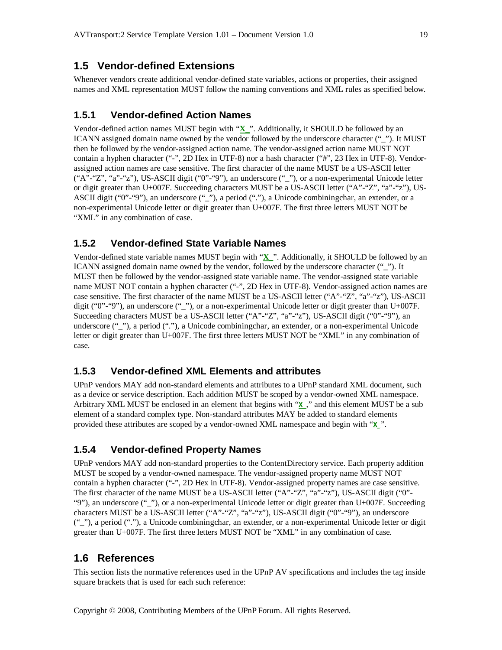#### **1.5 Vendor-defined Extensions**

Whenever vendors create additional vendor-defined state variables, actions or properties, their assigned names and XML representation MUST follow the naming conventions and XML rules as specified below.

#### **1.5.1 Vendor-defined Action Names**

Vendor-defined action names MUST begin with "**X\_**". Additionally, it SHOULD be followed by an ICANN assigned domain name owned by the vendor followed by the underscore character ("\_"). It MUST then be followed by the vendor-assigned action name. The vendor-assigned action name MUST NOT contain a hyphen character ("-", 2D Hex in UTF-8) nor a hash character ("#", 23 Hex in UTF-8). Vendorassigned action names are case sensitive. The first character of the name MUST be a US-ASCII letter ("A"-"Z", "a"-"z"), US-ASCII digit ("0"-"9"), an underscore ("\_"), or a non-experimental Unicode letter or digit greater than U+007F. Succeeding characters MUST be a US-ASCII letter ("A"-"Z", "a"-"z"), US-ASCII digit ("0"-"9"), an underscore ("\_"), a period ("."), a Unicode combiningchar, an extender, or a non-experimental Unicode letter or digit greater than U+007F. The first three letters MUST NOT be "XML" in any combination of case.

#### **1.5.2 Vendor-defined State Variable Names**

Vendor-defined state variable names MUST begin with "**X\_**". Additionally, it SHOULD be followed by an ICANN assigned domain name owned by the vendor, followed by the underscore character ("\_"). It MUST then be followed by the vendor-assigned state variable name. The vendor-assigned state variable name MUST NOT contain a hyphen character ("-", 2D Hex in UTF-8). Vendor-assigned action names are case sensitive. The first character of the name MUST be a US-ASCII letter ("A"-"Z", "a"-"z"), US-ASCII digit ("0"-"9"), an underscore ("\_"), or a non-experimental Unicode letter or digit greater than U+007F. Succeeding characters MUST be a US-ASCII letter ("A"-"Z", "a"-"z"), US-ASCII digit ("0"-"9"), an underscore (""), a period ("."), a Unicode combiningchar, an extender, or a non-experimental Unicode letter or digit greater than U+007F. The first three letters MUST NOT be "XML" in any combination of case.

## **1.5.3 Vendor-defined XML Elements and attributes**

UPnP vendors MAY add non-standard elements and attributes to a UPnP standard XML document, such as a device or service description. Each addition MUST be scoped by a vendor-owned XML namespace. Arbitrary XML MUST be enclosed in an element that begins with "**X\_**," and this element MUST be a sub element of a standard complex type. Non-standard attributes MAY be added to standard elements provided these attributes are scoped by a vendor-owned XML namespace and begin with "**X\_**".

## **1.5.4 Vendor-defined Property Names**

UPnP vendors MAY add non-standard properties to the ContentDirectory service. Each property addition MUST be scoped by a vendor-owned namespace. The vendor-assigned property name MUST NOT contain a hyphen character ("-", 2D Hex in UTF-8). Vendor-assigned property names are case sensitive. The first character of the name MUST be a US-ASCII letter ("A"-"Z", "a"-"z"), US-ASCII digit ("0"- "9"), an underscore ("\_"), or a non-experimental Unicode letter or digit greater than U+007F. Succeeding characters MUST be a US-ASCII letter ("A"-"Z", "a"-"z"), US-ASCII digit ("0"-"9"), an underscore ("\_"), a period ("."), a Unicode combiningchar, an extender, or a non-experimental Unicode letter or digit greater than U+007F. The first three letters MUST NOT be "XML" in any combination of case.

#### **1.6 References**

This section lists the normative references used in the UPnP AV specifications and includes the tag inside square brackets that is used for each such reference: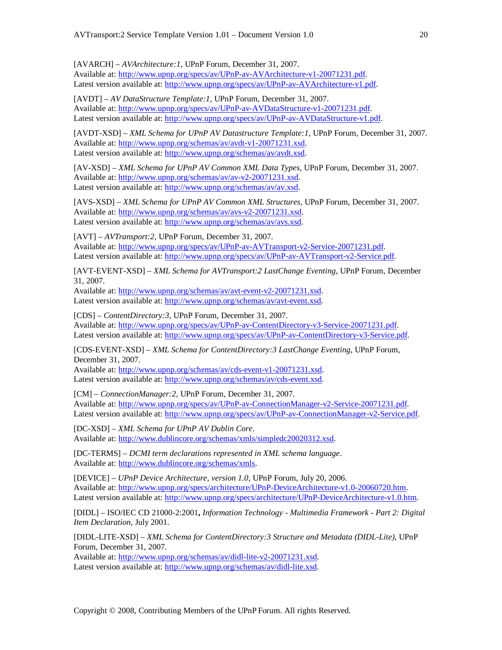[AVARCH] – *AVArchitecture:1*, UPnP Forum, December 31, 2007. Available at: http://www.upnp.org/specs/av/UPnP-av-AVArchitecture-v1-20071231.pdf. Latest version available at: http://www.upnp.org/specs/av/UPnP-av-AVArchitecture-v1.pdf.

[AVDT] – *AV DataStructure Template:1*, UPnP Forum, December 31, 2007. Available at: http://www.upnp.org/specs/av/UPnP-av-AVDataStructure-v1-20071231.pdf. Latest version available at: http://www.upnp.org/specs/av/UPnP-av-AVDataStructure-v1.pdf.

[AVDT-XSD] – *XML Schema for UPnP AV Datastructure Template:1*, UPnP Forum, December 31, 2007. Available at: http://www.upnp.org/schemas/av/avdt-v1-20071231.xsd. Latest version available at: http://www.upnp.org/schemas/av/avdt.xsd.

[AV-XSD] – *XML Schema for UPnP AV Common XML Data Types*, UPnP Forum, December 31, 2007. Available at: http://www.upnp.org/schemas/av/av-v2-20071231.xsd. Latest version available at: http://www.upnp.org/schemas/av/av.xsd.

[AVS-XSD] – *XML Schema for UPnP AV Common XML Structures*, UPnP Forum, December 31, 2007. Available at: http://www.upnp.org/schemas/av/avs-v2-20071231.xsd. Latest version available at: http://www.upnp.org/schemas/av/avs.xsd.

[AVT] – *AVTransport:2*, UPnP Forum, December 31, 2007. Available at: http://www.upnp.org/specs/av/UPnP-av-AVTransport-v2-Service-20071231.pdf. Latest version available at: http://www.upnp.org/specs/av/UPnP-av-AVTransport-v2-Service.pdf.

[AVT-EVENT-XSD] – *XML Schema for AVTransport:2 LastChange Eventing*, UPnP Forum, December 31, 2007.

Available at: http://www.upnp.org/schemas/av/avt-event-v2-20071231.xsd. Latest version available at: http://www.upnp.org/schemas/av/avt-event.xsd.

[CDS] – *ContentDirectory:3*, UPnP Forum, December 31, 2007. Available at: http://www.upnp.org/specs/av/UPnP-av-ContentDirectory-v3-Service-20071231.pdf. Latest version available at: http://www.upnp.org/specs/av/UPnP-av-ContentDirectory-v3-Service.pdf.

[CDS-EVENT-XSD] – *XML Schema for ContentDirectory:3 LastChange Eventing*, UPnP Forum, December 31, 2007.

Available at: http://www.upnp.org/schemas/av/cds-event-v1-20071231.xsd. Latest version available at: http://www.upnp.org/schemas/av/cds-event.xsd.

[CM] – *ConnectionManager:2*, UPnP Forum, December 31, 2007. Available at: http://www.upnp.org/specs/av/UPnP-av-ConnectionManager-v2-Service-20071231.pdf. Latest version available at: http://www.upnp.org/specs/av/UPnP-av-ConnectionManager-v2-Service.pdf.

[DC-XSD] – *XML Schema for UPnP AV Dublin Core*. Available at: http://www.dublincore.org/schemas/xmls/simpledc20020312.xsd.

[DC-TERMS] – *DCMI term declarations represented in XML schema language*. Available at: http://www.dublincore.org/schemas/xmls.

[DEVICE] – *UPnP Device Architecture, version 1.0*, UPnP Forum, July 20, 2006. Available at: http://www.upnp.org/specs/architecture/UPnP-DeviceArchitecture-v1.0-20060720.htm. Latest version available at: http://www.upnp.org/specs/architecture/UPnP-DeviceArchitecture-v1.0.htm.

[DIDL] – ISO/IEC CD 21000-2:2001**,** *Information Technology - Multimedia Framework - Part 2: Digital Item Declaration,* July 2001.

[DIDL-LITE-XSD] – *XML Schema for ContentDirectory:3 Structure and Metadata (DIDL-Lite)*, UPnP Forum, December 31, 2007.

Available at: http://www.upnp.org/schemas/av/didl-lite-v2-20071231.xsd. Latest version available at: http://www.upnp.org/schemas/av/didl-lite.xsd.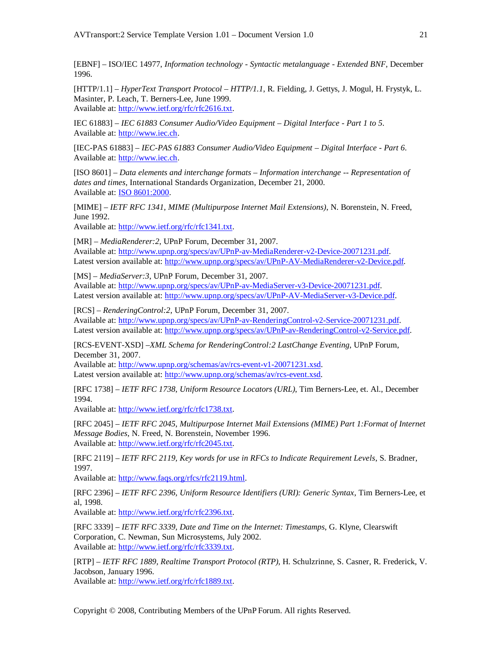[EBNF] – ISO/IEC 14977, *Information technology - Syntactic metalanguage - Extended BNF*, December 1996.

[HTTP/1.1] – *HyperText Transport Protocol – HTTP/1.1*, R. Fielding, J. Gettys, J. Mogul, H. Frystyk, L. Masinter, P. Leach, T. Berners-Lee, June 1999. Available at: http://www.ietf.org/rfc/rfc2616.txt.

IEC 61883] – *IEC 61883 Consumer Audio/Video Equipment – Digital Interface - Part 1 to 5*. Available at: http://www.iec.ch.

[IEC-PAS 61883] – *IEC-PAS 61883 Consumer Audio/Video Equipment – Digital Interface - Part 6*. Available at: http://www.iec.ch.

[ISO 8601] – *Data elements and interchange formats – Information interchange -- Representation of dates and times*, International Standards Organization, December 21, 2000. Available at: ISO 8601:2000.

[MIME] – *IETF RFC 1341, MIME (Multipurpose Internet Mail Extensions)*, N. Borenstein, N. Freed, June 1992.

Available at: http://www.ietf.org/rfc/rfc1341.txt.

[MR] – *MediaRenderer:2*, UPnP Forum, December 31, 2007. Available at: http://www.upnp.org/specs/av/UPnP-av-MediaRenderer-v2-Device-20071231.pdf. Latest version available at: http://www.upnp.org/specs/av/UPnP-AV-MediaRenderer-v2-Device.pdf.

[MS] – *MediaServer:3*, UPnP Forum, December 31, 2007. Available at: http://www.upnp.org/specs/av/UPnP-av-MediaServer-v3-Device-20071231.pdf. Latest version available at: http://www.upnp.org/specs/av/UPnP-AV-MediaServer-v3-Device.pdf.

[RCS] – *RenderingControl:2*, UPnP Forum, December 31, 2007. Available at: http://www.upnp.org/specs/av/UPnP-av-RenderingControl-v2-Service-20071231.pdf. Latest version available at: http://www.upnp.org/specs/av/UPnP-av-RenderingControl-v2-Service.pdf.

[RCS-EVENT-XSD] –*XML Schema for RenderingControl:2 LastChange Eventing*, UPnP Forum, December 31, 2007.

Available at: http://www.upnp.org/schemas/av/rcs-event-v1-20071231.xsd. Latest version available at: http://www.upnp.org/schemas/av/rcs-event.xsd.

[RFC 1738] – *IETF RFC 1738*, *Uniform Resource Locators (URL)*, Tim Berners-Lee, et. Al., December 1994.

Available at: http://www.ietf.org/rfc/rfc1738.txt.

[RFC 2045] – *IETF RFC 2045*, *Multipurpose Internet Mail Extensions (MIME) Part 1:Format of Internet Message Bodies*, N. Freed, N. Borenstein, November 1996. Available at: http://www.ietf.org/rfc/rfc2045.txt.

[RFC 2119] – *IETF RFC 2119, Key words for use in RFCs to Indicate Requirement Levels*, S. Bradner, 1997.

Available at: http://www.faqs.org/rfcs/rfc2119.html.

[RFC 2396] – *IETF RFC 2396, Uniform Resource Identifiers (URI): Generic Syntax*, Tim Berners-Lee, et al, 1998.

Available at: http://www.ietf.org/rfc/rfc2396.txt.

[RFC 3339] – *IETF RFC 3339, Date and Time on the Internet: Timestamps*, G. Klyne, Clearswift Corporation, C. Newman, Sun Microsystems, July 2002. Available at: http://www.ietf.org/rfc/rfc3339.txt.

[RTP] – *IETF RFC 1889, Realtime Transport Protocol (RTP)*, H. Schulzrinne, S. Casner, R. Frederick, V. Jacobson, January 1996.

Available at: http://www.ietf.org/rfc/rfc1889.txt.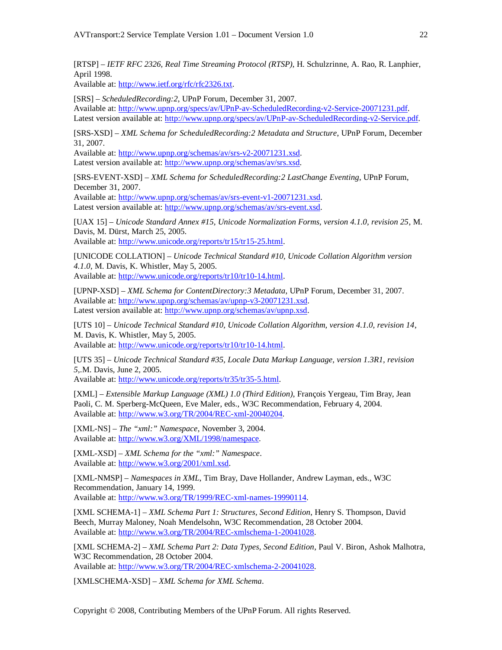[RTSP] – *IETF RFC 2326, Real Time Streaming Protocol (RTSP)*, H. Schulzrinne, A. Rao, R. Lanphier, April 1998.

Available at: http://www.ietf.org/rfc/rfc2326.txt.

[SRS] – *ScheduledRecording:2*, UPnP Forum, December 31, 2007. Available at: http://www.upnp.org/specs/av/UPnP-av-ScheduledRecording-v2-Service-20071231.pdf. Latest version available at: http://www.upnp.org/specs/av/UPnP-av-ScheduledRecording-v2-Service.pdf.

[SRS-XSD] – *XML Schema for ScheduledRecording:2 Metadata and Structure*, UPnP Forum, December 31, 2007.

Available at: http://www.upnp.org/schemas/av/srs-v2-20071231.xsd. Latest version available at: http://www.upnp.org/schemas/av/srs.xsd.

[SRS-EVENT-XSD] – *XML Schema for ScheduledRecording:2 LastChange Eventing*, UPnP Forum, December 31, 2007.

Available at: http://www.upnp.org/schemas/av/srs-event-v1-20071231.xsd. Latest version available at: http://www.upnp.org/schemas/av/srs-event.xsd.

[UAX 15] – *Unicode Standard Annex #15, Unicode Normalization Forms, version 4.1.0, revision 25*, M. Davis, M. Dürst, March 25, 2005.

Available at: http://www.unicode.org/reports/tr15/tr15-25.html.

[UNICODE COLLATION] – *Unicode Technical Standard #10, Unicode Collation Algorithm version 4.1.0*, M. Davis, K. Whistler, May 5, 2005. Available at: http://www.unicode.org/reports/tr10/tr10-14.html.

[UPNP-XSD] – *XML Schema for ContentDirectory:3 Metadata*, UPnP Forum, December 31, 2007. Available at: http://www.upnp.org/schemas/av/upnp-v3-20071231.xsd. Latest version available at: http://www.upnp.org/schemas/av/upnp.xsd.

[UTS 10] – *Unicode Technical Standard #10, Unicode Collation Algorithm, version 4.1.0, revision 14*, M. Davis, K. Whistler, May 5, 2005. Available at: http://www.unicode.org/reports/tr10/tr10-14.html.

[UTS 35] – *Unicode Technical Standard #35, Locale Data Markup Language, version 1.3R1, revision 5*,.M. Davis, June 2, 2005.

Available at: http://www.unicode.org/reports/tr35/tr35-5.html.

[XML] – *Extensible Markup Language (XML) 1.0 (Third Edition)*, François Yergeau, Tim Bray, Jean Paoli, C. M. Sperberg-McQueen, Eve Maler, eds., W3C Recommendation, February 4, 2004. Available at: http://www.w3.org/TR/2004/REC-xml-20040204.

[XML-NS] – *The "xml:" Namespace*, November 3, 2004. Available at: http://www.w3.org/XML/1998/namespace.

[XML-XSD] – *XML Schema for the "xml:" Namespace*. Available at: http://www.w3.org/2001/xml.xsd.

[XML-NMSP] – *Namespaces in XML*, Tim Bray, Dave Hollander, Andrew Layman, eds., W3C Recommendation, January 14, 1999. Available at: http://www.w3.org/TR/1999/REC-xml-names-19990114.

[XML SCHEMA-1] – *XML Schema Part 1: Structures, Second Edition*, Henry S. Thompson, David Beech, Murray Maloney, Noah Mendelsohn, W3C Recommendation, 28 October 2004. Available at: http://www.w3.org/TR/2004/REC-xmlschema-1-20041028.

[XML SCHEMA-2] – *XML Schema Part 2: Data Types, Second Edition*, Paul V. Biron, Ashok Malhotra, W3C Recommendation, 28 October 2004.

Available at: http://www.w3.org/TR/2004/REC-xmlschema-2-20041028.

[XMLSCHEMA-XSD] – *XML Schema for XML Schema*.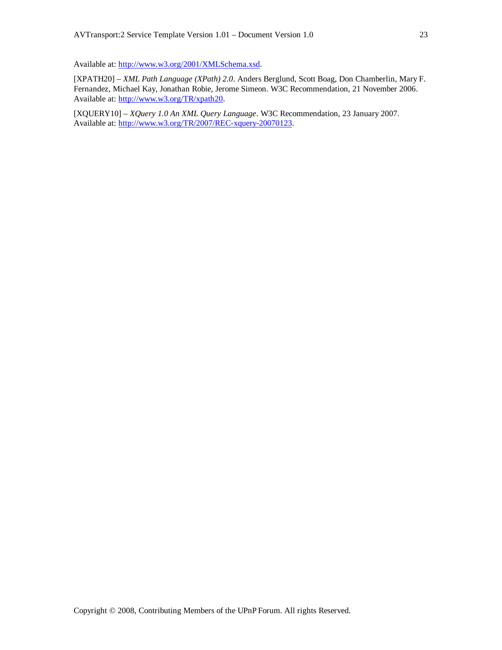Available at: http://www.w3.org/2001/XMLSchema.xsd.

[XPATH20] – *XML Path Language (XPath) 2.0*. Anders Berglund, Scott Boag, Don Chamberlin, Mary F. Fernandez, Michael Kay, Jonathan Robie, Jerome Simeon. W3C Recommendation, 21 November 2006. Available at: http://www.w3.org/TR/xpath20.

[XQUERY10] – *XQuery 1.0 An XML Query Language*. W3C Recommendation, 23 January 2007. Available at: http://www.w3.org/TR/2007/REC-xquery-20070123.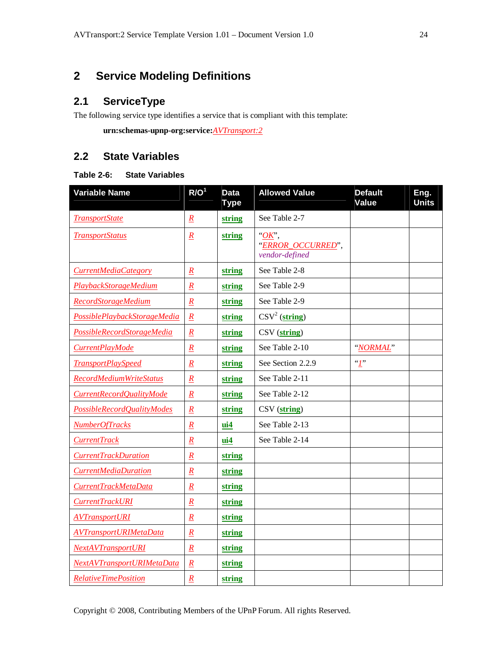# **2 Service Modeling Definitions**

# **2.1 ServiceType**

The following service type identifies a service that is compliant with this template:

**urn:schemas-upnp-org:service:***AVTransport:2*

# **2.2 State Variables**

#### **Table 2-6: State Variables**

| <b>Variable Name</b>           | R/O <sup>1</sup> | <b>Data</b><br><b>Type</b> | <b>Allowed Value</b>                                  | <b>Default</b><br>Value | Eng.<br><b>Units</b> |
|--------------------------------|------------------|----------------------------|-------------------------------------------------------|-------------------------|----------------------|
| <b>TransportState</b>          | $\underline{R}$  | string                     | See Table 2-7                                         |                         |                      |
| <b>TransportStatus</b>         | $\underline{R}$  | string                     | $\partial K$ ,<br>"ERROR_OCCURRED",<br>vendor-defined |                         |                      |
| CurrentMediaCategory           | $\underline{R}$  | string                     | See Table 2-8                                         |                         |                      |
| <b>PlaybackStorageMedium</b>   | $\overline{R}$   | string                     | See Table 2-9                                         |                         |                      |
| <b>RecordStorageMedium</b>     | $\overline{R}$   | string                     | See Table 2-9                                         |                         |                      |
| PossiblePlaybackStorageMedia   | $\underline{R}$  | string                     | $\text{CSV}^2$ (string)                               |                         |                      |
| PossibleRecordStorageMedia     | $\underline{R}$  | string                     | CSV (string)                                          |                         |                      |
| CurrentPlayMode                | $\overline{R}$   | string                     | See Table 2-10                                        | "NORMAL"                |                      |
| <b>TransportPlaySpeed</b>      | $\underline{R}$  | string                     | See Section 2.2.9                                     | T                       |                      |
| <b>RecordMediumWriteStatus</b> | $\underline{R}$  | string                     | See Table 2-11                                        |                         |                      |
| CurrentRecordQualityMode       | $\underline{R}$  | string                     | See Table 2-12                                        |                         |                      |
| PossibleRecordQualityModes     | $\underline{R}$  | string                     | CSV (string)                                          |                         |                      |
| NumberOfTracks                 | $\underline{R}$  | $\mathbf{ui4}$             | See Table 2-13                                        |                         |                      |
| <b>CurrentTrack</b>            | $\underline{R}$  | ui4                        | See Table 2-14                                        |                         |                      |
| <b>CurrentTrackDuration</b>    | $\underline{R}$  | string                     |                                                       |                         |                      |
| <b>CurrentMediaDuration</b>    | $\underline{R}$  | string                     |                                                       |                         |                      |
| CurrentTrackMetaData           | $\underline{R}$  | string                     |                                                       |                         |                      |
| <b>CurrentTrackURI</b>         | $\underline{R}$  | string                     |                                                       |                         |                      |
| <b>AVTransportURI</b>          | $\underline{R}$  | string                     |                                                       |                         |                      |
| <b>AVTransportURIMetaData</b>  | $\underline{R}$  | string                     |                                                       |                         |                      |
| <b>NextAVTransportURI</b>      | $\underline{R}$  | string                     |                                                       |                         |                      |
| NextAVTransportURIMetaData     | $\underline{R}$  | string                     |                                                       |                         |                      |
| <b>RelativeTimePosition</b>    | $\underline{R}$  | string                     |                                                       |                         |                      |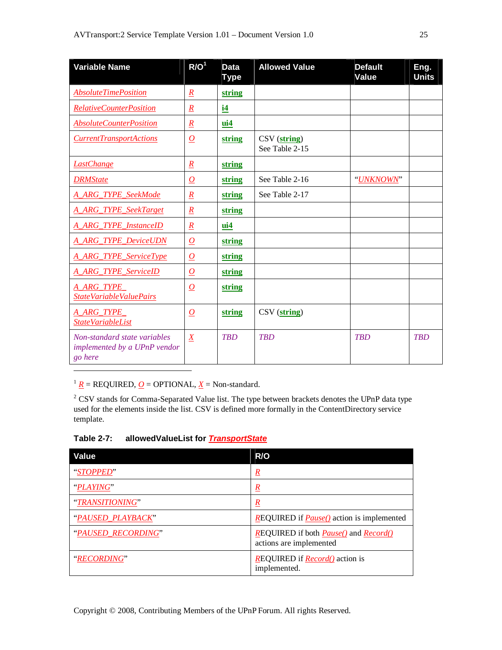| <b>Variable Name</b>                                                    | R/O <sup>1</sup>    | <b>Data</b><br><b>Type</b> | <b>Allowed Value</b>                          | <b>Default</b><br>Value | Eng.<br><b>Units</b> |
|-------------------------------------------------------------------------|---------------------|----------------------------|-----------------------------------------------|-------------------------|----------------------|
| <b>AbsoluteTimePosition</b>                                             | $\underline{R}$     | string                     |                                               |                         |                      |
| <b>RelativeCounterPosition</b>                                          | $\underline{R}$     | i4                         |                                               |                         |                      |
| <b>AbsoluteCounterPosition</b>                                          | $\underline{R}$     | $\mathbf{u}$ i4            |                                               |                         |                      |
| <b>CurrentTransportActions</b>                                          | $\overline{\Omega}$ | string                     | $\text{CSV}(\text{string})$<br>See Table 2-15 |                         |                      |
| <b>LastChange</b>                                                       | $\underline{R}$     | string                     |                                               |                         |                      |
| <b>DRMState</b>                                                         | $\overline{\Omega}$ | string                     | See Table 2-16                                | "UNKNOWN"               |                      |
| <b>A_ARG_TYPE_SeekMode</b>                                              | $\underline{R}$     | string                     | See Table 2-17                                |                         |                      |
| <b>A_ARG_TYPE_SeekTarget</b>                                            | $\underline{R}$     | string                     |                                               |                         |                      |
| A_ARG_TYPE_InstanceID                                                   | $\underline{R}$     | $\mathbf{u}$ i4            |                                               |                         |                      |
| <b>A_ARG_TYPE_DeviceUDN</b>                                             | $\Omega$            | string                     |                                               |                         |                      |
| <b>A_ARG_TYPE_ServiceType</b>                                           | $\Omega$            | string                     |                                               |                         |                      |
| <b>A_ARG_TYPE_ServiceID</b>                                             | $\overline{\Omega}$ | string                     |                                               |                         |                      |
| A_ARG_TYPE<br>StateVariableValuePairs                                   | $\overline{\Omega}$ | string                     |                                               |                         |                      |
| A_ARG_TYPE_<br><b>StateVariableList</b>                                 | $\overline{\Omega}$ | string                     | CSV (string)                                  |                         |                      |
| Non-standard state variables<br>implemented by a UPnP vendor<br>go here | $\overline{X}$      | <b>TRD</b>                 | <b>TRD</b>                                    | <b>TRD</b>              | <b>TRD</b>           |

<sup>1</sup>  $\underline{R}$  = REQUIRED, <u>*O*</u> = OPTIONAL, <u>*X*</u> = Non-standard.

 $\overline{a}$ 

 $2$  CSV stands for Comma-Separated Value list. The type between brackets denotes the UPnP data type used for the elements inside the list. CSV is defined more formally in the ContentDirectory service template.

**Table 2-7: allowedValueList for** *TransportState*

| Value              | R/O                                                                                     |
|--------------------|-----------------------------------------------------------------------------------------|
| "STOPPED"          | $\underline{R}$                                                                         |
| "PLAYING"          | $\underline{R}$                                                                         |
| "TRANSITIONING"    | $\mathbf{k}$                                                                            |
| "PAUSED PLAYBACK"  | <b>REQUIRED</b> if <b>Pause()</b> action is implemented                                 |
| "PAUSED RECORDING" | <b>REQUIRED</b> if both <i>Pause</i> () and <i>Record</i> ()<br>actions are implemented |
| "RECORDING"        | <b>REQUIRED</b> if <b>Record</b> () action is<br>implemented.                           |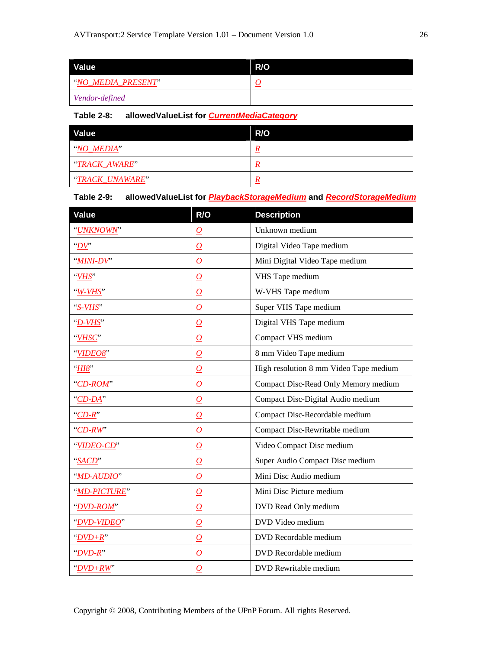| Value              | R/O |
|--------------------|-----|
| "NO MEDIA PRESENT" |     |
| Vendor-defined     |     |

#### **Table 2-8: allowedValueList for** *CurrentMediaCategory*

| Value           | R/O |
|-----------------|-----|
| "NO MEDIA"      | n   |
| "TRACK AWARE"   |     |
| "TRACK_UNAWARE" |     |

#### **Table 2-9: allowedValueList for** *PlaybackStorageMedium* **and** *RecordStorageMedium*

| Value        | R/O                 | <b>Description</b>                     |
|--------------|---------------------|----------------------------------------|
| "UNKNOWN"    | $\boldsymbol{o}$    | Unknown medium                         |
| "DV"         | $\Omega$            | Digital Video Tape medium              |
| "MINI-DV"    | $\boldsymbol{o}$    | Mini Digital Video Tape medium         |
| "VHS"        | $\overline{\Omega}$ | VHS Tape medium                        |
| $W-VHS$      | $\overline{\Omega}$ | W-VHS Tape medium                      |
| "S-VHS"      | $\overline{\Omega}$ | Super VHS Tape medium                  |
| "D-VHS"      | $\Omega$            | Digital VHS Tape medium                |
| "VHSC"       | $\overline{\Omega}$ | Compact VHS medium                     |
| "VIDEO8"     | $\overline{O}$      | 8 mm Video Tape medium                 |
| " $H18$ "    | $\boldsymbol{o}$    | High resolution 8 mm Video Tape medium |
| "CD-ROM"     | $\overline{\Omega}$ | Compact Disc-Read Only Memory medium   |
| "CD-DA"      | $\boldsymbol{o}$    | Compact Disc-Digital Audio medium      |
| $"CD-R"$     | $\overline{\Omega}$ | Compact Disc-Recordable medium         |
| " $CD-RW$ "  | $\overline{\Omega}$ | Compact Disc-Rewritable medium         |
| "VIDEO-CD"   | $\boldsymbol{o}$    | Video Compact Disc medium              |
| "SACD"       | $\overline{\Omega}$ | Super Audio Compact Disc medium        |
| "MD-AUDIO"   | $\overline{\Omega}$ | Mini Disc Audio medium                 |
| "MD-PICTURE" | $\overline{\Omega}$ | Mini Disc Picture medium               |
| "DVD-ROM"    | $\overline{\Omega}$ | DVD Read Only medium                   |
| "DVD-VIDEO"  | $\overline{\Omega}$ | DVD Video medium                       |
| " $DVD+R$ "  | $\overline{\Omega}$ | DVD Recordable medium                  |
| " $DVD-R$ "  | $\overline{\Omega}$ | DVD Recordable medium                  |
| " $DVD+RW$ " | $\overline{\Omega}$ | DVD Rewritable medium                  |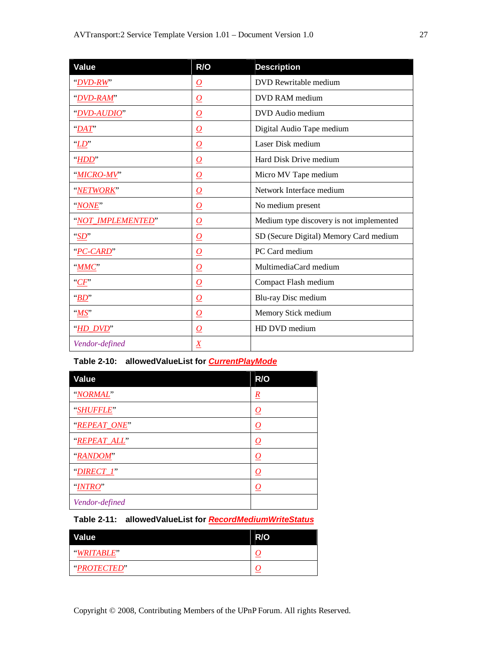| Value             | R/O                 | <b>Description</b>                       |
|-------------------|---------------------|------------------------------------------|
| "DVD-RW"          | $\overline{\Omega}$ | DVD Rewritable medium                    |
| "DVD-RAM"         | $\overline{\Omega}$ | DVD RAM medium                           |
| "DVD-AUDIO"       | $\overline{\Omega}$ | DVD Audio medium                         |
| "DAT"             | $\overline{\Omega}$ | Digital Audio Tape medium                |
| "LD"              | $\overline{\Omega}$ | Laser Disk medium                        |
| HDD               | $\overline{\Omega}$ | Hard Disk Drive medium                   |
| "MICRO-MV"        | $\Omega$            | Micro MV Tape medium                     |
| "NETWORK"         | $\overline{\Omega}$ | Network Interface medium                 |
| "NONE"            | $\overline{\Omega}$ | No medium present                        |
| "NOT_IMPLEMENTED" | $\overline{\Omega}$ | Medium type discovery is not implemented |
| $\mathcal{S}D$    | $\overline{\Omega}$ | SD (Secure Digital) Memory Card medium   |
| "PC-CARD"         | $\Omega$            | PC Card medium                           |
| $"$ <i>MMC</i>    | $\overline{\Omega}$ | MultimediaCard medium                    |
| C F               | $\overline{\Omega}$ | Compact Flash medium                     |
| "BD"              | $\overline{\Omega}$ | Blu-ray Disc medium                      |
| MST               | $\overline{\Omega}$ | Memory Stick medium                      |
| "HD_DVD"          | $\overline{\Omega}$ | HD DVD medium                            |
| Vendor-defined    | $\underline{X}$     |                                          |

## **Table 2-10: allowedValueList for** *CurrentPlayMode*

| <b>Value</b>   | R/O                  |
|----------------|----------------------|
| "NORMAL"       | $\underline{R}$      |
| "SHUFFLE"      | $\overline{\Omega}$  |
| "REPEAT_ONE"   | <u>0</u>             |
| "REPEAT ALL"   | <u>0</u>             |
| "RANDOM"       | <u>0</u>             |
| "DIRECT_I"     | <u>0</u>             |
| "INTRO"        | $\overline{\varrho}$ |
| Vendor-defined |                      |

## **Table 2-11: allowedValueList for** *RecordMediumWriteStatus*

| Value       | R/O |
|-------------|-----|
| "WRITABLE"  |     |
| "PROTECTED" |     |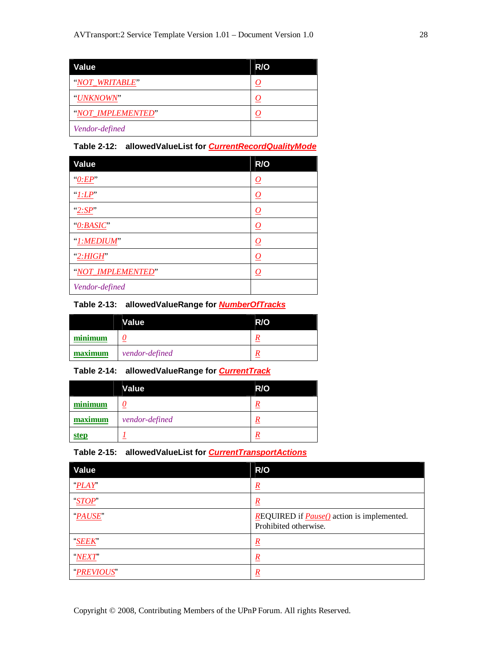| Value             | R/O |
|-------------------|-----|
| "NOT WRITABLE"    | 0   |
| "UNKNOWN"         |     |
| "NOT IMPLEMENTED" |     |
| Vendor-defined    |     |

## **Table 2-12: allowedValueList for** *CurrentRecordQualityMode*

| Value               | R/O                  |
|---------------------|----------------------|
| "0:EP"              | $\overline{\Omega}$  |
| ''.LP'              | $\overline{\Omega}$  |
| "2:SP"              | $\overline{\Omega}$  |
| "0: BASIC"          | $\overline{\Omega}$  |
| " <i>I:MEDIUM</i> " | $\overline{\varrho}$ |
| "2:HIGH"            | <u>0</u>             |
| "NOT IMPLEMENTED"   | $\overline{\Omega}$  |
| Vendor-defined      |                      |

#### **Table 2-13: allowedValueRange for** *NumberOfTracks*

|         | <b>Value</b>   | R/O |
|---------|----------------|-----|
| minimum |                | R   |
| maximum | vendor-defined | R   |

#### **Table 2-14: allowedValueRange for** *CurrentTrack*

|         | Value          | R/O              |
|---------|----------------|------------------|
| minimum |                | R                |
| maximum | vendor-defined | R                |
| step    |                | $\boldsymbol{R}$ |

#### **Table 2-15: allowedValueList for** *CurrentTransportActions*

| Value        | R/O                                                                               |
|--------------|-----------------------------------------------------------------------------------|
| PLAY"        | $\underline{R}$                                                                   |
| "STOP"       | $\underline{R}$                                                                   |
| <b>PAUSE</b> | <b>REQUIRED</b> if <b>Pause()</b> action is implemented.<br>Prohibited otherwise. |
| "SEEK"       | $\boldsymbol{R}$                                                                  |
| "NEXT"       | $\boldsymbol{R}$                                                                  |
| "PREVIOUS"   | $\underline{R}$                                                                   |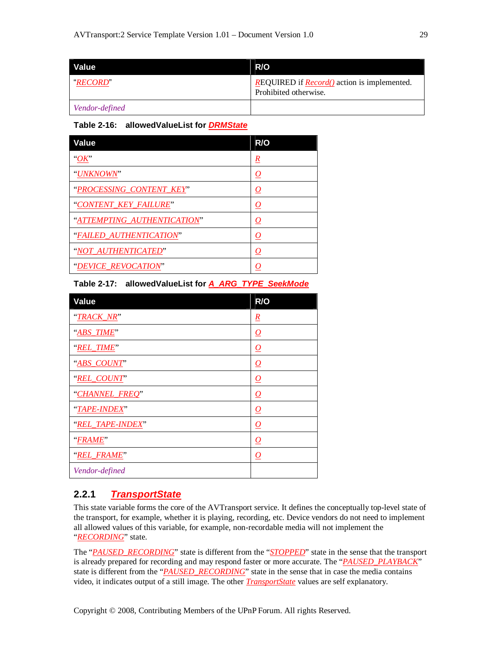| <b>Value</b>    | R/O                                                                                 |
|-----------------|-------------------------------------------------------------------------------------|
| <b>"RECORD"</b> | <b>REQUIRED</b> if <i>Record</i> () action is implemented.<br>Prohibited otherwise. |
| Vendor-defined  |                                                                                     |

#### **Table 2-16: allowedValueList for** *DRMState*

| <b>Value</b>                | R/O                 |
|-----------------------------|---------------------|
| $\partial K$                | $\underline{R}$     |
| "UNKNOWN"                   | $\overline{\Omega}$ |
| "PROCESSING_CONTENT_KEY"    | $\mathcal{Q}$       |
| "CONTENT_KEY_FAILURE"       | $\underline{o}$     |
| "ATTEMPTING_AUTHENTICATION" | $\mathcal{Q}$       |
| "FAILED_AUTHENTICATION"     | $\mathcal{Q}$       |
| "NOT_AUTHENTICATED"         | $\underline{o}$     |
| "DEVICE REVOCATION"         | O                   |

## **Table 2-17: allowedValueList for** *A\_ARG\_TYPE\_SeekMode*

| <b>Value</b>     | R/O                 |
|------------------|---------------------|
| "TRACK_NR"       | $\underline{R}$     |
| "ABS TIME"       | $\overline{\Omega}$ |
| "REL TIME"       | $\varrho$           |
| "ABS_COUNT"      | $\overline{\Omega}$ |
| "REL_COUNT"      | $\overline{\Omega}$ |
| "CHANNEL_FREQ"   | $\overline{\Omega}$ |
| "TAPE-INDEX"     | $\overline{\Omega}$ |
| "REL_TAPE-INDEX" | $\overline{\Omega}$ |
| "FRAME"          | $\overline{\Omega}$ |
| "REL_FRAME"      | $\overline{\Omega}$ |
| Vendor-defined   |                     |

## **2.2.1** *TransportState*

This state variable forms the core of the AVTransport service. It defines the conceptually top-level state of the transport, for example, whether it is playing, recording, etc. Device vendors do not need to implement all allowed values of this variable, for example, non-recordable media will not implement the "*RECORDING*" state.

The "*PAUSED\_RECORDING*" state is different from the "*STOPPED*" state in the sense that the transport is already prepared for recording and may respond faster or more accurate. The "*PAUSED\_PLAYBACK*" state is different from the "*PAUSED\_RECORDING*" state in the sense that in case the media contains video, it indicates output of a still image. The other *TransportState* values are self explanatory.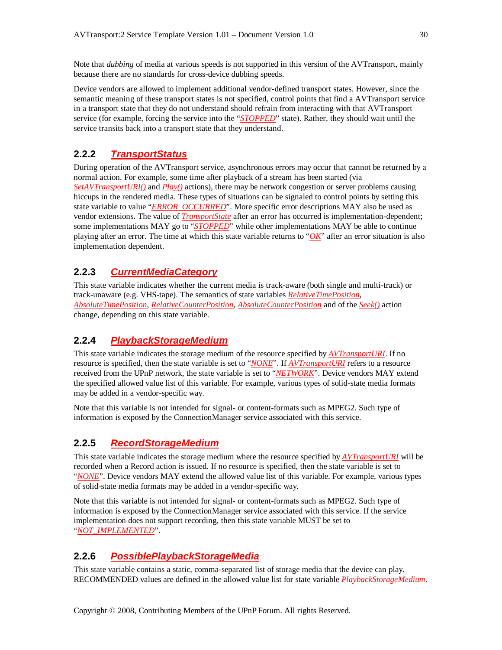Note that *dubbing* of media at various speeds is not supported in this version of the AVTransport, mainly because there are no standards for cross-device dubbing speeds.

Device vendors are allowed to implement additional vendor-defined transport states. However, since the semantic meaning of these transport states is not specified, control points that find a AVTransport service in a transport state that they do not understand should refrain from interacting with that AVTransport service (for example, forcing the service into the "*STOPPED*" state). Rather, they should wait until the service transits back into a transport state that they understand.

## **2.2.2** *TransportStatus*

During operation of the AVTransport service, asynchronous errors may occur that cannot be returned by a normal action. For example, some time after playback of a stream has been started (via *SetAVTransportURI()* and *Play()* actions), there may be network congestion or server problems causing hiccups in the rendered media. These types of situations can be signaled to control points by setting this state variable to value "*ERROR\_OCCURRED*". More specific error descriptions MAY also be used as vendor extensions. The value of *TransportState* after an error has occurred is implementation-dependent; some implementations MAY go to "*STOPPED*" while other implementations MAY be able to continue playing after an error. The time at which this state variable returns to " $OK$ " after an error situation is also implementation dependent.

## **2.2.3** *CurrentMediaCategory*

This state variable indicates whether the current media is track-aware (both single and multi-track) or track-unaware (e.g. VHS-tape). The semantics of state variables *RelativeTimePosition*, *AbsoluteTimePosition*, *RelativeCounterPosition*, *AbsoluteCounterPosition* and of the *Seek()* action change, depending on this state variable.

## **2.2.4** *PlaybackStorageMedium*

This state variable indicates the storage medium of the resource specified by *AVTransportURI*. If no resource is specified, then the state variable is set to "*NONE*". If *AVTransportURI* refers to a resource received from the UPnP network, the state variable is set to "*NETWORK*". Device vendors MAY extend the specified allowed value list of this variable. For example, various types of solid-state media formats may be added in a vendor-specific way.

Note that this variable is not intended for signal- or content-formats such as MPEG2. Such type of information is exposed by the ConnectionManager service associated with this service.

## **2.2.5** *RecordStorageMedium*

This state variable indicates the storage medium where the resource specified by *AVTransportURI* will be recorded when a Record action is issued. If no resource is specified, then the state variable is set to "*NONE*". Device vendors MAY extend the allowed value list of this variable. For example, various types of solid-state media formats may be added in a vendor-specific way.

Note that this variable is not intended for signal- or content-formats such as MPEG2. Such type of information is exposed by the ConnectionManager service associated with this service. If the service implementation does not support recording, then this state variable MUST be set to "*NOT\_IMPLEMENTED*".

## **2.2.6** *PossiblePlaybackStorageMedia*

This state variable contains a static, comma-separated list of storage media that the device can play. RECOMMENDED values are defined in the allowed value list for state variable *PlaybackStorageMedium*.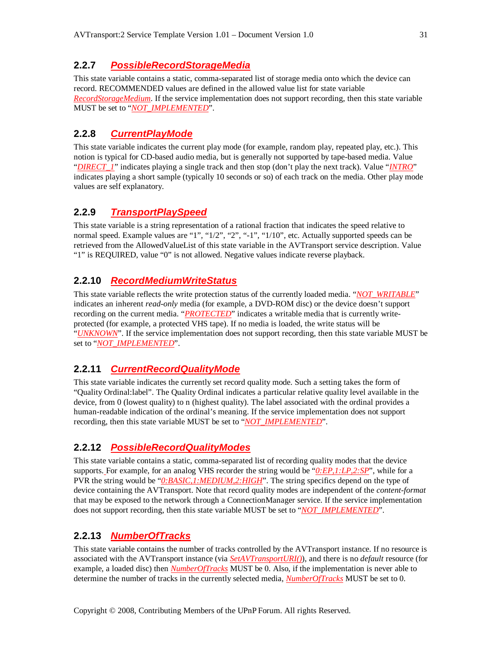#### **2.2.7** *PossibleRecordStorageMedia*

This state variable contains a static, comma-separated list of storage media onto which the device can record. RECOMMENDED values are defined in the allowed value list for state variable *RecordStorageMedium*. If the service implementation does not support recording, then this state variable MUST be set to "*NOT\_IMPLEMENTED*".

## **2.2.8** *CurrentPlayMode*

This state variable indicates the current play mode (for example, random play, repeated play, etc.). This notion is typical for CD-based audio media, but is generally not supported by tape-based media. Value "*DIRECT\_1*" indicates playing a single track and then stop (don't play the next track). Value "*INTRO*" indicates playing a short sample (typically 10 seconds or so) of each track on the media. Other play mode values are self explanatory.

## **2.2.9** *TransportPlaySpeed*

This state variable is a string representation of a rational fraction that indicates the speed relative to normal speed. Example values are "1", "1/2", "2", "-1", "1/10", etc. Actually supported speeds can be retrieved from the AllowedValueList of this state variable in the AVTransport service description. Value "1" is REQUIRED, value "0" is not allowed. Negative values indicate reverse playback.

## **2.2.10** *RecordMediumWriteStatus*

This state variable reflects the write protection status of the currently loaded media. "*NOT\_WRITABLE*" indicates an inherent *read-only* media (for example, a DVD-ROM disc) or the device doesn't support recording on the current media. "*PROTECTED*" indicates a writable media that is currently writeprotected (for example, a protected VHS tape). If no media is loaded, the write status will be "*UNKNOWN*". If the service implementation does not support recording, then this state variable MUST be set to "*NOT\_IMPLEMENTED*".

## **2.2.11** *CurrentRecordQualityMode*

This state variable indicates the currently set record quality mode. Such a setting takes the form of "Quality Ordinal:label". The Quality Ordinal indicates a particular relative quality level available in the device, from 0 (lowest quality) to n (highest quality). The label associated with the ordinal provides a human-readable indication of the ordinal's meaning. If the service implementation does not support recording, then this state variable MUST be set to "*NOT\_IMPLEMENTED*".

## **2.2.12** *PossibleRecordQualityModes*

This state variable contains a static, comma-separated list of recording quality modes that the device supports. For example, for an analog VHS recorder the string would be "*0:EP,1:LP,2:SP*", while for a PVR the string would be "*0:BASIC,1:MEDIUM,2:HIGH*". The string specifics depend on the type of device containing the AVTransport. Note that record quality modes are independent of the *content-format* that may be exposed to the network through a ConnectionManager service. If the service implementation does not support recording, then this state variable MUST be set to "*NOT\_IMPLEMENTED*".

#### **2.2.13** *NumberOfTracks*

This state variable contains the number of tracks controlled by the AVTransport instance. If no resource is associated with the AVTransport instance (via *SetAVTransportURI()*), and there is no *default* resource (for example, a loaded disc) then *NumberOfTracks* MUST be 0. Also, if the implementation is never able to determine the number of tracks in the currently selected media, *NumberOfTracks* MUST be set to 0.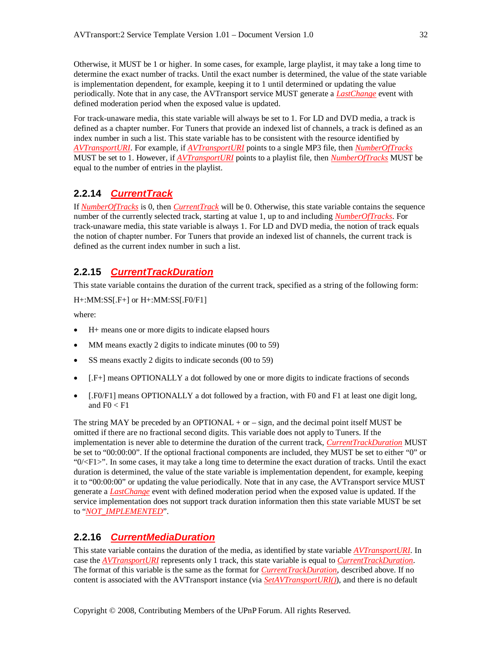Otherwise, it MUST be 1 or higher. In some cases, for example, large playlist, it may take a long time to determine the exact number of tracks. Until the exact number is determined, the value of the state variable is implementation dependent, for example, keeping it to 1 until determined or updating the value periodically. Note that in any case, the AVTransport service MUST generate a *LastChange* event with defined moderation period when the exposed value is updated.

For track-unaware media, this state variable will always be set to 1. For LD and DVD media, a track is defined as a chapter number. For Tuners that provide an indexed list of channels, a track is defined as an index number in such a list. This state variable has to be consistent with the resource identified by *AVTransportURI*. For example, if *AVTransportURI* points to a single MP3 file, then *NumberOfTracks* MUST be set to 1. However, if *AVTransportURI* points to a playlist file, then *NumberOfTracks* MUST be equal to the number of entries in the playlist.

# **2.2.14** *CurrentTrack*

If *NumberOfTracks* is 0, then *CurrentTrack* will be 0. Otherwise, this state variable contains the sequence number of the currently selected track, starting at value 1, up to and including *NumberOfTracks*. For track-unaware media, this state variable is always 1. For LD and DVD media, the notion of track equals the notion of chapter number. For Tuners that provide an indexed list of channels, the current track is defined as the current index number in such a list.

## **2.2.15** *CurrentTrackDuration*

This state variable contains the duration of the current track, specified as a string of the following form:

```
H+:MM:SS[.F+] or H+:MM:SS[.F0/F1]
```
where:

- H+ means one or more digits to indicate elapsed hours
- MM means exactly 2 digits to indicate minutes (00 to 59)
- SS means exactly 2 digits to indicate seconds (00 to 59)
- [.F+] means OPTIONALLY a dot followed by one or more digits to indicate fractions of seconds
- [.F0/F1] means OPTIONALLY a dot followed by a fraction, with F0 and F1 at least one digit long, and  $F0 < F1$

The string MAY be preceded by an OPTIONAL  $+$  or  $-$  sign, and the decimal point itself MUST be omitted if there are no fractional second digits. This variable does not apply to Tuners. If the implementation is never able to determine the duration of the current track, *CurrentTrackDuration* MUST be set to "00:00:00". If the optional fractional components are included, they MUST be set to either "0" or " $0$ / $\lt F1$ ". In some cases, it may take a long time to determine the exact duration of tracks. Until the exact duration is determined, the value of the state variable is implementation dependent, for example, keeping it to "00:00:00" or updating the value periodically. Note that in any case, the AVTransport service MUST generate a *LastChange* event with defined moderation period when the exposed value is updated. If the service implementation does not support track duration information then this state variable MUST be set to "*NOT\_IMPLEMENTED*".

# **2.2.16** *CurrentMediaDuration*

This state variable contains the duration of the media, as identified by state variable *AVTransportURI*. In case the *AVTransportURI* represents only 1 track, this state variable is equal to *CurrentTrackDuration*. The format of this variable is the same as the format for *CurrentTrackDuration*, described above. If no content is associated with the AVTransport instance (via *SetAVTransportURI()*), and there is no default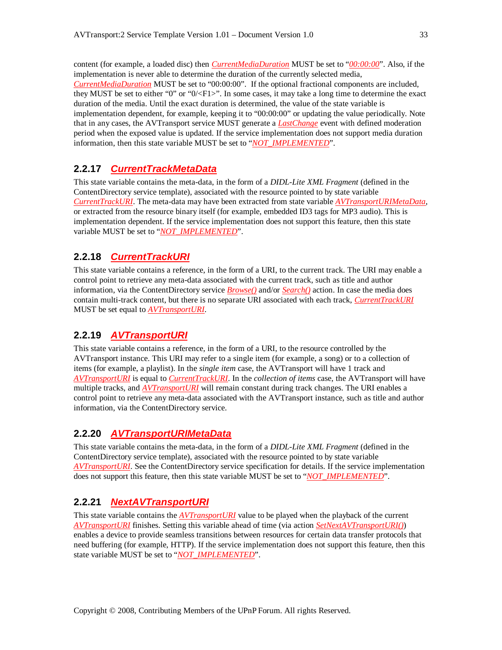content (for example, a loaded disc) then *CurrentMediaDuration* MUST be set to "*00:00:00*". Also, if the implementation is never able to determine the duration of the currently selected media, *CurrentMediaDuration* MUST be set to "00:00:00". If the optional fractional components are included, they MUST be set to either "0" or "0/<F1>". In some cases, it may take a long time to determine the exact duration of the media. Until the exact duration is determined, the value of the state variable is implementation dependent, for example, keeping it to "00:00:00" or updating the value periodically. Note that in any cases, the AVTransport service MUST generate a *LastChange* event with defined moderation period when the exposed value is updated. If the service implementation does not support media duration information, then this state variable MUST be set to "*NOT\_IMPLEMENTED*".

## **2.2.17** *CurrentTrackMetaData*

This state variable contains the meta-data, in the form of a *DIDL-Lite XML Fragment* (defined in the ContentDirectory service template), associated with the resource pointed to by state variable *CurrentTrackURI*. The meta-data may have been extracted from state variable *AVTransportURIMetaData*, or extracted from the resource binary itself (for example, embedded ID3 tags for MP3 audio). This is implementation dependent. If the service implementation does not support this feature, then this state variable MUST be set to "*NOT\_IMPLEMENTED*".

## **2.2.18** *CurrentTrackURI*

This state variable contains a reference, in the form of a URI, to the current track. The URI may enable a control point to retrieve any meta-data associated with the current track, such as title and author information, via the ContentDirectory service *Browse()* and/or *Search()* action. In case the media does contain multi-track content, but there is no separate URI associated with each track, *CurrentTrackURI* MUST be set equal to *AVTransportURI*.

## **2.2.19** *AVTransportURI*

This state variable contains a reference, in the form of a URI, to the resource controlled by the AVTransport instance. This URI may refer to a single item (for example, a song) or to a collection of items (for example, a playlist). In the *single item* case, the AVTransport will have 1 track and *AVTransportURI* is equal to *CurrentTrackURI*. In the *collection of items* case, the AVTransport will have multiple tracks, and *AVTransportURI* will remain constant during track changes. The URI enables a control point to retrieve any meta-data associated with the AVTransport instance, such as title and author information, via the ContentDirectory service.

#### **2.2.20** *AVTransportURIMetaData*

This state variable contains the meta-data, in the form of a *DIDL-Lite XML Fragment* (defined in the ContentDirectory service template), associated with the resource pointed to by state variable *AVTransportURI*. See the ContentDirectory service specification for details. If the service implementation does not support this feature, then this state variable MUST be set to "*NOT\_IMPLEMENTED*".

## **2.2.21** *NextAVTransportURI*

This state variable contains the *AVTransportURI* value to be played when the playback of the current *AVTransportURI* finishes. Setting this variable ahead of time (via action *SetNextAVTransportURI()*) enables a device to provide seamless transitions between resources for certain data transfer protocols that need buffering (for example, HTTP). If the service implementation does not support this feature, then this state variable MUST be set to "*NOT\_IMPLEMENTED*".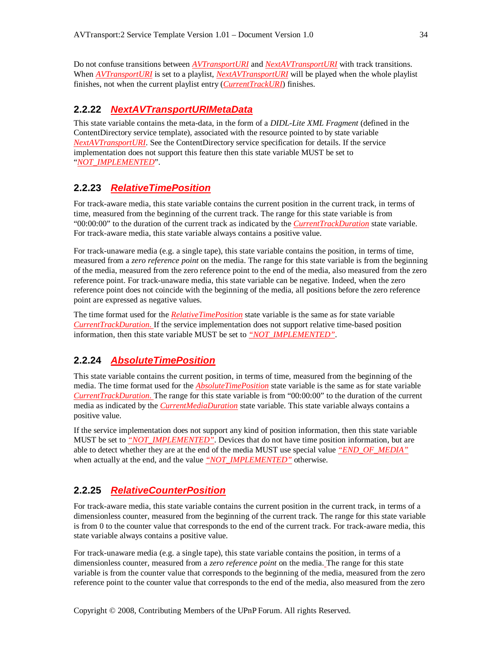Do not confuse transitions between *AVTransportURI* and *NextAVTransportURI* with track transitions. When *AVTransportURI* is set to a playlist, *NextAVTransportURI* will be played when the whole playlist finishes, not when the current playlist entry (*CurrentTrackURI*) finishes.

## **2.2.22** *NextAVTransportURIMetaData*

This state variable contains the meta-data, in the form of a *DIDL-Lite XML Fragment* (defined in the ContentDirectory service template), associated with the resource pointed to by state variable *NextAVTransportURI*. See the ContentDirectory service specification for details. If the service implementation does not support this feature then this state variable MUST be set to "*NOT\_IMPLEMENTED*".

#### **2.2.23** *RelativeTimePosition*

For track-aware media, this state variable contains the current position in the current track, in terms of time, measured from the beginning of the current track. The range for this state variable is from "00:00:00" to the duration of the current track as indicated by the *CurrentTrackDuration* state variable. For track-aware media, this state variable always contains a positive value.

For track-unaware media (e.g. a single tape), this state variable contains the position, in terms of time, measured from a *zero reference point* on the media. The range for this state variable is from the beginning of the media, measured from the zero reference point to the end of the media, also measured from the zero reference point. For track-unaware media, this state variable can be negative. Indeed, when the zero reference point does not coincide with the beginning of the media, all positions before the zero reference point are expressed as negative values.

The time format used for the *RelativeTimePosition* state variable is the same as for state variable *CurrentTrackDuration*. If the service implementation does not support relative time-based position information, then this state variable MUST be set to *"NOT\_IMPLEMENTED"*.

## **2.2.24** *AbsoluteTimePosition*

This state variable contains the current position, in terms of time, measured from the beginning of the media. The time format used for the *AbsoluteTimePosition* state variable is the same as for state variable *CurrentTrackDuration*. The range for this state variable is from "00:00:00" to the duration of the current media as indicated by the *CurrentMediaDuration* state variable. This state variable always contains a positive value.

If the service implementation does not support any kind of position information, then this state variable MUST be set to *"NOT\_IMPLEMENTED"*. Devices that do not have time position information, but are able to detect whether they are at the end of the media MUST use special value *"END\_OF\_MEDIA"* when actually at the end, and the value *"NOT\_IMPLEMENTED"* otherwise.

## **2.2.25** *RelativeCounterPosition*

For track-aware media, this state variable contains the current position in the current track, in terms of a dimensionless counter, measured from the beginning of the current track. The range for this state variable is from 0 to the counter value that corresponds to the end of the current track. For track-aware media, this state variable always contains a positive value.

For track-unaware media (e.g. a single tape), this state variable contains the position, in terms of a dimensionless counter, measured from a *zero reference point* on the media. The range for this state variable is from the counter value that corresponds to the beginning of the media, measured from the zero reference point to the counter value that corresponds to the end of the media, also measured from the zero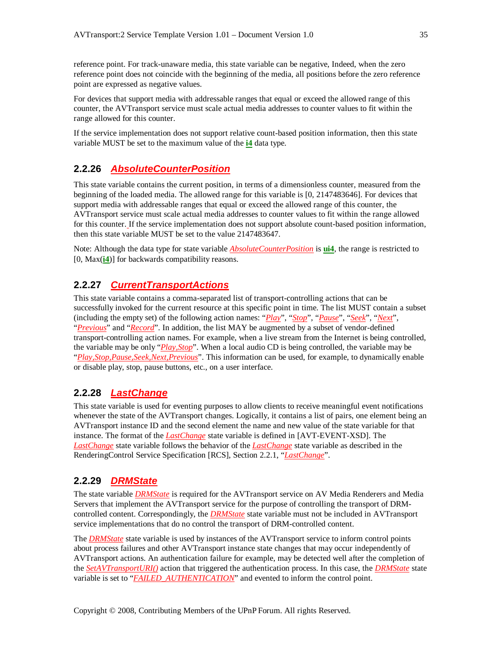reference point. For track-unaware media, this state variable can be negative, Indeed, when the zero reference point does not coincide with the beginning of the media, all positions before the zero reference point are expressed as negative values.

For devices that support media with addressable ranges that equal or exceed the allowed range of this counter, the AVTransport service must scale actual media addresses to counter values to fit within the range allowed for this counter.

If the service implementation does not support relative count-based position information, then this state variable MUST be set to the maximum value of the **i4** data type.

## **2.2.26** *AbsoluteCounterPosition*

This state variable contains the current position, in terms of a dimensionless counter, measured from the beginning of the loaded media. The allowed range for this variable is [0, 2147483646]. For devices that support media with addressable ranges that equal or exceed the allowed range of this counter, the AVTransport service must scale actual media addresses to counter values to fit within the range allowed for this counter. If the service implementation does not support absolute count-based position information, then this state variable MUST be set to the value 2147483647.

Note: Although the data type for state variable *AbsoluteCounterPosition* is **ui4**, the range is restricted to [0, Max(**i4**)] for backwards compatibility reasons.

#### **2.2.27** *CurrentTransportActions*

This state variable contains a comma-separated list of transport-controlling actions that can be successfully invoked for the current resource at this specific point in time. The list MUST contain a subset (including the empty set) of the following action names: "*Play*", "*Stop*", "*Pause*", "*Seek*", "*Next*", "*Previous*" and "*Record*". In addition, the list MAY be augmented by a subset of vendor-defined transport-controlling action names. For example, when a live stream from the Internet is being controlled, the variable may be only "*Play,Stop*". When a local audio CD is being controlled, the variable may be "*Play,Stop,Pause,Seek,Next,Previous*". This information can be used, for example, to dynamically enable or disable play, stop, pause buttons, etc., on a user interface.

#### **2.2.28** *LastChange*

This state variable is used for eventing purposes to allow clients to receive meaningful event notifications whenever the state of the AVTransport changes. Logically, it contains a list of pairs, one element being an AVTransport instance ID and the second element the name and new value of the state variable for that instance. The format of the *LastChange* state variable is defined in [AVT-EVENT-XSD]. The *LastChange* state variable follows the behavior of the *LastChange* state variable as described in the RenderingControl Service Specification [RCS], Section 2.2.1, "*LastChange*".

#### **2.2.29** *DRMState*

The state variable *DRMState* is required for the AVTransport service on AV Media Renderers and Media Servers that implement the AVTransport service for the purpose of controlling the transport of DRMcontrolled content. Correspondingly, the *DRMState* state variable must not be included in AVTransport service implementations that do no control the transport of DRM-controlled content.

The *DRMState* state variable is used by instances of the AVTransport service to inform control points about process failures and other AVTransport instance state changes that may occur independently of AVTransport actions. An authentication failure for example, may be detected well after the completion of the *SetAVTransportURI()* action that triggered the authentication process. In this case, the *DRMState* state variable is set to "*FAILED\_AUTHENTICATION*" and evented to inform the control point.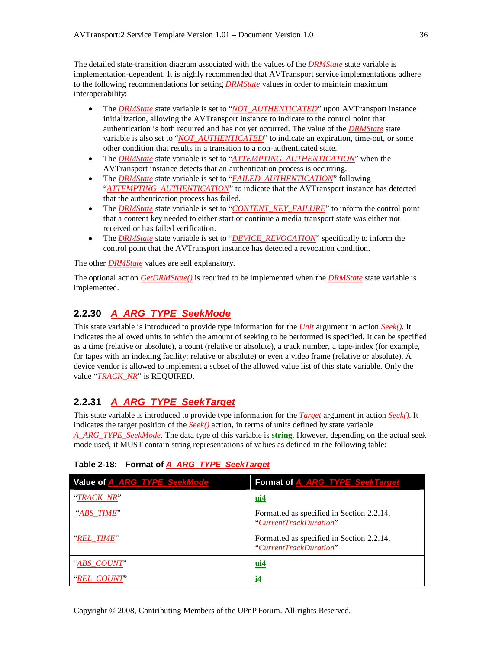The detailed state-transition diagram associated with the values of the *DRMState* state variable is implementation-dependent. It is highly recommended that AVTransport service implementations adhere to the following recommendations for setting *DRMState* values in order to maintain maximum interoperability:

- The *DRMState* state variable is set to "*NOT\_AUTHENTICATED*" upon AVTransport instance initialization, allowing the AVTransport instance to indicate to the control point that authentication is both required and has not yet occurred. The value of the *DRMState* state variable is also set to "*NOT\_AUTHENTICATED*" to indicate an expiration, time-out, or some other condition that results in a transition to a non-authenticated state.
- The *DRMState* state variable is set to "*ATTEMPTING\_AUTHENTICATION*" when the AVTransport instance detects that an authentication process is occurring.
- The *DRMState* state variable is set to "*FAILED\_AUTHENTICATION*" following "*ATTEMPTING\_AUTHENTICATION*" to indicate that the AVTransport instance has detected that the authentication process has failed.
- The *DRMState* state variable is set to "*CONTENT\_KEY\_FAILURE*" to inform the control point that a content key needed to either start or continue a media transport state was either not received or has failed verification.
- The *DRMState* state variable is set to "*DEVICE\_REVOCATION*" specifically to inform the control point that the AVTransport instance has detected a revocation condition.

The other *DRMState* values are self explanatory.

The optional action *GetDRMState()* is required to be implemented when the *DRMState* state variable is implemented.

## **2.2.30** *A\_ARG\_TYPE\_SeekMode*

This state variable is introduced to provide type information for the *Unit* argument in action *Seek()*. It indicates the allowed units in which the amount of seeking to be performed is specified. It can be specified as a time (relative or absolute), a count (relative or absolute), a track number, a tape-index (for example, for tapes with an indexing facility; relative or absolute) or even a video frame (relative or absolute). A device vendor is allowed to implement a subset of the allowed value list of this state variable. Only the value "*TRACK\_NR*" is REQUIRED.

# **2.2.31** *A\_ARG\_TYPE\_SeekTarget*

This state variable is introduced to provide type information for the *Target* argument in action *Seek()*. It indicates the target position of the *Seek()* action, in terms of units defined by state variable *A\_ARG\_TYPE\_SeekMode*. The data type of this variable is **string**. However, depending on the actual seek mode used, it MUST contain string representations of values as defined in the following table:

| Value of A ARG TYPE SeekMode | Format of A ARG TYPE SeekTarget                                     |
|------------------------------|---------------------------------------------------------------------|
| "TRACK NR"                   | $iii4$                                                              |
| $\frac{4}{2}$ ABS TIME"      | Formatted as specified in Section 2.2.14,<br>"CurrentTrackDuration" |
| "REL_TIME"                   | Formatted as specified in Section 2.2.14,<br>"CurrentTrackDuration" |
| "ABS COUNT"                  | $\mathbf{u}$ i4                                                     |
| "REL COUNT"                  | $\mathbf{i}$                                                        |

#### **Table 2-18: Format of** *A\_ARG\_TYPE\_SeekTarget*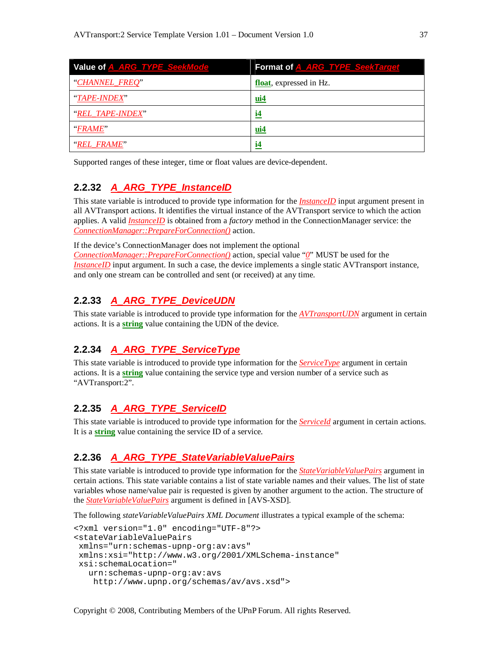| Value of <b>A_ARG_TYPE_SeekMode</b> | Format of A_ARG_TYPE_SeekTarget |
|-------------------------------------|---------------------------------|
| "CHANNEL_FREQ"                      | float, expressed in Hz.         |
| "TAPE-INDEX"                        | $ui4$                           |
| "REL TAPE-INDEX"                    | $\mathbf{i}$ 4                  |
| <i><b>FRAME</b></i>                 | $ui4$                           |
| "REL FRAME"                         | $\mathbf{i}$ 4                  |

Supported ranges of these integer, time or float values are device-dependent.

## **2.2.32** *A\_ARG\_TYPE\_InstanceID*

This state variable is introduced to provide type information for the *InstanceID* input argument present in all AVTransport actions. It identifies the virtual instance of the AVTransport service to which the action applies. A valid *InstanceID* is obtained from a *factory* method in the ConnectionManager service: the *ConnectionManager::PrepareForConnection()* action.

If the device's ConnectionManager does not implement the optional

*ConnectionManager::PrepareForConnection()* action, special value "*0*" MUST be used for the *InstanceID* input argument. In such a case, the device implements a single static AVTransport instance, and only one stream can be controlled and sent (or received) at any time.

## **2.2.33** *A\_ARG\_TYPE\_DeviceUDN*

This state variable is introduced to provide type information for the *AVTransportUDN* argument in certain actions. It is a **string** value containing the UDN of the device.

## **2.2.34** *A\_ARG\_TYPE\_ServiceType*

This state variable is introduced to provide type information for the *ServiceType* argument in certain actions. It is a **string** value containing the service type and version number of a service such as "AVTransport:2".

## **2.2.35** *A\_ARG\_TYPE\_ServiceID*

This state variable is introduced to provide type information for the *ServiceId* argument in certain actions. It is a **string** value containing the service ID of a service.

## **2.2.36** *A\_ARG\_TYPE\_StateVariableValuePairs*

This state variable is introduced to provide type information for the *StateVariableValuePairs* argument in certain actions. This state variable contains a list of state variable names and their values. The list of state variables whose name/value pair is requested is given by another argument to the action. The structure of the *StateVariableValuePairs* argument is defined in [AVS-XSD].

The following *stateVariableValuePairs XML Document* illustrates a typical example of the schema:

```
<?xml version="1.0" encoding="UTF-8"?>
<stateVariableValuePairs
xmlns="urn:schemas-upnp-org:av:avs"
xmlns:xsi="http://www.w3.org/2001/XMLSchema-instance"
xsi:schemaLocation="
  urn:schemas-upnp-org:av:avs
   http://www.upnp.org/schemas/av/avs.xsd">
```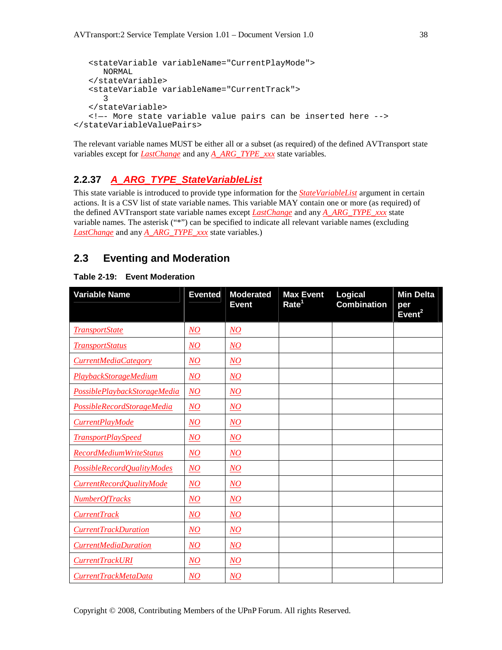```
<stateVariable variableName="CurrentPlayMode">
     NORMAL
   </stateVariable>
   <stateVariable variableName="CurrentTrack">
      3
   </stateVariable>
   <!—- More state variable value pairs can be inserted here -->
</stateVariableValuePairs>
```
The relevant variable names MUST be either all or a subset (as required) of the defined AVTransport state variables except for *LastChange* and any *A\_ARG\_TYPE\_xxx* state variables.

## **2.2.37** *A\_ARG\_TYPE\_StateVariableList*

This state variable is introduced to provide type information for the *StateVariableList* argument in certain actions. It is a CSV list of state variable names. This variable MAY contain one or more (as required) of the defined AVTransport state variable names except *LastChange* and any *A\_ARG\_TYPE\_xxx* state variable names. The asterisk ("\*") can be specified to indicate all relevant variable names (excluding *LastChange* and any *A\_ARG\_TYPE\_xxx* state variables.)

## **2.3 Eventing and Moderation**

#### **Table 2-19: Event Moderation**

| <b>Variable Name</b>           | <b>Evented</b>  | <b>Moderated</b><br><b>Event</b> | <b>Max Event</b><br>Rate <sup>1</sup> | Logical<br><b>Combination</b> | <b>Min Delta</b><br>per<br>Event <sup>2</sup> |
|--------------------------------|-----------------|----------------------------------|---------------------------------------|-------------------------------|-----------------------------------------------|
| <b>TransportState</b>          | NQ              | $N$ O                            |                                       |                               |                                               |
| <b>TransportStatus</b>         | NQ              | NO                               |                                       |                               |                                               |
| CurrentMediaCategory           | NQ              | NO                               |                                       |                               |                                               |
| PlaybackStorageMedium          | NQ              | $\overline{NO}$                  |                                       |                               |                                               |
| PossiblePlaybackStorageMedia   | $\overline{NO}$ | $\overline{NO}$                  |                                       |                               |                                               |
| PossibleRecordStorageMedia     | $\overline{NO}$ | $\overline{NO}$                  |                                       |                               |                                               |
| CurrentPlayMode                | NO              | $\overline{NO}$                  |                                       |                               |                                               |
| <b>TransportPlaySpeed</b>      | NO              | $N$ O                            |                                       |                               |                                               |
| <b>RecordMediumWriteStatus</b> | $\overline{NO}$ | $\underline{NO}$                 |                                       |                               |                                               |
| PossibleRecordQualityModes     | $\overline{NO}$ | $\overline{NO}$                  |                                       |                               |                                               |
| CurrentRecordQualityMode       | NQ              | NO                               |                                       |                               |                                               |
| <b>NumberOfTracks</b>          | NQ              | NO                               |                                       |                               |                                               |
| <b>CurrentTrack</b>            | $\overline{NO}$ | $\overline{NO}$                  |                                       |                               |                                               |
| <b>CurrentTrackDuration</b>    | NO              | NO                               |                                       |                               |                                               |
| <b>CurrentMediaDuration</b>    | NO              | $N$ O                            |                                       |                               |                                               |
| CurrentTrackURI                | NO              | $N$ O                            |                                       |                               |                                               |
| CurrentTrackMetaData           | NO              | $N$ O                            |                                       |                               |                                               |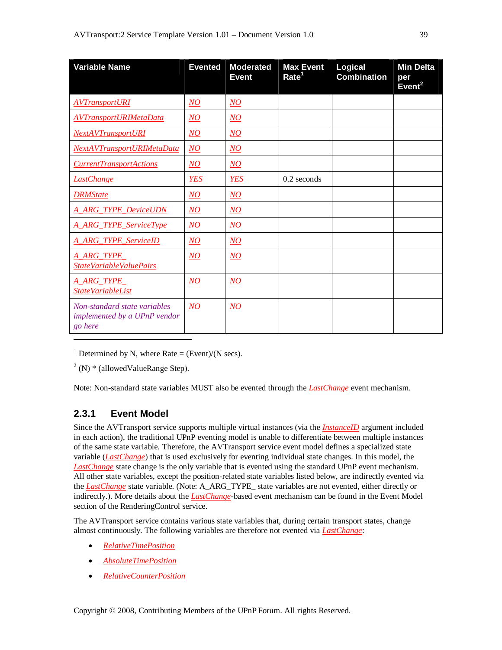| <b>Variable Name</b>                                                    | <b>Evented</b>   | <b>Moderated</b><br><b>Event</b> | <b>Max Event</b><br>Rate <sup>1</sup> | Logical<br><b>Combination</b> | <b>Min Delta</b><br>per<br>Event <sup>2</sup> |
|-------------------------------------------------------------------------|------------------|----------------------------------|---------------------------------------|-------------------------------|-----------------------------------------------|
| <b>AVTransportURI</b>                                                   | $\overline{NO}$  | $\overline{NO}$                  |                                       |                               |                                               |
| <b>AVTransportURIMetaData</b>                                           | NQ               | N <sub>O</sub>                   |                                       |                               |                                               |
| NextAVTransportURI                                                      | $\underline{NO}$ | NO                               |                                       |                               |                                               |
| NextAVTransportURIMetaData                                              | $\overline{NO}$  | NO                               |                                       |                               |                                               |
| <b>CurrentTransportActions</b>                                          | NO               | NO                               |                                       |                               |                                               |
| <b>LastChange</b>                                                       | <b>YES</b>       | <b>YES</b>                       | $0.2$ seconds                         |                               |                                               |
| <b>DRMState</b>                                                         | $\overline{NO}$  | $\overline{NO}$                  |                                       |                               |                                               |
| <b>A ARG TYPE DeviceUDN</b>                                             | $\overline{NO}$  | $\overline{NO}$                  |                                       |                               |                                               |
| A_ARG_TYPE_ServiceType                                                  | $\underline{NO}$ | $\overline{NO}$                  |                                       |                               |                                               |
| <b>A_ARG_TYPE_ServiceID</b>                                             | $\underline{NO}$ | $\overline{NO}$                  |                                       |                               |                                               |
| A_ARG_TYPE<br>StateVariableValuePairs                                   | NQ               | NQ                               |                                       |                               |                                               |
| A_ARG_TYPE_<br><b>StateVariableList</b>                                 | $\overline{NO}$  | $\overline{NO}$                  |                                       |                               |                                               |
| Non-standard state variables<br>implemented by a UPnP vendor<br>go here | NO               | $N$ O                            |                                       |                               |                                               |

<sup>1</sup> Determined by N, where Rate = (Event)/(N secs).

 $2(N)$  \* (allowed Value Range Step).

Note: Non-standard state variables MUST also be evented through the *LastChange* event mechanism.

## **2.3.1 Event Model**

Since the AVTransport service supports multiple virtual instances (via the *InstanceID* argument included in each action), the traditional UPnP eventing model is unable to differentiate between multiple instances of the same state variable. Therefore, the AVTransport service event model defines a specialized state variable (*LastChange*) that is used exclusively for eventing individual state changes. In this model, the *LastChange* state change is the only variable that is evented using the standard UPnP event mechanism. All other state variables, except the position-related state variables listed below, are indirectly evented via the *LastChange* state variable. (Note: A\_ARG\_TYPE\_ state variables are not evented, either directly or indirectly.). More details about the *LastChange*-based event mechanism can be found in the Event Model section of the RenderingControl service.

The AVTransport service contains various state variables that, during certain transport states, change almost continuously. The following variables are therefore not evented via *LastChange*:

- *RelativeTimePosition*
- *AbsoluteTimePosition*
- *RelativeCounterPosition*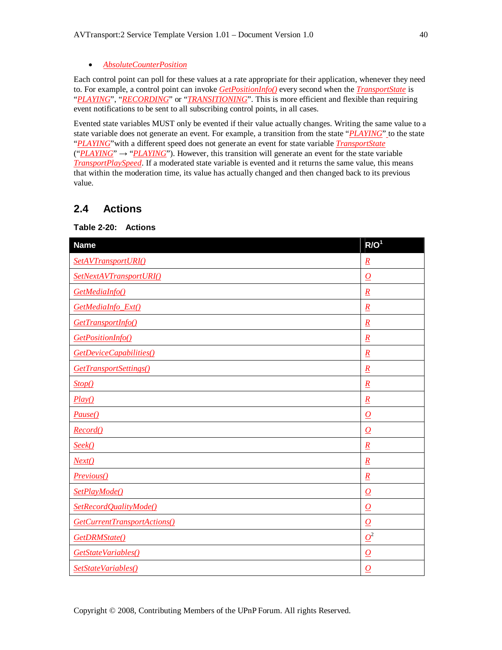#### *AbsoluteCounterPosition*

Each control point can poll for these values at a rate appropriate for their application, whenever they need to. For example, a control point can invoke *GetPositionInfo()* every second when the *TransportState* is "*PLAYING*", "*RECORDING*" or "*TRANSITIONING*". This is more efficient and flexible than requiring event notifications to be sent to all subscribing control points, in all cases.

Evented state variables MUST only be evented if their value actually changes. Writing the same value to a state variable does not generate an event. For example, a transition from the state "*PLAYING*" to the state "*PLAYING*"with a different speed does not generate an event for state variable *TransportState*  $("PLANING" \rightarrow "PLANING"')$ . However, this transition will generate an event for the state variable *TransportPlaySpeed*. If a moderated state variable is evented and it returns the same value, this means that within the moderation time, its value has actually changed and then changed back to its previous value.

## **2.4 Actions**

#### **Table 2-20: Actions**

| <b>Name</b>                  | R/O <sup>1</sup>         |
|------------------------------|--------------------------|
| SetAVTransportURI()          | $\underline{R}$          |
| SetNextAVTransportURI()      | $\overline{\Omega}$      |
| GetMediaInfo()               | $\underline{R}$          |
| GetMediaInfo_Ext()           | $\underline{R}$          |
| GetTransportInfo()           | $\underline{R}$          |
| GetPositionInfo()            | $\underline{R}$          |
| GetDeviceCapabilities()      | $\underline{R}$          |
| GetTransportSettings()       | $\underline{R}$          |
| Stop()                       | $\underline{R}$          |
| Play()                       | $\underline{R}$          |
| Pause()                      | $\overline{\Omega}$      |
| Record()                     | $\overline{O}$           |
| Seek()                       | $\underline{R}$          |
| Next()                       | $\underline{R}$          |
| Previous()                   | $\underline{R}$          |
| SetPlayMode()                | $\overline{\Omega}$      |
| SetRecordQualityMode()       | $\overline{O}$           |
| GetCurrentTransportActions() | $\overline{\mathcal{Q}}$ |
| GetDRMState()                | $\mathcal{Q}^2$          |
| GetStateVariables()          | $\overline{\Omega}$      |
| SetStateVariables()          | $\overline{\Omega}$      |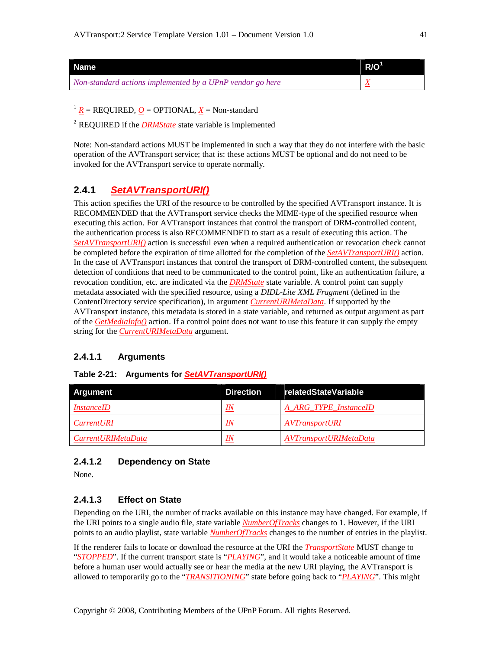| <b>Name</b>                                               | $R/O^1$ |
|-----------------------------------------------------------|---------|
| Non-standard actions implemented by a UPnP vendor go here |         |
|                                                           |         |

 $1 R$  = REQUIRED, *O* = OPTIONAL, *X* = Non-standard

<sup>2</sup> REQUIRED if the *DRMState* state variable is implemented

Note: Non-standard actions MUST be implemented in such a way that they do not interfere with the basic operation of the AVTransport service; that is: these actions MUST be optional and do not need to be invoked for the AVTransport service to operate normally.

## **2.4.1** *SetAVTransportURI()*

This action specifies the URI of the resource to be controlled by the specified AVTransport instance. It is RECOMMENDED that the AVTransport service checks the MIME-type of the specified resource when executing this action. For AVTransport instances that control the transport of DRM-controlled content, the authentication process is also RECOMMENDED to start as a result of executing this action. The *SetAVTransportURI()* action is successful even when a required authentication or revocation check cannot be completed before the expiration of time allotted for the completion of the *SetAVTransportURI()* action. In the case of AVTransport instances that control the transport of DRM-controlled content, the subsequent detection of conditions that need to be communicated to the control point, like an authentication failure, a revocation condition, etc. are indicated via the *DRMState* state variable. A control point can supply metadata associated with the specified resource, using a *DIDL-Lite XML Fragment* (defined in the ContentDirectory service specification), in argument *CurrentURIMetaData*. If supported by the AVTransport instance, this metadata is stored in a state variable, and returned as output argument as part of the *GetMediaInfo()* action. If a control point does not want to use this feature it can supply the empty string for the *CurrentURIMetaData* argument.

#### **2.4.1.1 Arguments**

# **Argument Direction relatedStateVariable** *InstanceID IN A\_ARG\_TYPE\_InstanceID CurrentURI IN AVTransportURI CurrentURIMetaData IN AVTransportURIMetaData*

#### **Table 2-21: Arguments for** *SetAVTransportURI()*

#### **2.4.1.2 Dependency on State**

None.

## **2.4.1.3 Effect on State**

Depending on the URI, the number of tracks available on this instance may have changed. For example, if the URI points to a single audio file, state variable *NumberOfTracks* changes to 1. However, if the URI points to an audio playlist, state variable *NumberOfTracks* changes to the number of entries in the playlist.

If the renderer fails to locate or download the resource at the URI the *TransportState* MUST change to "*STOPPED*". If the current transport state is "*PLAYING*", and it would take a noticeable amount of time before a human user would actually see or hear the media at the new URI playing, the AVTransport is allowed to temporarily go to the "*TRANSITIONING*" state before going back to "*PLAYING*". This might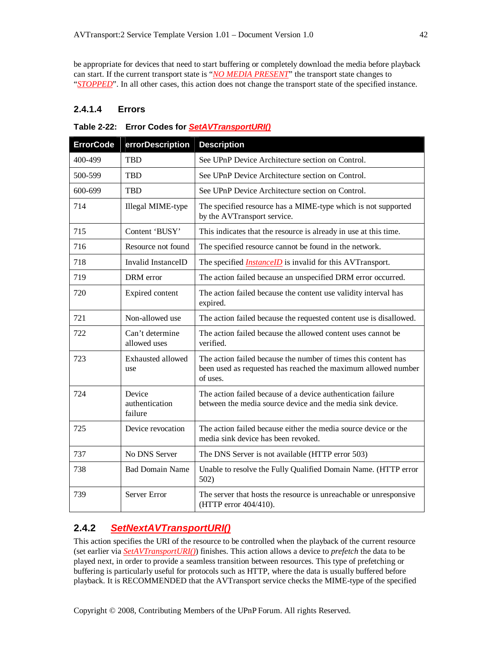be appropriate for devices that need to start buffering or completely download the media before playback can start. If the current transport state is "*NO MEDIA PRESENT*" the transport state changes to "*STOPPED*". In all other cases, this action does not change the transport state of the specified instance.

### **2.4.1.4 Errors**

#### **Table 2-22: Error Codes for** *SetAVTransportURI()*

| <b>ErrorCode</b> | errorDescription                    | <b>Description</b>                                                                                                                          |
|------------------|-------------------------------------|---------------------------------------------------------------------------------------------------------------------------------------------|
| 400-499          | <b>TBD</b>                          | See UPnP Device Architecture section on Control.                                                                                            |
| 500-599          | <b>TBD</b>                          | See UPnP Device Architecture section on Control.                                                                                            |
| 600-699          | <b>TBD</b>                          | See UPnP Device Architecture section on Control.                                                                                            |
| 714              | Illegal MIME-type                   | The specified resource has a MIME-type which is not supported<br>by the AVTransport service.                                                |
| 715              | Content 'BUSY'                      | This indicates that the resource is already in use at this time.                                                                            |
| 716              | Resource not found                  | The specified resource cannot be found in the network.                                                                                      |
| 718              | Invalid InstanceID                  | The specified <i>InstanceID</i> is invalid for this AVTransport.                                                                            |
| 719              | DRM error                           | The action failed because an unspecified DRM error occurred.                                                                                |
| 720              | Expired content                     | The action failed because the content use validity interval has<br>expired.                                                                 |
| 721              | Non-allowed use                     | The action failed because the requested content use is disallowed.                                                                          |
| 722              | Can't determine<br>allowed uses     | The action failed because the allowed content uses cannot be<br>verified.                                                                   |
| 723              | Exhausted allowed<br>use            | The action failed because the number of times this content has<br>been used as requested has reached the maximum allowed number<br>of uses. |
| 724              | Device<br>authentication<br>failure | The action failed because of a device authentication failure<br>between the media source device and the media sink device.                  |
| 725              | Device revocation                   | The action failed because either the media source device or the<br>media sink device has been revoked.                                      |
| 737              | No DNS Server                       | The DNS Server is not available (HTTP error 503)                                                                                            |
| 738              | <b>Bad Domain Name</b>              | Unable to resolve the Fully Qualified Domain Name. (HTTP error<br>502)                                                                      |
| 739              | Server Error                        | The server that hosts the resource is unreachable or unresponsive<br>(HTTP error 404/410).                                                  |

## **2.4.2** *SetNextAVTransportURI()*

This action specifies the URI of the resource to be controlled when the playback of the current resource (set earlier via *SetAVTransportURI()*) finishes. This action allows a device to *prefetch* the data to be played next, in order to provide a seamless transition between resources. This type of prefetching or buffering is particularly useful for protocols such as HTTP, where the data is usually buffered before playback. It is RECOMMENDED that the AVTransport service checks the MIME-type of the specified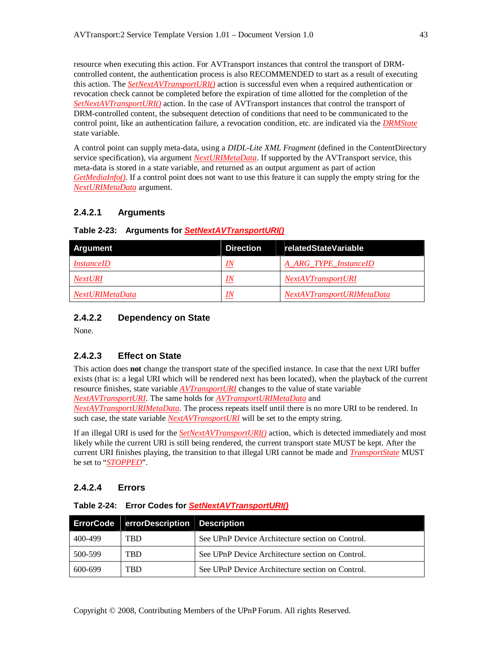resource when executing this action. For AVTransport instances that control the transport of DRMcontrolled content, the authentication process is also RECOMMENDED to start as a result of executing this action. The *SetNextAVTransportURI()* action is successful even when a required authentication or revocation check cannot be completed before the expiration of time allotted for the completion of the *SetNextAVTransportURI()* action. In the case of AVTransport instances that control the transport of DRM-controlled content, the subsequent detection of conditions that need to be communicated to the control point, like an authentication failure, a revocation condition, etc. are indicated via the *DRMState* state variable.

A control point can supply meta-data, using a *DIDL-Lite XML Fragment* (defined in the ContentDirectory service specification), via argument *NextURIMetaData*. If supported by the AVTransport service, this meta-data is stored in a state variable, and returned as an output argument as part of action *GetMediaInfo()*. If a control point does not want to use this feature it can supply the empty string for the *NextURIMetaData* argument.

#### **2.4.2.1 Arguments**

| <b>Argument</b>   | <b>Direction</b> | relatedStateVariable       |
|-------------------|------------------|----------------------------|
| <i>InstanceID</i> | IN               | A ARG TYPE InstanceID      |
| <b>NextURI</b>    | IN               | <b>NextAVTransportURI</b>  |
| NextURIMetaData   | IN               | NextAVTransportURIMetaData |

#### **Table 2-23: Arguments for** *SetNextAVTransportURI()*

#### **2.4.2.2 Dependency on State**

None.

#### **2.4.2.3 Effect on State**

This action does **not** change the transport state of the specified instance. In case that the next URI buffer exists (that is: a legal URI which will be rendered next has been located), when the playback of the current resource finishes, state variable *AVTransportURI* changes to the value of state variable *NextAVTransportURI*. The same holds for *AVTransportURIMetaData* and *NextAVTransportURIMetaData*. The process repeats itself until there is no more URI to be rendered. In such case, the state variable *NextAVTransportURI* will be set to the empty string.

If an illegal URI is used for the *SetNextAVTransportURI()* action, which is detected immediately and most likely while the current URI is still being rendered, the current transport state MUST be kept. After the current URI finishes playing, the transition to that illegal URI cannot be made and *TransportState* MUST be set to "*STOPPED*".

#### **2.4.2.4 Errors**

#### **Table 2-24: Error Codes for** *SetNextAVTransportURI()*

|         | ErrorCode   errorDescription Description |                                                  |
|---------|------------------------------------------|--------------------------------------------------|
| 400-499 | <b>TRD</b>                               | See UPnP Device Architecture section on Control. |
| 500-599 | <b>TRD</b>                               | See UPnP Device Architecture section on Control. |
| 600-699 | TRD                                      | See UPnP Device Architecture section on Control. |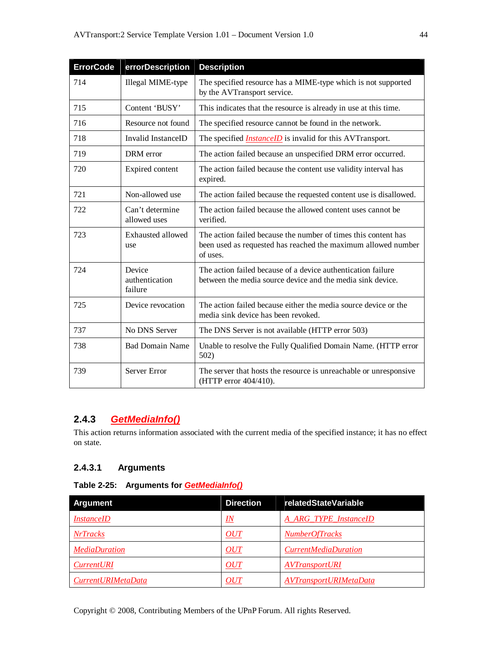| <b>ErrorCode</b> | errorDescription                    | <b>Description</b>                                                                                                                          |
|------------------|-------------------------------------|---------------------------------------------------------------------------------------------------------------------------------------------|
| 714              | Illegal MIME-type                   | The specified resource has a MIME-type which is not supported<br>by the AVTransport service.                                                |
| 715              | Content 'BUSY'                      | This indicates that the resource is already in use at this time.                                                                            |
| 716              | Resource not found                  | The specified resource cannot be found in the network.                                                                                      |
| 718              | Invalid InstanceID                  | The specified <i>InstanceID</i> is invalid for this AVTransport.                                                                            |
| 719              | DRM error                           | The action failed because an unspecified DRM error occurred.                                                                                |
| 720              | Expired content                     | The action failed because the content use validity interval has<br>expired.                                                                 |
| 721              | Non-allowed use                     | The action failed because the requested content use is disallowed.                                                                          |
| 722              | Can't determine<br>allowed uses     | The action failed because the allowed content uses cannot be.<br>verified.                                                                  |
| 723              | Exhausted allowed<br>use            | The action failed because the number of times this content has<br>been used as requested has reached the maximum allowed number<br>of uses. |
| 724              | Device<br>authentication<br>failure | The action failed because of a device authentication failure<br>between the media source device and the media sink device.                  |
| 725              | Device revocation                   | The action failed because either the media source device or the<br>media sink device has been revoked.                                      |
| 737              | No DNS Server                       | The DNS Server is not available (HTTP error 503)                                                                                            |
| 738              | <b>Bad Domain Name</b>              | Unable to resolve the Fully Qualified Domain Name. (HTTP error<br>502)                                                                      |
| 739              | Server Error                        | The server that hosts the resource is unreachable or unresponsive<br>(HTTP error 404/410).                                                  |

## **2.4.3** *GetMediaInfo()*

This action returns information associated with the current media of the specified instance; it has no effect on state.

## **2.4.3.1 Arguments**

| Table 2-25: Arguments for <b>GetMedialnfo()</b> |  |
|-------------------------------------------------|--|
|-------------------------------------------------|--|

| <b>Argument</b>           | <b>Direction</b> | relatedStateVariable        |
|---------------------------|------------------|-----------------------------|
| <i>InstanceID</i>         | <u>IN</u>        | A ARG TYPE InstanceID       |
| <b>NrTracks</b>           | OUT              | <b>NumberOfTracks</b>       |
| <b>MediaDuration</b>      | <i>OUT</i>       | <i>CurrentMediaDuration</i> |
| <i>CurrentURI</i>         | <i>OUT</i>       | <b>AVTransportURI</b>       |
| <i>CurrentURIMetaData</i> | OUT              | AVTransportURIMetaData      |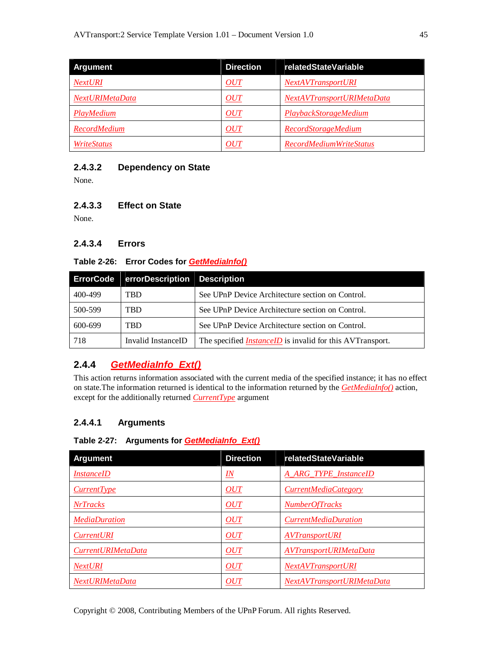| <b>Argument</b> | <b>Direction</b> | relatedStateVariable           |
|-----------------|------------------|--------------------------------|
| <b>NextURI</b>  | OUT              | <i>NextAVTransportURI</i>      |
| NextURIMetaData | OUT              | NextAVTransportURIMetaData     |
| PlayMedium      | OUT              | PlaybackStorageMedium          |
| RecordMedium    | OUT              | <b>RecordStorageMedium</b>     |
| WriteStatus     | OUT              | <b>RecordMediumWriteStatus</b> |

### **2.4.3.2 Dependency on State**

None.

### **2.4.3.3 Effect on State**

None.

### **2.4.3.4 Errors**

#### **Table 2-26: Error Codes for** *GetMediaInfo()*

| <b>ErrorCode</b> | errorDescription Description |                                                                  |
|------------------|------------------------------|------------------------------------------------------------------|
| 400-499          | TBD                          | See UPnP Device Architecture section on Control.                 |
| 500-599          | TBD                          | See UPnP Device Architecture section on Control.                 |
| 600-699          | TBD                          | See UPnP Device Architecture section on Control.                 |
| 718              | Invalid InstanceID           | The specified <i>InstanceID</i> is invalid for this AVTransport. |

## **2.4.4** *GetMediaInfo\_Ext()*

This action returns information associated with the current media of the specified instance; it has no effect on state.The information returned is identical to the information returned by the *GetMediaInfo()* action, except for the additionally returned *CurrentType* argument

## **2.4.4.1 Arguments**

#### **Table 2-27: Arguments for** *GetMediaInfo\_Ext()*

| <b>Argument</b>           | <b>Direction</b> | relatedStateVariable        |
|---------------------------|------------------|-----------------------------|
| <i>InstanceID</i>         | $\underline{I}N$ | A ARG TYPE InstanceID       |
| CurrentType               | OUT              | <i>CurrentMediaCategory</i> |
| <b>NrTracks</b>           | OUT              | <b>NumberOfTracks</b>       |
| <b>MediaDuration</b>      | OUT              | <i>CurrentMediaDuration</i> |
| <b>CurrentURI</b>         | OUT              | <b>AVTransportURI</b>       |
| <i>CurrentURIMetaData</i> | OUT              | AVTransportURIMetaData      |
| <b>NextURI</b>            | OUT              | <i>NextAVTransportURI</i>   |
| NextURIMetaData           | OUT              | NextAVTransportURIMetaData  |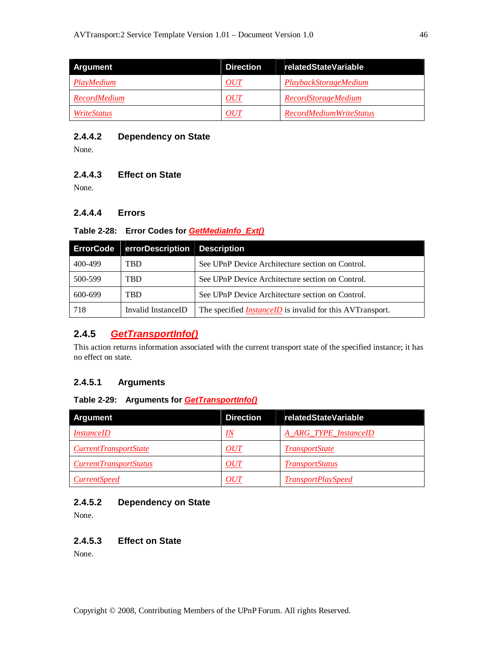| <b>Argument</b>    | <b>Direction</b> | relatedStateVariable           |
|--------------------|------------------|--------------------------------|
| PlayMedium         | <i>OUT</i>       | PlaybackStorageMedium          |
| RecordMedium       | <i>OUT</i>       | <b>RecordStorageMedium</b>     |
| <i>WriteStatus</i> | OUT              | <b>RecordMediumWriteStatus</b> |

### **2.4.4.2 Dependency on State**

None.

### **2.4.4.3 Effect on State**

None.

## **2.4.4.4 Errors**

#### **Table 2-28: Error Codes for** *GetMediaInfo\_Ext()*

| <b>ErrorCode</b> | errorDescription Description |                                                                  |
|------------------|------------------------------|------------------------------------------------------------------|
| 400-499          | <b>TBD</b>                   | See UPnP Device Architecture section on Control.                 |
| 500-599          | TBD                          | See UPnP Device Architecture section on Control.                 |
| 600-699          | TBD                          | See UPnP Device Architecture section on Control.                 |
| 718              | Invalid InstanceID           | The specified <i>InstanceID</i> is invalid for this AVTransport. |

## **2.4.5** *GetTransportInfo()*

This action returns information associated with the current transport state of the specified instance; it has no effect on state.

## **2.4.5.1 Arguments**

### **Table 2-29: Arguments for** *GetTransportInfo()*

| <b>Argument</b>               | <b>Direction</b> | relatedStateVariable      |
|-------------------------------|------------------|---------------------------|
| <i>InstanceID</i>             | IN               | A_ARG_TYPE_InstanceID     |
| <i>CurrentTransportState</i>  | OUT              | <b>TransportState</b>     |
| <i>CurrentTransportStatus</i> | <i>OUT</i>       | <b>TransportStatus</b>    |
| <i>CurrentSpeed</i>           | OUT              | <b>TransportPlaySpeed</b> |

## **2.4.5.2 Dependency on State**

None.

### **2.4.5.3 Effect on State**

None.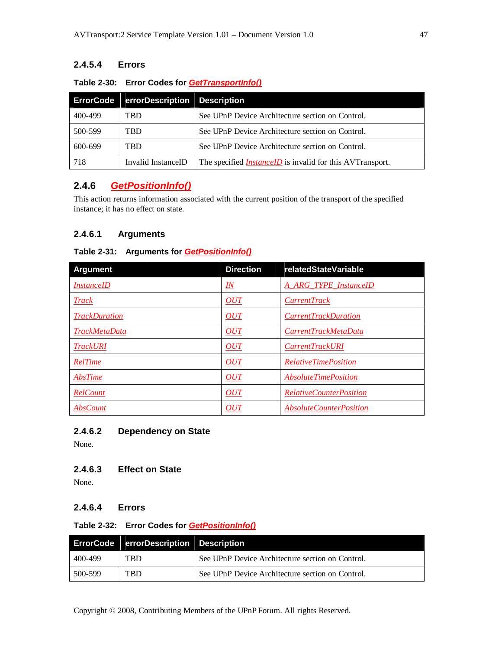## **2.4.5.4 Errors**

#### **Table 2-30: Error Codes for** *GetTransportInfo()*

| <b>ErrorCode</b> | errorDescription Description |                                                                  |
|------------------|------------------------------|------------------------------------------------------------------|
| 400-499          | <b>TBD</b>                   | See UPnP Device Architecture section on Control.                 |
| 500-599          | <b>TBD</b>                   | See UPnP Device Architecture section on Control.                 |
| 600-699          | <b>TRD</b>                   | See UPnP Device Architecture section on Control.                 |
| 718              | Invalid InstanceID           | The specified <i>InstanceID</i> is invalid for this AVTransport. |

## **2.4.6** *GetPositionInfo()*

This action returns information associated with the current position of the transport of the specified instance; it has no effect on state.

### **2.4.6.1 Arguments**

### **Table 2-31: Arguments for** *GetPositionInfo()*

| <b>Argument</b>      | <b>Direction</b>          | <b>relatedStateVariable</b>        |
|----------------------|---------------------------|------------------------------------|
| <i>InstanceID</i>    | $\underline{\mathit{IN}}$ | A ARG TYPE InstanceID              |
| <b>Track</b>         | OUT                       | <i>CurrentTrack</i>                |
| <b>TrackDuration</b> | OUT                       | <i>CurrentTrackDuration</i>        |
| <b>TrackMetaData</b> | <b>OUT</b>                | CurrentTrackMetaData               |
| <b>TrackURI</b>      | OUT                       | <b>CurrentTrackURI</b>             |
| RelTime              | OUT                       | <b>RelativeTimePosition</b>        |
| AbsTime              | OUT                       | <i><b>AbsoluteTimePosition</b></i> |
| RelCount             | OUT                       | <i>RelativeCounterPosition</i>     |
| <b>AbsCount</b>      | OUT                       | <i>AbsoluteCounterPosition</i>     |

#### **2.4.6.2 Dependency on State**

None.

#### **2.4.6.3 Effect on State**

None.

### **2.4.6.4 Errors**

#### **Table 2-32: Error Codes for** *GetPositionInfo()*

|         | ErrorCode   errorDescription Description |                                                  |
|---------|------------------------------------------|--------------------------------------------------|
| 400-499 | TBD                                      | See UPnP Device Architecture section on Control. |
| 500-599 | <b>TBD</b>                               | See UPnP Device Architecture section on Control. |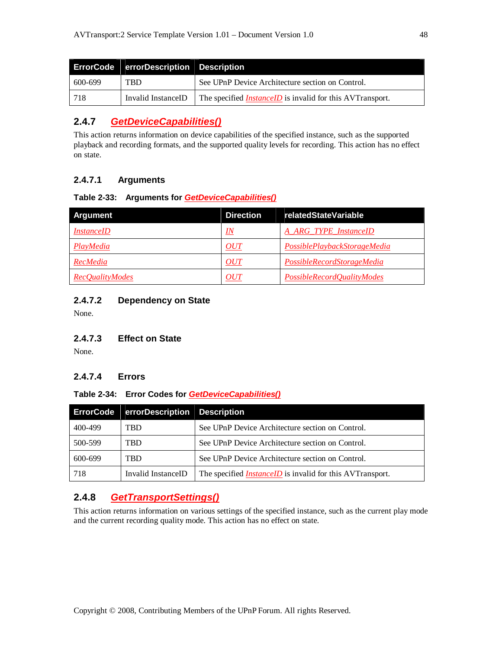|         | ErrorCode errorDescription Description |                                                                  |
|---------|----------------------------------------|------------------------------------------------------------------|
| 600-699 | <b>TRD</b>                             | See UPnP Device Architecture section on Control.                 |
| -718    | Invalid InstanceID                     | The specified <i>InstanceID</i> is invalid for this AVTransport. |

## **2.4.7** *GetDeviceCapabilities()*

This action returns information on device capabilities of the specified instance, such as the supported playback and recording formats, and the supported quality levels for recording. This action has no effect on state.

## **2.4.7.1 Arguments**

#### **Table 2-33: Arguments for** *GetDeviceCapabilities()*

| <b>Argument</b>        | <b>Direction</b> | relatedStateVariable         |
|------------------------|------------------|------------------------------|
| <i>InstanceID</i>      | $I\!N$           | A_ARG_TYPE_InstanceID        |
| PlayMedia              | OUT              | PossiblePlaybackStorageMedia |
| RecMedia               | OUT              | PossibleRecordStorageMedia   |
| <b>RecOualityModes</b> | OUT              | PossibleRecordQualityModes   |

## **2.4.7.2 Dependency on State**

None.

### **2.4.7.3 Effect on State**

None.

### **2.4.7.4 Errors**

#### **Table 2-34: Error Codes for** *GetDeviceCapabilities()*

| <b>ErrorCode</b> | errorDescription Description |                                                                  |
|------------------|------------------------------|------------------------------------------------------------------|
| 400-499          | TBD                          | See UPnP Device Architecture section on Control.                 |
| 500-599          | <b>TBD</b>                   | See UPnP Device Architecture section on Control.                 |
| 600-699          | <b>TRD</b>                   | See UPnP Device Architecture section on Control.                 |
| 718              | Invalid InstanceID           | The specified <i>InstanceID</i> is invalid for this AVTransport. |

## **2.4.8** *GetTransportSettings()*

This action returns information on various settings of the specified instance, such as the current play mode and the current recording quality mode. This action has no effect on state.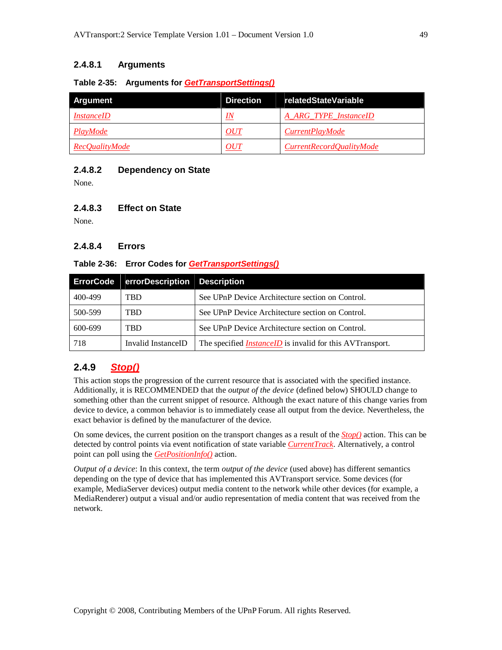### **2.4.8.1 Arguments**

#### **Table 2-35: Arguments for** *GetTransportSettings()*

| <b>Argument</b>   | <b>Direction</b> | relatedStateVariable     |
|-------------------|------------------|--------------------------|
| <i>InstanceID</i> | IN               | A ARG TYPE InstanceID    |
| PlayMode          | <i>OUT</i>       | <i>CurrentPlayMode</i>   |
| RecOualityMode    | OUT              | CurrentRecordQualityMode |

#### **2.4.8.2 Dependency on State**

None.

#### **2.4.8.3 Effect on State**

None.

#### **2.4.8.4 Errors**

#### **Table 2-36: Error Codes for** *GetTransportSettings()*

| <b>ErrorCode</b> | errorDescription Description |                                                                  |
|------------------|------------------------------|------------------------------------------------------------------|
| 400-499          | <b>TBD</b>                   | See UPnP Device Architecture section on Control.                 |
| 500-599          | <b>TBD</b>                   | See UPnP Device Architecture section on Control.                 |
| 600-699          | <b>TRD</b>                   | See UPnP Device Architecture section on Control.                 |
| 718              | Invalid InstanceID           | The specified <i>InstanceID</i> is invalid for this AVTransport. |

## **2.4.9** *Stop()*

This action stops the progression of the current resource that is associated with the specified instance. Additionally, it is RECOMMENDED that the *output of the device* (defined below) SHOULD change to something other than the current snippet of resource. Although the exact nature of this change varies from device to device, a common behavior is to immediately cease all output from the device. Nevertheless, the exact behavior is defined by the manufacturer of the device.

On some devices, the current position on the transport changes as a result of the *Stop()* action. This can be detected by control points via event notification of state variable *CurrentTrack*. Alternatively, a control point can poll using the *GetPositionInfo()* action.

*Output of a device*: In this context, the term *output of the device* (used above) has different semantics depending on the type of device that has implemented this AVTransport service. Some devices (for example, MediaServer devices) output media content to the network while other devices (for example, a MediaRenderer) output a visual and/or audio representation of media content that was received from the network.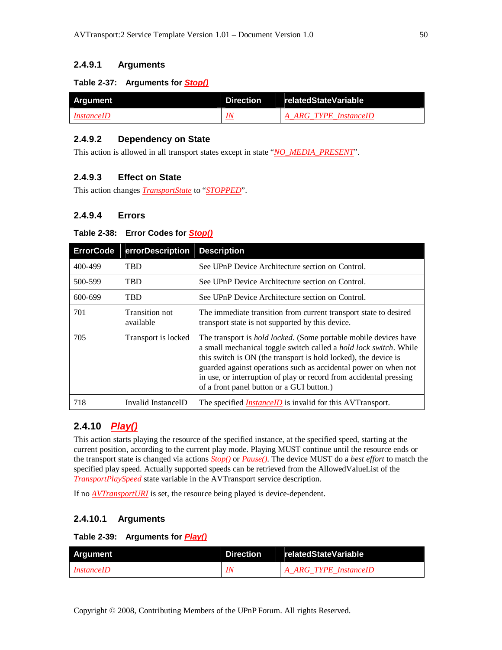### **2.4.9.1 Arguments**

#### **Table 2-37: Arguments for** *Stop()*

| Argument          | Direction relatedStateVariable |
|-------------------|--------------------------------|
| <i>InstanceID</i> | A ARG TYPE InstanceID          |

#### **2.4.9.2 Dependency on State**

This action is allowed in all transport states except in state "*NO\_MEDIA\_PRESENT*".

### **2.4.9.3 Effect on State**

This action changes *TransportState* to "*STOPPED*".

#### **2.4.9.4 Errors**

#### **Table 2-38: Error Codes for** *Stop()*

| <b>ErrorCode</b> | errorDescription            | <b>Description</b>                                                                                                                                                                                                                                                                                                                                                                                     |
|------------------|-----------------------------|--------------------------------------------------------------------------------------------------------------------------------------------------------------------------------------------------------------------------------------------------------------------------------------------------------------------------------------------------------------------------------------------------------|
| 400-499          | <b>TBD</b>                  | See UPnP Device Architecture section on Control.                                                                                                                                                                                                                                                                                                                                                       |
| 500-599          | <b>TBD</b>                  | See UPnP Device Architecture section on Control.                                                                                                                                                                                                                                                                                                                                                       |
| 600-699          | <b>TBD</b>                  | See UPnP Device Architecture section on Control.                                                                                                                                                                                                                                                                                                                                                       |
| 701              | Transition not<br>available | The immediate transition from current transport state to desired<br>transport state is not supported by this device.                                                                                                                                                                                                                                                                                   |
| 705              | Transport is locked         | The transport is <i>hold locked</i> . (Some portable mobile devices have<br>a small mechanical toggle switch called a hold lock switch. While<br>this switch is ON (the transport is hold locked), the device is<br>guarded against operations such as accidental power on when not<br>in use, or interruption of play or record from accidental pressing<br>of a front panel button or a GUI button.) |
| 718              | Invalid InstanceID          | The specified <i>InstanceID</i> is invalid for this AVTransport.                                                                                                                                                                                                                                                                                                                                       |

#### **2.4.10** *Play()*

This action starts playing the resource of the specified instance, at the specified speed, starting at the current position, according to the current play mode. Playing MUST continue until the resource ends or the transport state is changed via actions *Stop()* or *Pause()*. The device MUST do a *best effort* to match the specified play speed. Actually supported speeds can be retrieved from the AllowedValueList of the *TransportPlaySpeed* state variable in the AVTransport service description.

If no *AVTransportURI* is set, the resource being played is device-dependent.

#### **2.4.10.1 Arguments**

#### **Table 2-39: Arguments for** *Play()*

| Argument          | Direction | relatedStateVariable  |
|-------------------|-----------|-----------------------|
| <i>InstanceID</i> |           | A ARG TYPE InstanceID |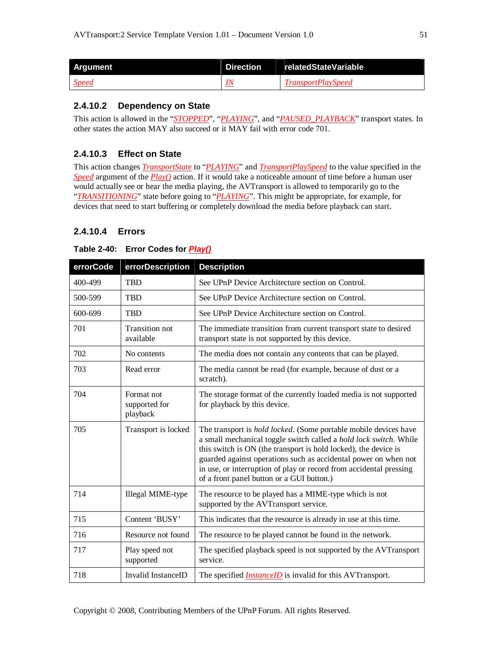| Argument     | <b>Direction</b> | relatedStateVariable      |
|--------------|------------------|---------------------------|
| <b>Speed</b> |                  | <i>TransportPlaySpeed</i> |

#### **2.4.10.2 Dependency on State**

This action is allowed in the "*STOPPED*", "*PLAYING*", and "*PAUSED\_PLAYBACK*" transport states. In other states the action MAY also succeed or it MAY fail with error code 701.

## **2.4.10.3 Effect on State**

This action changes *TransportState* to "*PLAYING*" and *TransportPlaySpeed* to the value specified in the *Speed* argument of the *Play()* action. If it would take a noticeable amount of time before a human user would actually see or hear the media playing, the AVTransport is allowed to temporarily go to the "*TRANSITIONING*" state before going to "*PLAYING*". This might be appropriate, for example, for devices that need to start buffering or completely download the media before playback can start.

## **2.4.10.4 Errors**

| Table 2-40: Error Codes for <i>Play()</i> |
|-------------------------------------------|
|-------------------------------------------|

| errorCode | errorDescription                        | <b>Description</b>                                                                                                                                                                                                                                                                                                                                                                                     |
|-----------|-----------------------------------------|--------------------------------------------------------------------------------------------------------------------------------------------------------------------------------------------------------------------------------------------------------------------------------------------------------------------------------------------------------------------------------------------------------|
| 400-499   | TBD                                     | See UPnP Device Architecture section on Control.                                                                                                                                                                                                                                                                                                                                                       |
| 500-599   | <b>TBD</b>                              | See UPnP Device Architecture section on Control.                                                                                                                                                                                                                                                                                                                                                       |
| 600-699   | <b>TBD</b>                              | See UPnP Device Architecture section on Control.                                                                                                                                                                                                                                                                                                                                                       |
| 701       | Transition not<br>available             | The immediate transition from current transport state to desired<br>transport state is not supported by this device.                                                                                                                                                                                                                                                                                   |
| 702       | No contents                             | The media does not contain any contents that can be played.                                                                                                                                                                                                                                                                                                                                            |
| 703       | Read error                              | The media cannot be read (for example, because of dust or a<br>scratch).                                                                                                                                                                                                                                                                                                                               |
| 704       | Format not<br>supported for<br>playback | The storage format of the currently loaded media is not supported<br>for playback by this device.                                                                                                                                                                                                                                                                                                      |
| 705       | Transport is locked                     | The transport is <i>hold locked</i> . (Some portable mobile devices have<br>a small mechanical toggle switch called a hold lock switch. While<br>this switch is ON (the transport is hold locked), the device is<br>guarded against operations such as accidental power on when not<br>in use, or interruption of play or record from accidental pressing<br>of a front panel button or a GUI button.) |
| 714       | Illegal MIME-type                       | The resource to be played has a MIME-type which is not<br>supported by the AVTransport service.                                                                                                                                                                                                                                                                                                        |
| 715       | Content 'BUSY'                          | This indicates that the resource is already in use at this time.                                                                                                                                                                                                                                                                                                                                       |
| 716       | Resource not found                      | The resource to be played cannot be found in the network.                                                                                                                                                                                                                                                                                                                                              |
| 717       | Play speed not<br>supported             | The specified playback speed is not supported by the AVTransport<br>service.                                                                                                                                                                                                                                                                                                                           |
| 718       | Invalid InstanceID                      | The specified <i>InstanceID</i> is invalid for this AVTransport.                                                                                                                                                                                                                                                                                                                                       |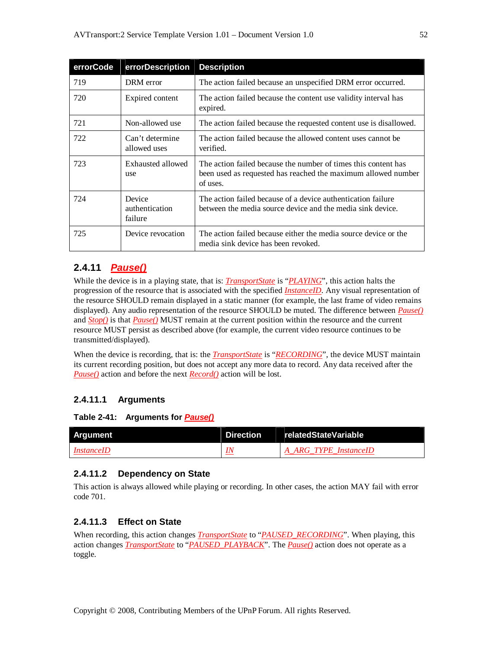| errorCode | errorDescription                    | <b>Description</b>                                                                                                                          |
|-----------|-------------------------------------|---------------------------------------------------------------------------------------------------------------------------------------------|
| 719       | DRM error                           | The action failed because an unspecified DRM error occurred.                                                                                |
| 720       | Expired content                     | The action failed because the content use validity interval has<br>expired.                                                                 |
| 721       | Non-allowed use                     | The action failed because the requested content use is disallowed.                                                                          |
| 722       | Can't determine<br>allowed uses     | The action failed because the allowed content uses cannot be<br>verified.                                                                   |
| 723       | Exhausted allowed<br>use            | The action failed because the number of times this content has<br>been used as requested has reached the maximum allowed number<br>of uses. |
| 724       | Device<br>authentication<br>failure | The action failed because of a device authentication failure<br>between the media source device and the media sink device.                  |
| 725       | Device revocation                   | The action failed because either the media source device or the<br>media sink device has been revoked.                                      |

## **2.4.11** *Pause()*

While the device is in a playing state, that is: *TransportState* is "*PLAYING*", this action halts the progression of the resource that is associated with the specified *InstanceID*. Any visual representation of the resource SHOULD remain displayed in a static manner (for example, the last frame of video remains displayed). Any audio representation of the resource SHOULD be muted. The difference between *Pause()* and *Stop()* is that *Pause()* MUST remain at the current position within the resource and the current resource MUST persist as described above (for example, the current video resource continues to be transmitted/displayed).

When the device is recording, that is: the *TransportState* is "*RECORDING*", the device MUST maintain its current recording position, but does not accept any more data to record. Any data received after the *Pause()* action and before the next *Record()* action will be lost.

#### **2.4.11.1 Arguments**

**Table 2-41: Arguments for** *Pause()*

| Argument          | <b>Direction</b> | relatedStateVariable  |
|-------------------|------------------|-----------------------|
| <i>InstanceID</i> | <u>IN</u>        | A ARG TYPE InstanceID |

#### **2.4.11.2 Dependency on State**

This action is always allowed while playing or recording. In other cases, the action MAY fail with error code 701.

#### **2.4.11.3 Effect on State**

When recording, this action changes *TransportState* to "*PAUSED\_RECORDING*". When playing, this action changes *TransportState* to "*PAUSED\_PLAYBACK*". The *Pause()* action does not operate as a toggle.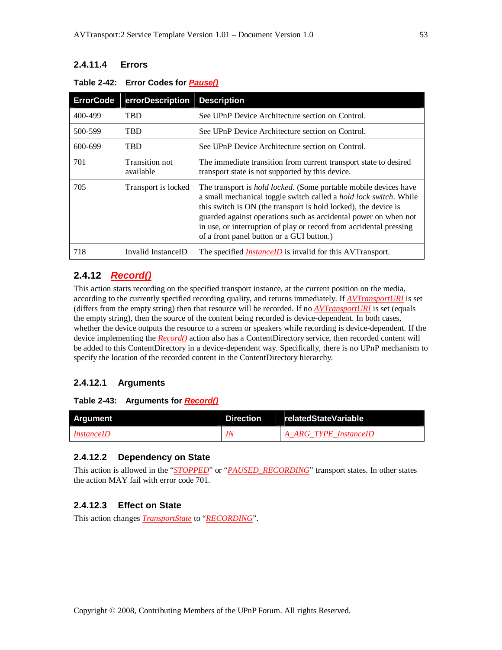## **2.4.11.4 Errors**

| <b>ErrorCode</b> | errorDescription            | <b>Description</b>                                                                                                                                                                                                                                                                                                                                                                                             |
|------------------|-----------------------------|----------------------------------------------------------------------------------------------------------------------------------------------------------------------------------------------------------------------------------------------------------------------------------------------------------------------------------------------------------------------------------------------------------------|
| 400-499          | <b>TBD</b>                  | See UPnP Device Architecture section on Control.                                                                                                                                                                                                                                                                                                                                                               |
| 500-599          | TBD                         | See UPnP Device Architecture section on Control.                                                                                                                                                                                                                                                                                                                                                               |
| 600-699          | TBD                         | See UPnP Device Architecture section on Control.                                                                                                                                                                                                                                                                                                                                                               |
| 701              | Transition not<br>available | The immediate transition from current transport state to desired<br>transport state is not supported by this device.                                                                                                                                                                                                                                                                                           |
| 705              | Transport is locked         | The transport is <i>hold locked</i> . (Some portable mobile devices have<br>a small mechanical toggle switch called a <i>hold lock switch</i> . While<br>this switch is ON (the transport is hold locked), the device is<br>guarded against operations such as accidental power on when not<br>in use, or interruption of play or record from accidental pressing<br>of a front panel button or a GUI button.) |
| 718              | Invalid InstanceID          | The specified <i>InstanceID</i> is invalid for this AVTransport.                                                                                                                                                                                                                                                                                                                                               |

#### **Table 2-42: Error Codes for** *Pause()*

## **2.4.12** *Record()*

This action starts recording on the specified transport instance, at the current position on the media, according to the currently specified recording quality, and returns immediately. If *AVTransportURI* is set (differs from the empty string) then that resource will be recorded. If no *AVTransportURI* is set (equals the empty string), then the source of the content being recorded is device-dependent. In both cases, whether the device outputs the resource to a screen or speakers while recording is device-dependent. If the device implementing the *Record()* action also has a ContentDirectory service, then recorded content will be added to this ContentDirectory in a device-dependent way. Specifically, there is no UPnP mechanism to specify the location of the recorded content in the ContentDirectory hierarchy.

#### **2.4.12.1 Arguments**

#### **Table 2-43: Arguments for** *Record()*

| <b>Argument</b>   | <b>Direction</b> | relatedStateVariable  |
|-------------------|------------------|-----------------------|
| <i>InstanceID</i> | IN               | A ARG TYPE InstanceID |

#### **2.4.12.2 Dependency on State**

This action is allowed in the "*STOPPED*" or "*PAUSED\_RECORDING*" transport states. In other states the action MAY fail with error code 701.

### **2.4.12.3 Effect on State**

This action changes *TransportState* to "*RECORDING*".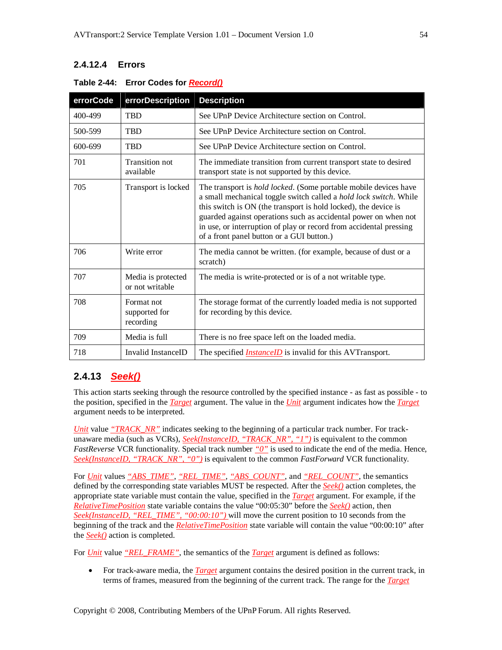## **2.4.12.4 Errors**

| errorCode | errorDescription                         | <b>Description</b>                                                                                                                                                                                                                                                                                                                                                                                     |
|-----------|------------------------------------------|--------------------------------------------------------------------------------------------------------------------------------------------------------------------------------------------------------------------------------------------------------------------------------------------------------------------------------------------------------------------------------------------------------|
| 400-499   | <b>TBD</b>                               | See UPnP Device Architecture section on Control.                                                                                                                                                                                                                                                                                                                                                       |
| 500-599   | TBD                                      | See UPnP Device Architecture section on Control.                                                                                                                                                                                                                                                                                                                                                       |
| 600-699   | <b>TBD</b>                               | See UPnP Device Architecture section on Control.                                                                                                                                                                                                                                                                                                                                                       |
| 701       | <b>Transition not</b><br>available       | The immediate transition from current transport state to desired<br>transport state is not supported by this device.                                                                                                                                                                                                                                                                                   |
| 705       | Transport is locked                      | The transport is <i>hold locked</i> . (Some portable mobile devices have<br>a small mechanical toggle switch called a hold lock switch. While<br>this switch is ON (the transport is hold locked), the device is<br>guarded against operations such as accidental power on when not<br>in use, or interruption of play or record from accidental pressing<br>of a front panel button or a GUI button.) |
| 706       | Write error                              | The media cannot be written. (for example, because of dust or a<br>scratch)                                                                                                                                                                                                                                                                                                                            |
| 707       | Media is protected<br>or not writable    | The media is write-protected or is of a not writable type.                                                                                                                                                                                                                                                                                                                                             |
| 708       | Format not<br>supported for<br>recording | The storage format of the currently loaded media is not supported<br>for recording by this device.                                                                                                                                                                                                                                                                                                     |
| 709       | Media is full                            | There is no free space left on the loaded media.                                                                                                                                                                                                                                                                                                                                                       |
| 718       | Invalid InstanceID                       | The specified <i>InstanceID</i> is invalid for this AVTransport.                                                                                                                                                                                                                                                                                                                                       |

#### **Table 2-44: Error Codes for** *Record()*

## **2.4.13** *Seek()*

This action starts seeking through the resource controlled by the specified instance - as fast as possible - to the position, specified in the *Target* argument. The value in the *Unit* argument indicates how the *Target* argument needs to be interpreted.

*Unit* value <u>"TRACK\_NR"</u> indicates seeking to the beginning of a particular track number. For trackunaware media (such as VCRs), *Seek(InstanceID, "TRACK\_NR", "1")* is equivalent to the common *FastReverse* VCR functionality. Special track number *"0"* is used to indicate the end of the media. Hence, *Seek(InstanceID, "TRACK\_NR", "0")* is equivalent to the common *FastForward* VCR functionality.

For *Unit* values *"ABS\_TIME"*, *"REL\_TIME"*, *"ABS\_COUNT"*, and *"REL\_COUNT"*, the semantics defined by the corresponding state variables MUST be respected. After the *Seek()* action completes, the appropriate state variable must contain the value, specified in the *Target* argument. For example, if the *RelativeTimePosition* state variable contains the value "00:05:30" before the *Seek()* action, then *Seek(InstanceID, "REL\_TIME", "00:00:10")* will move the current position to 10 seconds from the beginning of the track and the *RelativeTimePosition* state variable will contain the value "00:00:10" after the *Seek()* action is completed.

For *Unit* value "REL\_FRAME", the semantics of the *Target* argument is defined as follows:

 For track-aware media, the *Target* argument contains the desired position in the current track, in terms of frames, measured from the beginning of the current track. The range for the *Target*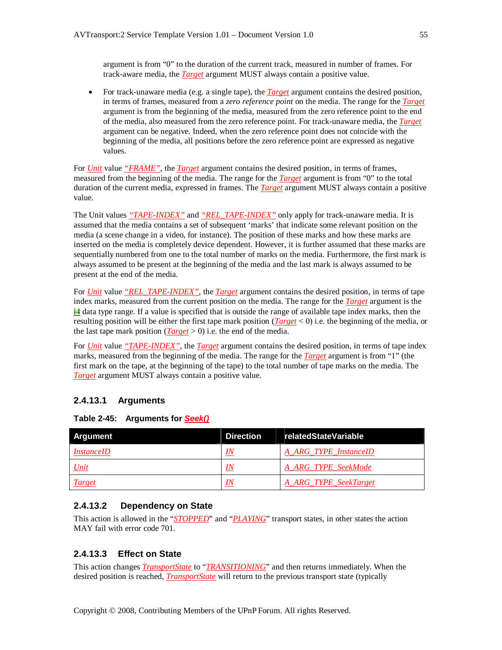argument is from "0" to the duration of the current track, measured in number of frames. For track-aware media, the *Target* argument MUST always contain a positive value.

 For track-unaware media (e.g. a single tape), the *Target* argument contains the desired position, in terms of frames, measured from a *zero reference point* on the media. The range for the *Target* argument is from the beginning of the media, measured from the zero reference point to the end of the media, also measured from the zero reference point. For track-unaware media, the *Target* argument can be negative. Indeed, when the zero reference point does not coincide with the beginning of the media, all positions before the zero reference point are expressed as negative values.

For *Unit* value *"FRAME"*, the *Target* argument contains the desired position, in terms of frames, measured from the beginning of the media. The range for the *Target* argument is from "0" to the total duration of the current media, expressed in frames. The *Target* argument MUST always contain a positive value.

The Unit values *"TAPE-INDEX"* and *"REL\_TAPE-INDEX"* only apply for track-unaware media. It is assumed that the media contains a set of subsequent 'marks' that indicate some relevant position on the media (a scene change in a video, for instance). The position of these marks and how these marks are inserted on the media is completely device dependent. However, it is further assumed that these marks are sequentially numbered from one to the total number of marks on the media. Furthermore, the first mark is always assumed to be present at the beginning of the media and the last mark is always assumed to be present at the end of the media.

For *Unit* value *"REL\_TAPE-INDEX"*, the *Target* argument contains the desired position, in terms of tape index marks, measured from the current position on the media. The range for the *Target* argument is the **i4** data type range. If a value is specified that is outside the range of available tape index marks, then the resulting position will be either the first tape mark position (*Target* < 0) i.e. the beginning of the media, or the last tape mark position  $(Target > 0)$  i.e. the end of the media.

For *Unit* value *"TAPE-INDEX"*, the *Target* argument contains the desired position, in terms of tape index marks, measured from the beginning of the media. The range for the *Target* argument is from "1" (the first mark on the tape, at the beginning of the tape) to the total number of tape marks on the media. The *Target* argument MUST always contain a positive value.

#### **2.4.13.1 Arguments**

| Argument          | <b>Direction</b> | relatedStateVariable  |
|-------------------|------------------|-----------------------|
| <i>InstanceID</i> | $_{IN}$          | A ARG TYPE InstanceID |
| <u>Unit</u>       | IN               | A ARG TYPE SeekMode   |
| Target            | IN               | A_ARG_TYPE_SeekTarget |

#### **Table 2-45: Arguments for** *Seek()*

#### **2.4.13.2 Dependency on State**

This action is allowed in the "*STOPPED*" and "*PLAYING*" transport states, in other states the action MAY fail with error code 701.

#### **2.4.13.3 Effect on State**

This action changes *TransportState* to "*TRANSITIONING*" and then returns immediately. When the desired position is reached, *TransportState* will return to the previous transport state (typically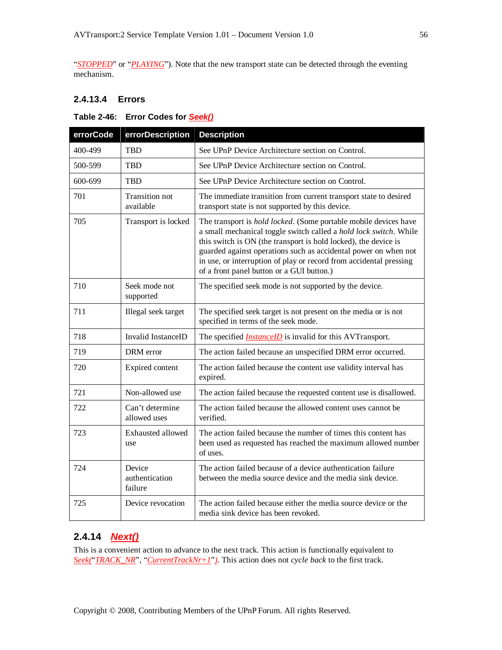"*STOPPED*" or "*PLAYING*"). Note that the new transport state can be detected through the eventing mechanism.

### **2.4.13.4 Errors**

#### **Table 2-46: Error Codes for** *Seek()*

| errorCode | errorDescription                    | <b>Description</b>                                                                                                                                                                                                                                                                                                                                                                                     |
|-----------|-------------------------------------|--------------------------------------------------------------------------------------------------------------------------------------------------------------------------------------------------------------------------------------------------------------------------------------------------------------------------------------------------------------------------------------------------------|
| 400-499   | <b>TBD</b>                          | See UPnP Device Architecture section on Control.                                                                                                                                                                                                                                                                                                                                                       |
| 500-599   | <b>TBD</b>                          | See UPnP Device Architecture section on Control.                                                                                                                                                                                                                                                                                                                                                       |
| 600-699   | <b>TBD</b>                          | See UPnP Device Architecture section on Control.                                                                                                                                                                                                                                                                                                                                                       |
| 701       | Transition not<br>available         | The immediate transition from current transport state to desired<br>transport state is not supported by this device.                                                                                                                                                                                                                                                                                   |
| 705       | Transport is locked                 | The transport is <i>hold locked</i> . (Some portable mobile devices have<br>a small mechanical toggle switch called a hold lock switch. While<br>this switch is ON (the transport is hold locked), the device is<br>guarded against operations such as accidental power on when not<br>in use, or interruption of play or record from accidental pressing<br>of a front panel button or a GUI button.) |
| 710       | Seek mode not<br>supported          | The specified seek mode is not supported by the device.                                                                                                                                                                                                                                                                                                                                                |
| 711       | Illegal seek target                 | The specified seek target is not present on the media or is not<br>specified in terms of the seek mode.                                                                                                                                                                                                                                                                                                |
| 718       | <b>Invalid InstanceID</b>           | The specified <i>InstanceID</i> is invalid for this AVTransport.                                                                                                                                                                                                                                                                                                                                       |
| 719       | DRM error                           | The action failed because an unspecified DRM error occurred.                                                                                                                                                                                                                                                                                                                                           |
| 720       | Expired content                     | The action failed because the content use validity interval has<br>expired.                                                                                                                                                                                                                                                                                                                            |
| 721       | Non-allowed use                     | The action failed because the requested content use is disallowed.                                                                                                                                                                                                                                                                                                                                     |
| 722       | Can't determine<br>allowed uses     | The action failed because the allowed content uses cannot be<br>verified.                                                                                                                                                                                                                                                                                                                              |
| 723       | Exhausted allowed<br>use            | The action failed because the number of times this content has<br>been used as requested has reached the maximum allowed number<br>of uses.                                                                                                                                                                                                                                                            |
| 724       | Device<br>authentication<br>failure | The action failed because of a device authentication failure<br>between the media source device and the media sink device.                                                                                                                                                                                                                                                                             |
| 725       | Device revocation                   | The action failed because either the media source device or the<br>media sink device has been revoked.                                                                                                                                                                                                                                                                                                 |

## **2.4.14** *Next()*

This is a convenient action to advance to the next track. This action is functionally equivalent to *Seek(*"*TRACK\_NR*", "*CurrentTrackNr+1*"*)*. This action does not *cycle back* to the first track.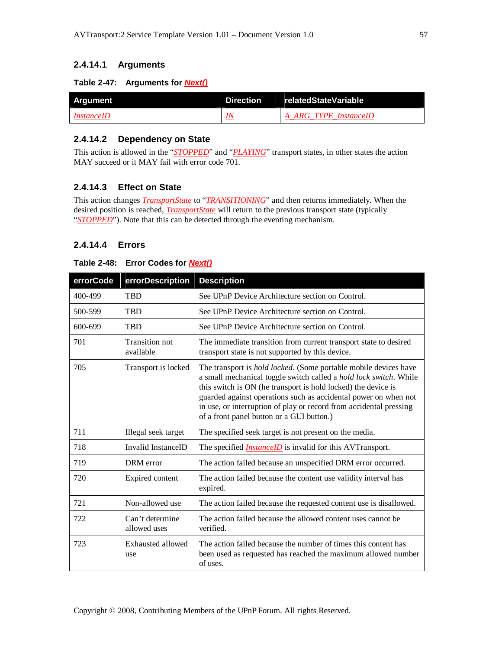### **2.4.14.1 Arguments**

#### **Table 2-47: Arguments for** *Next()*

| <b>Argument</b>   | Direction relatedStateVariable |
|-------------------|--------------------------------|
| <i>InstanceID</i> | A ARG TYPE InstanceID          |

#### **2.4.14.2 Dependency on State**

This action is allowed in the "*STOPPED*" and "*PLAYING*" transport states, in other states the action MAY succeed or it MAY fail with error code 701.

### **2.4.14.3 Effect on State**

This action changes *TransportState* to "*TRANSITIONING*" and then returns immediately. When the desired position is reached, *TransportState* will return to the previous transport state (typically "**STOPPED**"). Note that this can be detected through the eventing mechanism.

#### **2.4.14.4 Errors**

#### **Table 2-48: Error Codes for** *Next()*

| errorCode | errorDescription                | <b>Description</b>                                                                                                                                                                                                                                                                                                                                                                                   |
|-----------|---------------------------------|------------------------------------------------------------------------------------------------------------------------------------------------------------------------------------------------------------------------------------------------------------------------------------------------------------------------------------------------------------------------------------------------------|
| 400-499   | <b>TBD</b>                      | See UPnP Device Architecture section on Control.                                                                                                                                                                                                                                                                                                                                                     |
| 500-599   | <b>TBD</b>                      | See UPnP Device Architecture section on Control.                                                                                                                                                                                                                                                                                                                                                     |
| 600-699   | <b>TBD</b>                      | See UPnP Device Architecture section on Control.                                                                                                                                                                                                                                                                                                                                                     |
| 701       | Transition not<br>available     | The immediate transition from current transport state to desired<br>transport state is not supported by this device.                                                                                                                                                                                                                                                                                 |
| 705       | Transport is locked             | The transport is <i>hold locked</i> . (Some portable mobile devices have<br>a small mechanical toggle switch called a hold lock switch. While<br>this switch is ON (he transport is hold locked) the device is<br>guarded against operations such as accidental power on when not<br>in use, or interruption of play or record from accidental pressing<br>of a front panel button or a GUI button.) |
| 711       | Illegal seek target             | The specified seek target is not present on the media.                                                                                                                                                                                                                                                                                                                                               |
| 718       | Invalid InstanceID              | The specified <i>InstanceID</i> is invalid for this AVTransport.                                                                                                                                                                                                                                                                                                                                     |
| 719       | DRM error                       | The action failed because an unspecified DRM error occurred.                                                                                                                                                                                                                                                                                                                                         |
| 720       | Expired content                 | The action failed because the content use validity interval has<br>expired.                                                                                                                                                                                                                                                                                                                          |
| 721       | Non-allowed use                 | The action failed because the requested content use is disallowed.                                                                                                                                                                                                                                                                                                                                   |
| 722       | Can't determine<br>allowed uses | The action failed because the allowed content uses cannot be.<br>verified.                                                                                                                                                                                                                                                                                                                           |
| 723       | Exhausted allowed<br>use        | The action failed because the number of times this content has<br>been used as requested has reached the maximum allowed number<br>of uses.                                                                                                                                                                                                                                                          |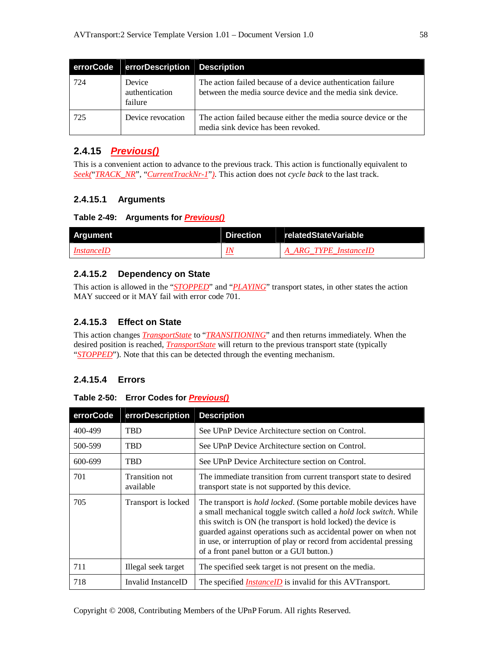| errorCode | errorDescription Description        |                                                                                                                            |
|-----------|-------------------------------------|----------------------------------------------------------------------------------------------------------------------------|
| 724       | Device<br>authentication<br>failure | The action failed because of a device authentication failure<br>between the media source device and the media sink device. |
| 725       | Device revocation                   | The action failed because either the media source device or the<br>media sink device has been revoked.                     |

## **2.4.15** *Previous()*

This is a convenient action to advance to the previous track. This action is functionally equivalent to *Seek(*"*TRACK\_NR*", "*CurrentTrackNr-1*"*)*. This action does not *cycle back* to the last track.

## **2.4.15.1 Arguments**

#### **Table 2-49: Arguments for** *Previous()*

| Argument          | Direction | relatedStateVariable  |
|-------------------|-----------|-----------------------|
| <i>InstanceID</i> |           | A ARG TYPE InstanceID |

### **2.4.15.2 Dependency on State**

This action is allowed in the "*STOPPED*" and "*PLAYING*" transport states, in other states the action MAY succeed or it MAY fail with error code 701.

## **2.4.15.3 Effect on State**

This action changes *TransportState* to "*TRANSITIONING*" and then returns immediately. When the desired position is reached, *TransportState* will return to the previous transport state (typically "*STOPPED*"). Note that this can be detected through the eventing mechanism.

## **2.4.15.4 Errors**

#### **Table 2-50: Error Codes for** *Previous()*

| errorCode | errorDescription            | <b>Description</b>                                                                                                                                                                                                                                                                                                                                                                                           |
|-----------|-----------------------------|--------------------------------------------------------------------------------------------------------------------------------------------------------------------------------------------------------------------------------------------------------------------------------------------------------------------------------------------------------------------------------------------------------------|
| 400-499   | <b>TBD</b>                  | See UPnP Device Architecture section on Control.                                                                                                                                                                                                                                                                                                                                                             |
| 500-599   | <b>TBD</b>                  | See UPnP Device Architecture section on Control.                                                                                                                                                                                                                                                                                                                                                             |
| 600-699   | <b>TBD</b>                  | See UPnP Device Architecture section on Control.                                                                                                                                                                                                                                                                                                                                                             |
| 701       | Transition not<br>available | The immediate transition from current transport state to desired<br>transport state is not supported by this device.                                                                                                                                                                                                                                                                                         |
| 705       | Transport is locked         | The transport is <i>hold locked</i> . (Some portable mobile devices have<br>a small mechanical toggle switch called a <i>hold lock switch</i> . While<br>this switch is ON (he transport is hold locked) the device is<br>guarded against operations such as accidental power on when not<br>in use, or interruption of play or record from accidental pressing<br>of a front panel button or a GUI button.) |
| 711       | Illegal seek target         | The specified seek target is not present on the media.                                                                                                                                                                                                                                                                                                                                                       |
| 718       | Invalid InstanceID          | The specified <i>InstanceID</i> is invalid for this AVTransport.                                                                                                                                                                                                                                                                                                                                             |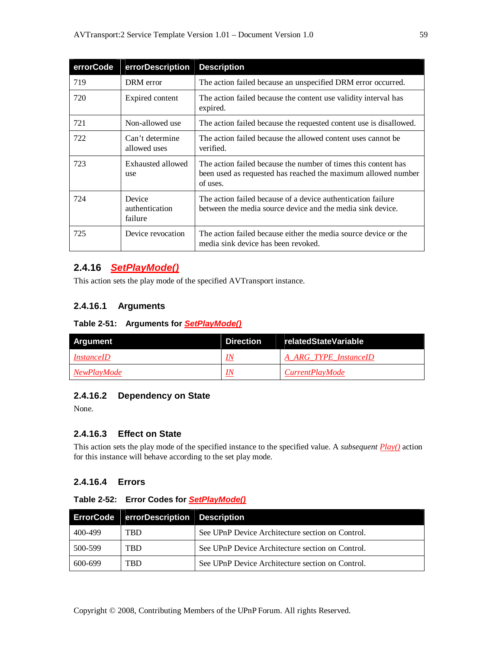| errorCode | errorDescription                    | <b>Description</b>                                                                                                                          |
|-----------|-------------------------------------|---------------------------------------------------------------------------------------------------------------------------------------------|
| 719       | DRM error                           | The action failed because an unspecified DRM error occurred.                                                                                |
| 720       | Expired content                     | The action failed because the content use validity interval has<br>expired.                                                                 |
| 721       | Non-allowed use                     | The action failed because the requested content use is disallowed.                                                                          |
| 722       | Can't determine<br>allowed uses     | The action failed because the allowed content uses cannot be<br>verified.                                                                   |
| 723       | Exhausted allowed<br>use            | The action failed because the number of times this content has<br>been used as requested has reached the maximum allowed number<br>of uses. |
| 724       | Device<br>authentication<br>failure | The action failed because of a device authentication failure<br>between the media source device and the media sink device.                  |
| 725       | Device revocation                   | The action failed because either the media source device or the<br>media sink device has been revoked.                                      |

## **2.4.16** *SetPlayMode()*

This action sets the play mode of the specified AVTransport instance.

### **2.4.16.1 Arguments**

#### **Table 2-51: Arguments for** *SetPlayMode()*

| Argument          | Direction | relatedStateVariable   |
|-------------------|-----------|------------------------|
| <i>InstanceID</i> | IΝ        | A ARG TYPE InstanceID  |
| NewPlayMode       | IN        | <i>CurrentPlayMode</i> |

## **2.4.16.2 Dependency on State**

None.

### **2.4.16.3 Effect on State**

This action sets the play mode of the specified instance to the specified value. A *subsequent Play()* action for this instance will behave according to the set play mode.

### **2.4.16.4 Errors**

| Table 2-52: Error Codes for SetPlayMode() |  |  |  |
|-------------------------------------------|--|--|--|
|                                           |  |  |  |

|         | ErrorCode errorDescription Description |                                                  |
|---------|----------------------------------------|--------------------------------------------------|
| 400-499 | <b>TRD</b>                             | See UPnP Device Architecture section on Control. |
| 500-599 | TBD                                    | See UPnP Device Architecture section on Control. |
| 600-699 | TBD.                                   | See UPnP Device Architecture section on Control. |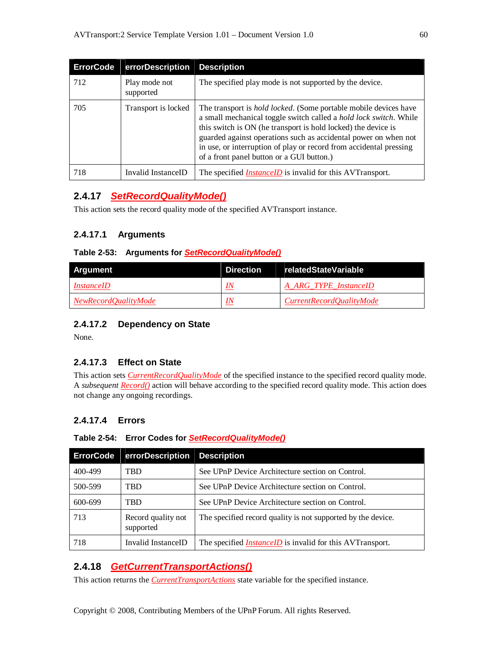| <b>ErrorCode</b> | errorDescription Description |                                                                                                                                                                                                                                                                                                                                                                                                              |
|------------------|------------------------------|--------------------------------------------------------------------------------------------------------------------------------------------------------------------------------------------------------------------------------------------------------------------------------------------------------------------------------------------------------------------------------------------------------------|
| 712              | Play mode not<br>supported   | The specified play mode is not supported by the device.                                                                                                                                                                                                                                                                                                                                                      |
| 705              | Transport is locked          | The transport is <i>hold locked</i> . (Some portable mobile devices have<br>a small mechanical toggle switch called a <i>hold lock switch</i> . While<br>this switch is ON (he transport is hold locked) the device is<br>guarded against operations such as accidental power on when not<br>in use, or interruption of play or record from accidental pressing<br>of a front panel button or a GUI button.) |
| 718              | Invalid InstanceID           | The specified <i>InstanceID</i> is invalid for this AVTransport.                                                                                                                                                                                                                                                                                                                                             |

## **2.4.17** *SetRecordQualityMode()*

This action sets the record quality mode of the specified AVTransport instance.

### **2.4.17.1 Arguments**

#### **Table 2-53: Arguments for** *SetRecordQualityMode()*

| Argument             | Direction | relatedStateVariable     |
|----------------------|-----------|--------------------------|
| <i>InstanceID</i>    |           | A ARG TYPE InstanceID    |
| NewRecordOualityMode |           | CurrentRecordOualityMode |

### **2.4.17.2 Dependency on State**

None.

## **2.4.17.3 Effect on State**

This action sets *CurrentRecordQualityMode* of the specified instance to the specified record quality mode. A *subsequent Record()* action will behave according to the specified record quality mode. This action does not change any ongoing recordings.

## **2.4.17.4 Errors**

#### **Table 2-54: Error Codes for** *SetRecordQualityMode()*

| <b>ErrorCode</b> | errorDescription                | <b>Description</b>                                               |
|------------------|---------------------------------|------------------------------------------------------------------|
| 400-499          | <b>TBD</b>                      | See UPnP Device Architecture section on Control.                 |
| 500-599          | TBD                             | See UPnP Device Architecture section on Control.                 |
| 600-699          | <b>TBD</b>                      | See UPnP Device Architecture section on Control.                 |
| 713              | Record quality not<br>supported | The specified record quality is not supported by the device.     |
| 718              | Invalid InstanceID              | The specified <i>InstanceID</i> is invalid for this AVTransport. |

## **2.4.18** *GetCurrentTransportActions()*

This action returns the *CurrentTransportActions* state variable for the specified instance.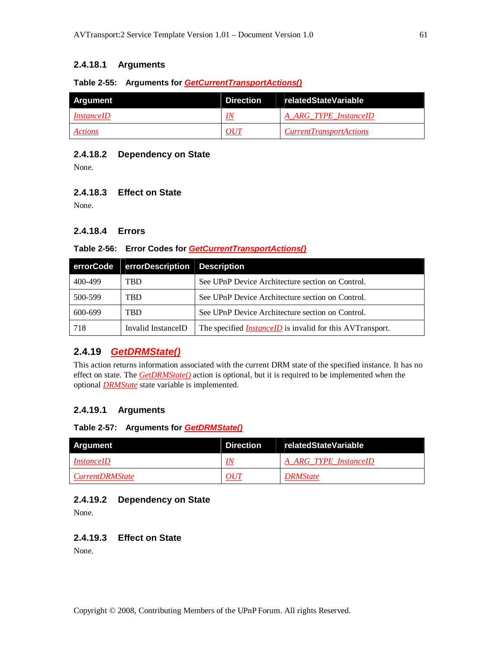### **2.4.18.1 Arguments**

#### **Table 2-55: Arguments for** *GetCurrentTransportActions()*

| Argument          | Direction | relatedStateVariable           |
|-------------------|-----------|--------------------------------|
| <i>InstanceID</i> | IΛ        | A ARG TYPE InstanceID          |
| Actions           | OUT       | <i>CurrentTransportActions</i> |

#### **2.4.18.2 Dependency on State**

None.

#### **2.4.18.3 Effect on State**

None.

#### **2.4.18.4 Errors**

#### **Table 2-56: Error Codes for** *GetCurrentTransportActions()*

| errorCode | errorDescription Description |                                                                  |
|-----------|------------------------------|------------------------------------------------------------------|
| 400-499   | <b>TBD</b>                   | See UPnP Device Architecture section on Control.                 |
| 500-599   | <b>TRD</b>                   | See UPnP Device Architecture section on Control.                 |
| 600-699   | <b>TRD</b>                   | See UPnP Device Architecture section on Control.                 |
| 718       | Invalid InstanceID           | The specified <i>InstanceID</i> is invalid for this AVTransport. |

## **2.4.19** *GetDRMState()*

This action returns information associated with the current DRM state of the specified instance. It has no effect on state. The *GetDRMState()* action is optional, but it is required to be implemented when the optional *DRMState* state variable is implemented.

#### **2.4.19.1 Arguments**

#### **Table 2-57: Arguments for** *GetDRMState()*

| Argument               | Direction | relatedStateVariable  |
|------------------------|-----------|-----------------------|
| <i>InstanceID</i>      |           | A ARG TYPE InstanceID |
| <i>CurrentDRMState</i> | <i>OU</i> | <b>DRMState</b>       |

#### **2.4.19.2 Dependency on State**

None.

#### **2.4.19.3 Effect on State**

None.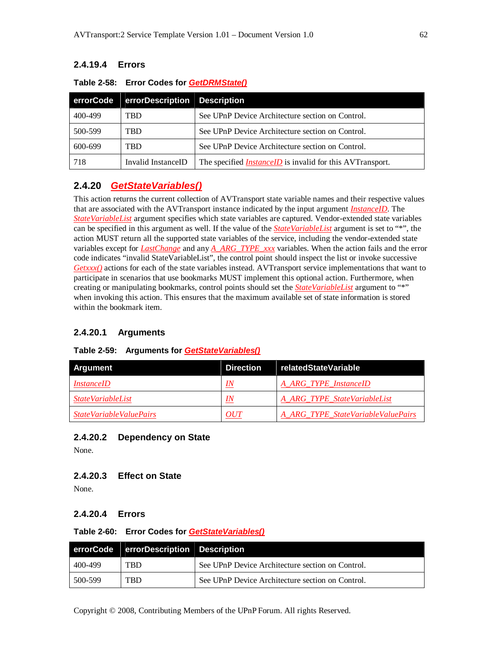### **2.4.19.4 Errors**

| errorCode | errorDescription Description |                                                                  |
|-----------|------------------------------|------------------------------------------------------------------|
| 400-499   | TBD                          | See UPnP Device Architecture section on Control.                 |
| 500-599   | TBD                          | See UPnP Device Architecture section on Control.                 |
| 600-699   | TBD                          | See UPnP Device Architecture section on Control.                 |
| 718       | Invalid InstanceID           | The specified <i>InstanceID</i> is invalid for this AVTransport. |

#### **Table 2-58: Error Codes for** *GetDRMState()*

## **2.4.20** *GetStateVariables()*

This action returns the current collection of AVTransport state variable names and their respective values that are associated with the AVTransport instance indicated by the input argument *InstanceID*. The *StateVariableList* argument specifies which state variables are captured. Vendor-extended state variables can be specified in this argument as well. If the value of the *StateVariableList* argument is set to "\*", the action MUST return all the supported state variables of the service, including the vendor-extended state variables except for *LastChange* and any *A\_ARG\_TYPE\_xxx* variables. When the action fails and the error code indicates "invalid StateVariableList", the control point should inspect the list or invoke successive *Getxxx()* actions for each of the state variables instead. AVTransport service implementations that want to participate in scenarios that use bookmarks MUST implement this optional action. Furthermore, when creating or manipulating bookmarks, control points should set the *StateVariableList* argument to "\*" when invoking this action. This ensures that the maximum available set of state information is stored within the bookmark item.

#### **2.4.20.1 Arguments**

## **Table 2-59: Arguments for** *GetStateVariables()*

| Argument                 | <b>Direction</b> | relatedStateVariable               |
|--------------------------|------------------|------------------------------------|
| <i>InstanceID</i>        | IN               | A ARG TYPE InstanceID              |
| <i>StateVariableList</i> | IN               | A ARG TYPE StateVariableList       |
| StateVariableValuePairs  | OUT              | A ARG TYPE StateVariableValuePairs |

#### **2.4.20.2 Dependency on State**

None.

### **2.4.20.3 Effect on State**

None.

#### **2.4.20.4 Errors**

#### **Table 2-60: Error Codes for** *GetStateVariables()*

|         | errorCode errorDescription Description |                                                  |
|---------|----------------------------------------|--------------------------------------------------|
| 400-499 | <b>TRD</b>                             | See UPnP Device Architecture section on Control. |
| 500-599 | <b>TRD</b>                             | See UPnP Device Architecture section on Control. |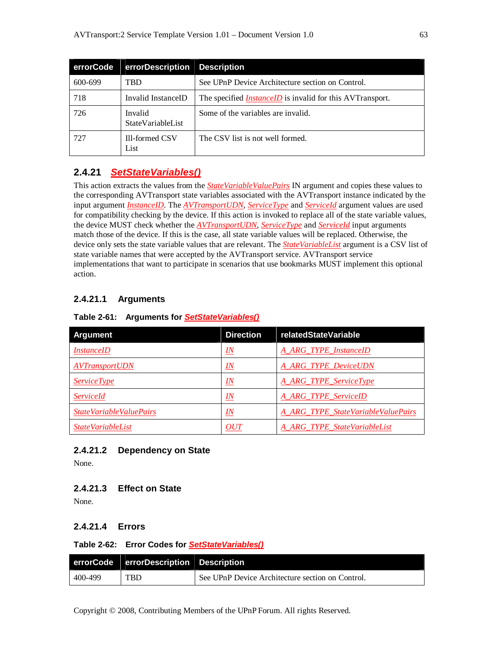| errorCode | errorDescription Description |                                                                  |
|-----------|------------------------------|------------------------------------------------------------------|
| 600-699   | TBD                          | See UPnP Device Architecture section on Control.                 |
| 718       | Invalid InstanceID           | The specified <i>InstanceID</i> is invalid for this AVTransport. |
| 726       | Invalid<br>StateVariableList | Some of the variables are invalid.                               |
| 727       | Ill-formed CSV<br>List       | The CSV list is not well formed.                                 |

## **2.4.21** *SetStateVariables()*

This action extracts the values from the *StateVariableValuePairs* IN argument and copies these values to the corresponding AVTransport state variables associated with the AVTransport instance indicated by the input argument *InstanceID*. The *AVTransportUDN*, *ServiceType* and *ServiceId* argument values are used for compatibility checking by the device. If this action is invoked to replace all of the state variable values, the device MUST check whether the *AVTransportUDN*, *ServiceType* and *ServiceId* input arguments match those of the device. If this is the case, all state variable values will be replaced. Otherwise, the device only sets the state variable values that are relevant. The *StateVariableList* argument is a CSV list of state variable names that were accepted by the AVTransport service. AVTransport service implementations that want to participate in scenarios that use bookmarks MUST implement this optional action.

## **2.4.21.1 Arguments**

|  |  | Table 2-61: Arguments for <b>SetStateVariables</b> () |  |
|--|--|-------------------------------------------------------|--|
|--|--|-------------------------------------------------------|--|

| Argument                       | <b>Direction</b> | relatedStateVariable               |
|--------------------------------|------------------|------------------------------------|
| <i>InstanceID</i>              | <u>IN</u>        | A_ARG_TYPE_InstanceID              |
| <i><b>AVTransportUDN</b></i>   | $I\!N$           | <b>A ARG TYPE DeviceUDN</b>        |
| <i>ServiceType</i>             | IN               | A_ARG_TYPE_ServiceType             |
| <i>ServiceId</i>               | $_{IN}$          | <b>A ARG TYPE ServiceID</b>        |
| <i>StateVariableValuePairs</i> | IN               | A ARG TYPE StateVariableValuePairs |
| <i>StateVariableList</i>       | OUT              | A ARG TYPE StateVariableList       |

## **2.4.21.2 Dependency on State**

None.

## **2.4.21.3 Effect on State**

None.

## **2.4.21.4 Errors**

#### **Table 2-62: Error Codes for** *SetStateVariables()*

|         | errorCode errorDescription Description |                                                  |
|---------|----------------------------------------|--------------------------------------------------|
| 400-499 | <b>TBD</b>                             | See UPnP Device Architecture section on Control. |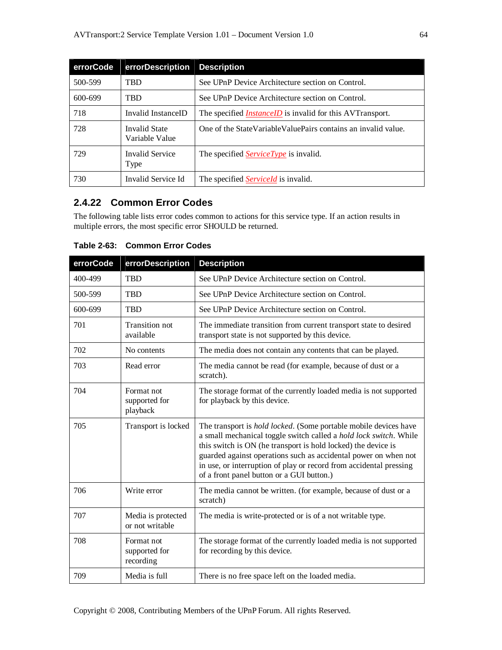| errorCode | errorDescription Description    |                                                                  |
|-----------|---------------------------------|------------------------------------------------------------------|
| 500-599   | <b>TRD</b>                      | See UPnP Device Architecture section on Control.                 |
| 600-699   | <b>TRD</b>                      | See UPnP Device Architecture section on Control.                 |
| 718       | Invalid InstanceID              | The specified <i>InstanceID</i> is invalid for this AVTransport. |
| 728       | Invalid State<br>Variable Value | One of the StateVariableValuePairs contains an invalid value.    |
| 729       | Invalid Service<br>Type         | The specified <i>ServiceType</i> is invalid.                     |
| 730       | Invalid Service Id              | The specified <i>ServiceId</i> is invalid.                       |

## **2.4.22 Common Error Codes**

The following table lists error codes common to actions for this service type. If an action results in multiple errors, the most specific error SHOULD be returned.

| errorCode | errorDescription                         | <b>Description</b>                                                                                                                                                                                                                                                                                                                                                                                           |
|-----------|------------------------------------------|--------------------------------------------------------------------------------------------------------------------------------------------------------------------------------------------------------------------------------------------------------------------------------------------------------------------------------------------------------------------------------------------------------------|
| 400-499   | <b>TBD</b>                               | See UPnP Device Architecture section on Control.                                                                                                                                                                                                                                                                                                                                                             |
| 500-599   | <b>TBD</b>                               | See UPnP Device Architecture section on Control.                                                                                                                                                                                                                                                                                                                                                             |
| 600-699   | <b>TBD</b>                               | See UPnP Device Architecture section on Control.                                                                                                                                                                                                                                                                                                                                                             |
| 701       | <b>Transition not</b><br>available       | The immediate transition from current transport state to desired<br>transport state is not supported by this device.                                                                                                                                                                                                                                                                                         |
| 702       | No contents                              | The media does not contain any contents that can be played.                                                                                                                                                                                                                                                                                                                                                  |
| 703       | Read error                               | The media cannot be read (for example, because of dust or a<br>scratch).                                                                                                                                                                                                                                                                                                                                     |
| 704       | Format not<br>supported for<br>playback  | The storage format of the currently loaded media is not supported<br>for playback by this device.                                                                                                                                                                                                                                                                                                            |
| 705       | Transport is locked                      | The transport is <i>hold locked</i> . (Some portable mobile devices have<br>a small mechanical toggle switch called a <i>hold lock switch</i> . While<br>this switch is ON (he transport is hold locked) the device is<br>guarded against operations such as accidental power on when not<br>in use, or interruption of play or record from accidental pressing<br>of a front panel button or a GUI button.) |
| 706       | Write error                              | The media cannot be written. (for example, because of dust or a<br>scratch)                                                                                                                                                                                                                                                                                                                                  |
| 707       | Media is protected<br>or not writable    | The media is write-protected or is of a not writable type.                                                                                                                                                                                                                                                                                                                                                   |
| 708       | Format not<br>supported for<br>recording | The storage format of the currently loaded media is not supported<br>for recording by this device.                                                                                                                                                                                                                                                                                                           |
| 709       | Media is full                            | There is no free space left on the loaded media.                                                                                                                                                                                                                                                                                                                                                             |

**Table 2-63: Common Error Codes**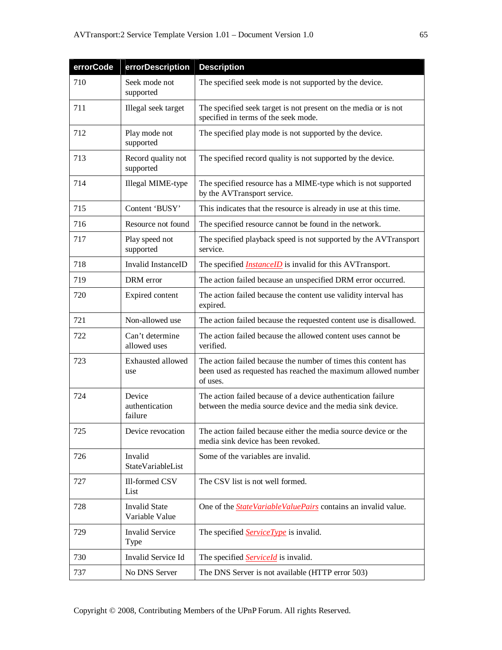| errorCode | errorDescription                       | <b>Description</b>                                                                                                                          |
|-----------|----------------------------------------|---------------------------------------------------------------------------------------------------------------------------------------------|
| 710       | Seek mode not<br>supported             | The specified seek mode is not supported by the device.                                                                                     |
| 711       | Illegal seek target                    | The specified seek target is not present on the media or is not<br>specified in terms of the seek mode.                                     |
| 712       | Play mode not<br>supported             | The specified play mode is not supported by the device.                                                                                     |
| 713       | Record quality not<br>supported        | The specified record quality is not supported by the device.                                                                                |
| 714       | Illegal MIME-type                      | The specified resource has a MIME-type which is not supported<br>by the AVTransport service.                                                |
| 715       | Content 'BUSY'                         | This indicates that the resource is already in use at this time.                                                                            |
| 716       | Resource not found                     | The specified resource cannot be found in the network.                                                                                      |
| 717       | Play speed not<br>supported            | The specified playback speed is not supported by the AVTransport<br>service.                                                                |
| 718       | Invalid InstanceID                     | The specified <i>InstanceID</i> is invalid for this AVTransport.                                                                            |
| 719       | DRM error                              | The action failed because an unspecified DRM error occurred.                                                                                |
| 720       | Expired content                        | The action failed because the content use validity interval has<br>expired.                                                                 |
| 721       | Non-allowed use                        | The action failed because the requested content use is disallowed.                                                                          |
| 722       | Can't determine<br>allowed uses        | The action failed because the allowed content uses cannot be<br>verified.                                                                   |
| 723       | Exhausted allowed<br>use               | The action failed because the number of times this content has<br>been used as requested has reached the maximum allowed number<br>of uses. |
| 724       | Device<br>authentication<br>failure    | The action failed because of a device authentication failure<br>between the media source device and the media sink device.                  |
| 725       | Device revocation                      | The action failed because either the media source device or the<br>media sink device has been revoked.                                      |
| 726       | Invalid<br>StateVariableList           | Some of the variables are invalid.                                                                                                          |
| 727       | Ill-formed CSV<br>List                 | The CSV list is not well formed.                                                                                                            |
| 728       | <b>Invalid State</b><br>Variable Value | One of the <b>StateVariableValuePairs</b> contains an invalid value.                                                                        |
| 729       | <b>Invalid Service</b><br><b>Type</b>  | The specified <b>ServiceType</b> is invalid.                                                                                                |
| 730       | Invalid Service Id                     | The specified <b>ServiceId</b> is invalid.                                                                                                  |
| 737       | No DNS Server                          | The DNS Server is not available (HTTP error 503)                                                                                            |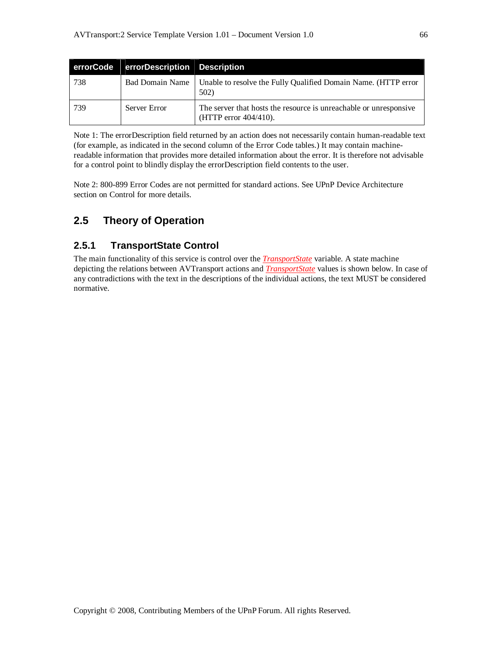| errorCode | errorDescription Description |                                                                                            |
|-----------|------------------------------|--------------------------------------------------------------------------------------------|
| 738       | <b>Bad Domain Name</b>       | Unable to resolve the Fully Qualified Domain Name. (HTTP error<br>502)                     |
| -739      | Server Error                 | The server that hosts the resource is unreachable or unresponsive<br>(HTTP error 404/410). |

Note 1: The errorDescription field returned by an action does not necessarily contain human-readable text (for example, as indicated in the second column of the Error Code tables.) It may contain machinereadable information that provides more detailed information about the error. It is therefore not advisable for a control point to blindly display the errorDescription field contents to the user.

Note 2: 800-899 Error Codes are not permitted for standard actions. See UPnP Device Architecture section on Control for more details.

## **2.5 Theory of Operation**

## **2.5.1 TransportState Control**

The main functionality of this service is control over the *TransportState* variable. A state machine depicting the relations between AVTransport actions and *TransportState* values is shown below. In case of any contradictions with the text in the descriptions of the individual actions, the text MUST be considered normative.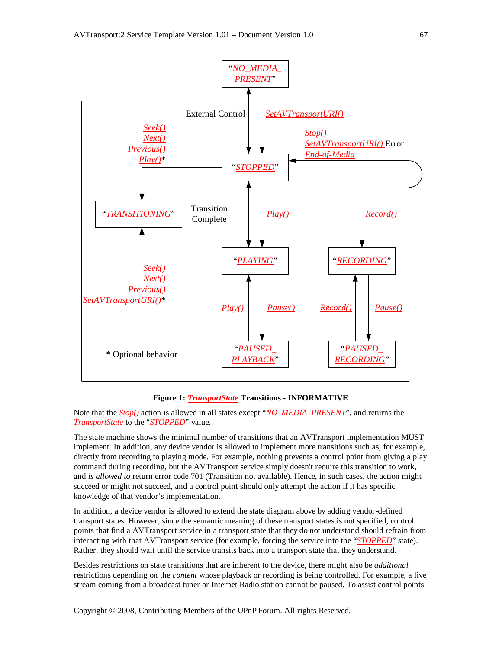

#### **Figure 1:** *TransportState* **Transitions - INFORMATIVE**

Note that the *Stop()* action is allowed in all states except "*NO\_MEDIA\_PRESENT*", and returns the *TransportState* to the "*STOPPED*" value.

The state machine shows the minimal number of transitions that an AVTransport implementation MUST implement. In addition, any device vendor is allowed to implement more transitions such as, for example, directly from recording to playing mode. For example, nothing prevents a control point from giving a play command during recording, but the AVTransport service simply doesn't require this transition to work, and *is allowed to* return error code 701 (Transition not available). Hence, in such cases, the action might succeed or might not succeed, and a control point should only attempt the action if it has specific knowledge of that vendor's implementation.

In addition, a device vendor is allowed to extend the state diagram above by adding vendor-defined transport states. However, since the semantic meaning of these transport states is not specified, control points that find a AVTransport service in a transport state that they do not understand should refrain from interacting with that AVTransport service (for example, forcing the service into the "*STOPPED*" state). Rather, they should wait until the service transits back into a transport state that they understand.

Besides restrictions on state transitions that are inherent to the device, there might also be *additional* restrictions depending on the *content* whose playback or recording is being controlled. For example, a live stream coming from a broadcast tuner or Internet Radio station cannot be paused. To assist control points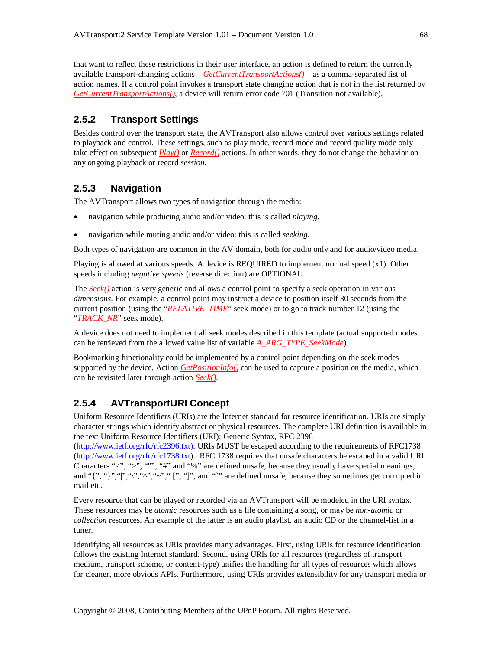that want to reflect these restrictions in their user interface, an action is defined to return the currently available transport-changing actions – *GetCurrentTransportActions()* – as a comma-separated list of action names. If a control point invokes a transport state changing action that is not in the list returned by *GetCurrentTransportActions()*, a device will return error code 701 (Transition not available).

#### **2.5.2 Transport Settings**

Besides control over the transport state, the AVTransport also allows control over various settings related to playback and control. These settings, such as play mode, record mode and record quality mode only take effect on subsequent *Play()* or *Record()* actions. In other words, they do not change the behavior on any ongoing playback or record *session*.

#### **2.5.3 Navigation**

The AVTransport allows two types of navigation through the media:

- navigation while producing audio and/or video: this is called *playing*.
- navigation while muting audio and/or video: this is called *seeking*.

Both types of navigation are common in the AV domain, both for audio only and for audio/video media.

Playing is allowed at various speeds. A device is REQUIRED to implement normal speed (x1). Other speeds including *negative speeds* (reverse direction) are OPTIONAL.

The *Seek()* action is very generic and allows a control point to specify a seek operation in various *dimensions*. For example, a control point may instruct a device to position itself 30 seconds from the current position (using the "*RELATIVE\_TIME*" seek mode) or to go to track number 12 (using the "*TRACK\_NR*" seek mode).

A device does not need to implement all seek modes described in this template (actual supported modes can be retrieved from the allowed value list of variable *A\_ARG\_TYPE\_SeekMode*).

Bookmarking functionality could be implemented by a control point depending on the seek modes supported by the device. Action *GetPositionInfo()* can be used to capture a position on the media, which can be revisited later through action *Seek()*.

## **2.5.4 AVTransportURI Concept**

Uniform Resource Identifiers (URIs) are the Internet standard for resource identification. URIs are simply character strings which identify abstract or physical resources. The complete URI definition is available in the text Uniform Resource Identifiers (URI): Generic Syntax, RFC 2396

(http://www.ietf.org/rfc/rfc2396.txt). URIs MUST be escaped according to the requirements of RFC1738 (http://www.ietf.org/rfc/rfc1738.txt). RFC 1738 requires that unsafe characters be escaped in a valid URI. Characters "<", ">", """, "#" and "%" are defined unsafe, because they usually have special meanings, and "{", "}", "|", "\", "\", "~", "[", "]", and """ are defined unsafe, because they sometimes get corrupted in mail etc.

Every resource that can be played or recorded via an AVTransport will be modeled in the URI syntax. These resources may be *atomic* resources such as a file containing a song, or may be *non-atomic* or *collection* resources. An example of the latter is an audio playlist, an audio CD or the channel-list in a tuner.

Identifying all resources as URIs provides many advantages. First, using URIs for resource identification follows the existing Internet standard. Second, using URIs for all resources (regardless of transport medium, transport scheme, or content-type) unifies the handling for all types of resources which allows for cleaner, more obvious APIs. Furthermore, using URIs provides extensibility for any transport media or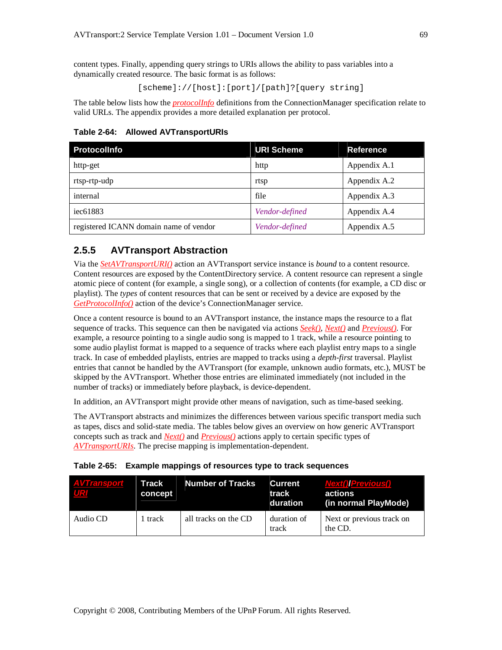content types. Finally, appending query strings to URIs allows the ability to pass variables into a dynamically created resource. The basic format is as follows:

[scheme]://[host]:[port]/[path]?[query string]

The table below lists how the *protocolInfo* definitions from the ConnectionManager specification relate to valid URLs. The appendix provides a more detailed explanation per protocol.

**Table 2-64: Allowed AVTransportURIs**

| <b>Protocolinfo</b>                    | <b>URI Scheme</b> | <b>Reference</b> |
|----------------------------------------|-------------------|------------------|
| http-get                               | http              | Appendix A.1     |
| rtsp-rtp-udp                           | rtsp              | Appendix A.2     |
| internal                               | file              | Appendix A.3     |
| iec61883                               | Vendor-defined    | Appendix A.4     |
| registered ICANN domain name of vendor | Vendor-defined    | Appendix A.5     |

## **2.5.5 AVTransport Abstraction**

Via the *SetAVTransportURI()* action an AVTransport service instance is *bound* to a content resource. Content resources are exposed by the ContentDirectory service. A content resource can represent a single atomic piece of content (for example, a single song), or a collection of contents (for example, a CD disc or playlist). The *types* of content resources that can be sent or received by a device are exposed by the *GetProtocolInfo()* action of the device's ConnectionManager service.

Once a content resource is bound to an AVTransport instance, the instance maps the resource to a flat sequence of tracks. This sequence can then be navigated via actions *Seek()*, *Next()* and *Previous()*. For example, a resource pointing to a single audio song is mapped to 1 track, while a resource pointing to some audio playlist format is mapped to a sequence of tracks where each playlist entry maps to a single track. In case of embedded playlists, entries are mapped to tracks using a *depth-first* traversal. Playlist entries that cannot be handled by the AVTransport (for example, unknown audio formats, etc.), MUST be skipped by the AVTransport. Whether those entries are eliminated immediately (not included in the number of tracks) or immediately before playback, is device-dependent.

In addition, an AVTransport might provide other means of navigation, such as time-based seeking.

The AVTransport abstracts and minimizes the differences between various specific transport media such as tapes, discs and solid-state media. The tables below gives an overview on how generic AVTransport concepts such as track and *Next()* and *Previous()* actions apply to certain specific types of *AVTransportURIs*. The precise mapping is implementation-dependent.

|  | Table 2-65: Example mappings of resources type to track sequences |  |  |
|--|-------------------------------------------------------------------|--|--|
|--|-------------------------------------------------------------------|--|--|

| <b>AVTransport</b><br>UR | Track<br>concept | <b>Number of Tracks</b> | Current T<br>track<br>duration | <b>Next() Previous()</b><br>actions<br>(in normal PlayMode) |
|--------------------------|------------------|-------------------------|--------------------------------|-------------------------------------------------------------|
| Audio CD                 | 1 track          | all tracks on the CD    | duration of<br>track           | Next or previous track on<br>the CD.                        |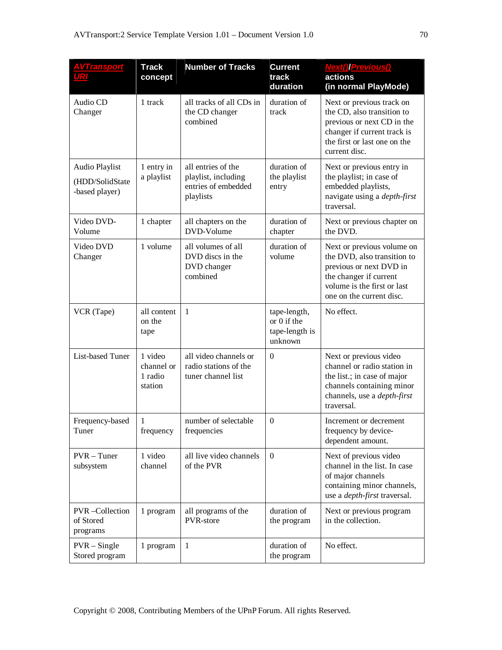| <u>AVTransport</u><br>URI                           | <b>Track</b><br>concept                     | <b>Number of Tracks</b>                                                       | <b>Current</b><br>track<br>duration                      | <b>Next()</b> Previous()<br>actions<br>(in normal PlayMode)                                                                                                               |
|-----------------------------------------------------|---------------------------------------------|-------------------------------------------------------------------------------|----------------------------------------------------------|---------------------------------------------------------------------------------------------------------------------------------------------------------------------------|
| Audio CD<br>Changer                                 | 1 track                                     | all tracks of all CDs in<br>the CD changer<br>combined                        | duration of<br>track                                     | Next or previous track on<br>the CD, also transition to<br>previous or next CD in the<br>changer if current track is<br>the first or last one on the<br>current disc.     |
| Audio Playlist<br>(HDD/SolidState<br>-based player) | 1 entry in<br>a playlist                    | all entries of the<br>playlist, including<br>entries of embedded<br>playlists | duration of<br>the playlist<br>entry                     | Next or previous entry in<br>the playlist; in case of<br>embedded playlists,<br>navigate using a <i>depth-first</i><br>traversal.                                         |
| Video DVD-<br>Volume                                | 1 chapter                                   | all chapters on the<br>DVD-Volume                                             | duration of<br>chapter                                   | Next or previous chapter on<br>the DVD.                                                                                                                                   |
| Video DVD<br>Changer                                | 1 volume                                    | all volumes of all<br>DVD discs in the<br>DVD changer<br>combined             | duration of<br>volume                                    | Next or previous volume on<br>the DVD, also transition to<br>previous or next DVD in<br>the changer if current<br>volume is the first or last<br>one on the current disc. |
| VCR (Tape)                                          | all content<br>on the<br>tape               | 1                                                                             | tape-length,<br>or 0 if the<br>tape-length is<br>unknown | No effect.                                                                                                                                                                |
| List-based Tuner                                    | 1 video<br>channel or<br>1 radio<br>station | all video channels or<br>radio stations of the<br>tuner channel list          | $\Omega$                                                 | Next or previous video<br>channel or radio station in<br>the list.; in case of major<br>channels containing minor<br>channels, use a <i>depth-first</i><br>traversal.     |
| Frequency-based<br>Tuner                            | 1<br>frequency                              | number of selectable<br>frequencies                                           | $\mathbf{0}$                                             | Increment or decrement<br>frequency by device-<br>dependent amount.                                                                                                       |
| $PVR - Tuner$<br>subsystem                          | 1 video<br>channel                          | all live video channels<br>of the PVR                                         | $\overline{0}$                                           | Next of previous video<br>channel in the list. In case<br>of major channels<br>containing minor channels,<br>use a <i>depth-first</i> traversal.                          |
| PVR-Collection<br>of Stored<br>programs             | 1 program                                   | all programs of the<br>PVR-store                                              | duration of<br>the program                               | Next or previous program<br>in the collection.                                                                                                                            |
| $PVR - Single$<br>Stored program                    | 1 program                                   | $\mathbf{1}$                                                                  | duration of<br>the program                               | No effect.                                                                                                                                                                |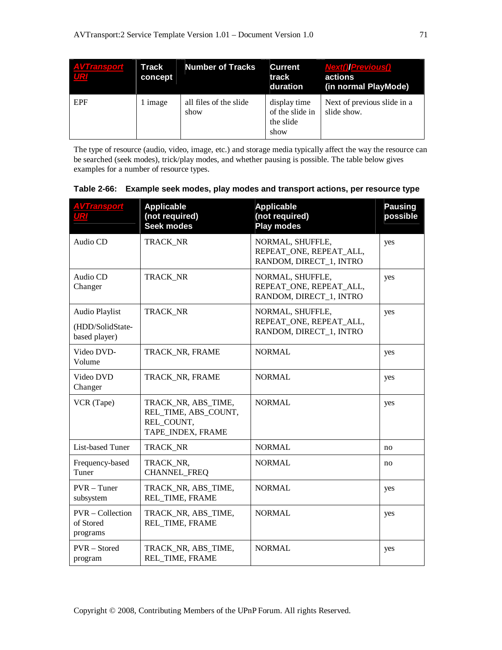| <b>AVTransport</b> | Track<br>concept | <b>Number of Tracks</b>        | <b>Current</b><br>track<br>duration                  | <b>Next()/Previous()</b><br>actions<br>(in normal PlayMode) |
|--------------------|------------------|--------------------------------|------------------------------------------------------|-------------------------------------------------------------|
| <b>EPF</b>         | image            | all files of the slide<br>show | display time<br>of the slide in<br>the slide<br>show | Next of previous slide in a<br>slide show.                  |

The type of resource (audio, video, image, etc.) and storage media typically affect the way the resource can be searched (seek modes), trick/play modes, and whether pausing is possible. The table below gives examples for a number of resource types.

| <u>AVTransport</u><br>URI                           | <b>Applicable</b><br>(not required)<br><b>Seek modes</b>                       | <b>Applicable</b><br>(not required)<br><b>Play modes</b>               | <b>Pausing</b><br>possible |
|-----------------------------------------------------|--------------------------------------------------------------------------------|------------------------------------------------------------------------|----------------------------|
| Audio CD                                            | TRACK_NR                                                                       | NORMAL, SHUFFLE,<br>REPEAT ONE, REPEAT ALL,<br>RANDOM, DIRECT_1, INTRO | yes                        |
| Audio CD<br>Changer                                 | TRACK NR                                                                       | NORMAL, SHUFFLE,<br>REPEAT_ONE, REPEAT_ALL,<br>RANDOM, DIRECT_1, INTRO | yes                        |
| Audio Playlist<br>(HDD/SolidState-<br>based player) | TRACK NR                                                                       | NORMAL, SHUFFLE,<br>REPEAT ONE, REPEAT ALL,<br>RANDOM, DIRECT_1, INTRO | yes                        |
| Video DVD-<br>Volume                                | TRACK NR, FRAME                                                                | <b>NORMAL</b>                                                          | yes                        |
| Video DVD<br>Changer                                | TRACK_NR, FRAME                                                                | <b>NORMAL</b>                                                          | yes                        |
| VCR (Tape)                                          | TRACK_NR, ABS_TIME,<br>REL TIME, ABS COUNT,<br>REL COUNT,<br>TAPE_INDEX, FRAME | <b>NORMAL</b>                                                          | yes                        |
| List-based Tuner                                    | TRACK_NR                                                                       | <b>NORMAL</b>                                                          | no                         |
| Frequency-based<br>Tuner                            | TRACK NR,<br><b>CHANNEL FREQ</b>                                               | <b>NORMAL</b>                                                          | no                         |
| $PVR - Tuner$<br>subsystem                          | TRACK_NR, ABS_TIME,<br>REL TIME, FRAME                                         | <b>NORMAL</b>                                                          | yes                        |
| $PVR - Collection$<br>of Stored<br>programs         | TRACK NR, ABS TIME,<br>REL TIME, FRAME                                         | <b>NORMAL</b>                                                          | yes                        |
| PVR - Stored<br>program                             | TRACK_NR, ABS_TIME,<br>REL_TIME, FRAME                                         | <b>NORMAL</b>                                                          | yes                        |

**Table 2-66: Example seek modes, play modes and transport actions, per resource type**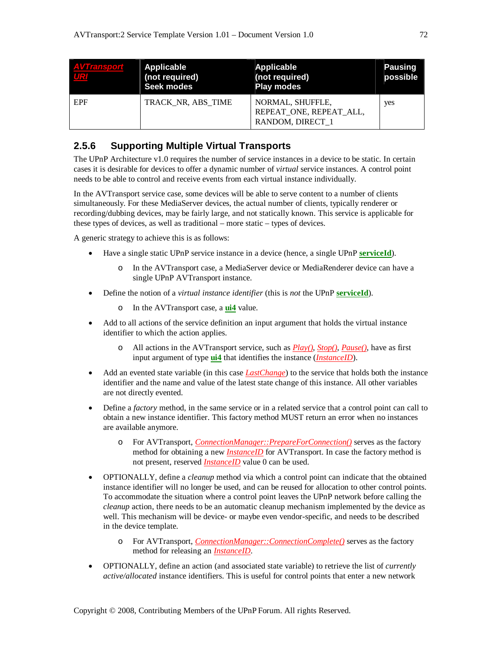| <b>AVTransport</b><br>UR | Applicable<br>(not required)<br><b>Seek modes</b> | Applicable<br>(not required)<br><b>Play modes</b>               | <b>Pausing</b><br>possible |
|--------------------------|---------------------------------------------------|-----------------------------------------------------------------|----------------------------|
| EPF                      | TRACK NR, ABS TIME                                | NORMAL, SHUFFLE,<br>REPEAT ONE, REPEAT ALL,<br>RANDOM, DIRECT 1 | yes                        |

## **2.5.6 Supporting Multiple Virtual Transports**

The UPnP Architecture v1.0 requires the number of service instances in a device to be static. In certain cases it is desirable for devices to offer a dynamic number of *virtual* service instances. A control point needs to be able to control and receive events from each virtual instance individually.

In the AVTransport service case, some devices will be able to serve content to a number of clients simultaneously. For these MediaServer devices, the actual number of clients, typically renderer or recording/dubbing devices, may be fairly large, and not statically known. This service is applicable for these types of devices, as well as traditional – more static – types of devices.

A generic strategy to achieve this is as follows:

- Have a single static UPnP service instance in a device (hence, a single UPnP **serviceId**).
	- o In the AVTransport case, a MediaServer device or MediaRenderer device can have a single UPnP AVTransport instance.
- Define the notion of a *virtual instance identifier* (this is *not* the UPnP **serviceId**).
	- o In the AVTransport case, a **ui4** value.
- Add to all actions of the service definition an input argument that holds the virtual instance identifier to which the action applies.
	- o All actions in the AVTransport service, such as *Play()*, *Stop()*, *Pause()*, have as first input argument of type **ui4** that identifies the instance (*InstanceID*).
- Add an evented state variable (in this case *LastChange*) to the service that holds both the instance identifier and the name and value of the latest state change of this instance. All other variables are not directly evented.
- Define a *factory* method, in the same service or in a related service that a control point can call to obtain a new instance identifier. This factory method MUST return an error when no instances are available anymore.
	- o For AVTransport, *ConnectionManager::PrepareForConnection()* serves as the factory method for obtaining a new *InstanceID* for AVTransport. In case the factory method is not present, reserved *InstanceID* value 0 can be used.
- OPTIONALLY, define a *cleanup* method via which a control point can indicate that the obtained instance identifier will no longer be used, and can be reused for allocation to other control points. To accommodate the situation where a control point leaves the UPnP network before calling the *cleanup* action, there needs to be an automatic cleanup mechanism implemented by the device as well. This mechanism will be device- or maybe even vendor-specific, and needs to be described in the device template.
	- o For AVTransport, *ConnectionManager::ConnectionComplete()* serves as the factory method for releasing an *InstanceID*.
- OPTIONALLY, define an action (and associated state variable) to retrieve the list of *currently active/allocated* instance identifiers. This is useful for control points that enter a new network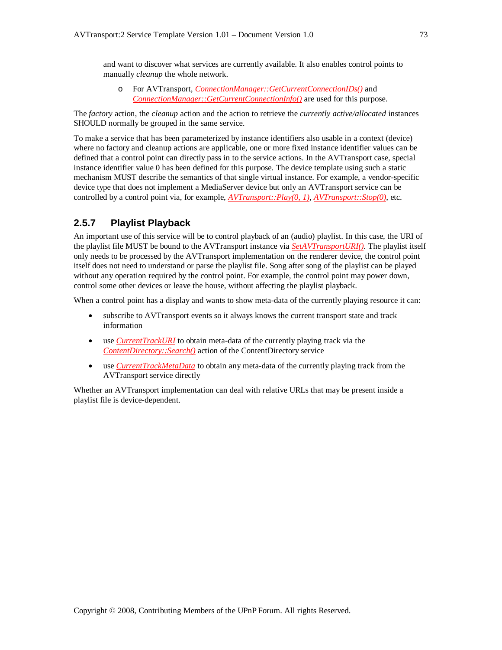and want to discover what services are currently available. It also enables control points to manually *cleanup* the whole network.

o For AVTransport, *ConnectionManager::GetCurrentConnectionIDs()* and *ConnectionManager::GetCurrentConnectionInfo()* are used for this purpose.

The *factory* action, the *cleanup* action and the action to retrieve the *currently active/allocated* instances SHOULD normally be grouped in the same service.

To make a service that has been parameterized by instance identifiers also usable in a context (device) where no factory and cleanup actions are applicable, one or more fixed instance identifier values can be defined that a control point can directly pass in to the service actions. In the AVTransport case, special instance identifier value 0 has been defined for this purpose. The device template using such a static mechanism MUST describe the semantics of that single virtual instance. For example, a vendor-specific device type that does not implement a MediaServer device but only an AVTransport service can be controlled by a control point via, for example, *AVTransport::Play(0, 1)*, *AVTransport::Stop(0)*, etc.

#### **2.5.7 Playlist Playback**

An important use of this service will be to control playback of an (audio) playlist. In this case, the URI of the playlist file MUST be bound to the AVTransport instance via *SetAVTransportURI()*. The playlist itself only needs to be processed by the AVTransport implementation on the renderer device, the control point itself does not need to understand or parse the playlist file. Song after song of the playlist can be played without any operation required by the control point. For example, the control point may power down, control some other devices or leave the house, without affecting the playlist playback.

When a control point has a display and wants to show meta-data of the currently playing resource it can:

- subscribe to AVTransport events so it always knows the current transport state and track information
- use *CurrentTrackURI* to obtain meta-data of the currently playing track via the *ContentDirectory::Search()* action of the ContentDirectory service
- use *CurrentTrackMetaData* to obtain any meta-data of the currently playing track from the AVTransport service directly

Whether an AVTransport implementation can deal with relative URLs that may be present inside a playlist file is device-dependent.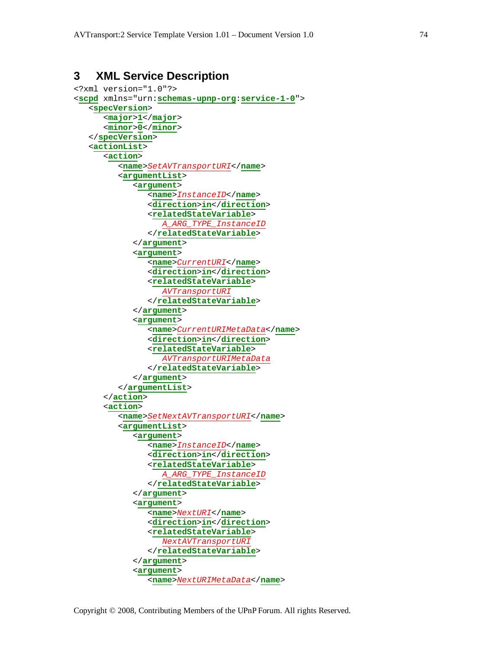# **3 XML Service Description**

```
<?xml version="1.0"?>
<scpd xmlns="urn:schemas-upnp-org:service-1-0">
   <specVersion>
      <major>1</major>
      <minor>0</minor>
   </specVersion>
   <actionList>
      <action>
         <name>SetAVTransportURI</name>
         <argumentList>
            <argument>
               <name>InstanceID</name>
               <direction>in</direction>
               <relatedStateVariable>
                  A_ARG_TYPE_InstanceID
               </relatedStateVariable>
            </argument>
            <argument>
               <name>CurrentURI</name>
               <direction>in</direction>
               <relatedStateVariable>
                  AVTransportURI
               </relatedStateVariable>
            </argument>
            <argument>
               <name>CurrentURIMetaData</name>
               <direction>in</direction>
               <relatedStateVariable>
                  AVTransportURIMetaData
               </relatedStateVariable>
            </argument>
         </argumentList>
      </action>
      <action>
         <name>SetNextAVTransportURI</name>
         <argumentList>
            <argument>
               <name>InstanceID</name>
               <direction>in</direction>
               <relatedStateVariable>
                  A_ARG_TYPE_InstanceID
               </relatedStateVariable>
            </argument>
            <argument>
               <name>NextURI</name>
               <direction>in</direction>
               <relatedStateVariable>
                  NextAVTransportURI
               </relatedStateVariable>
            </argument>
            <argument>
               <name>NextURIMetaData</name>
```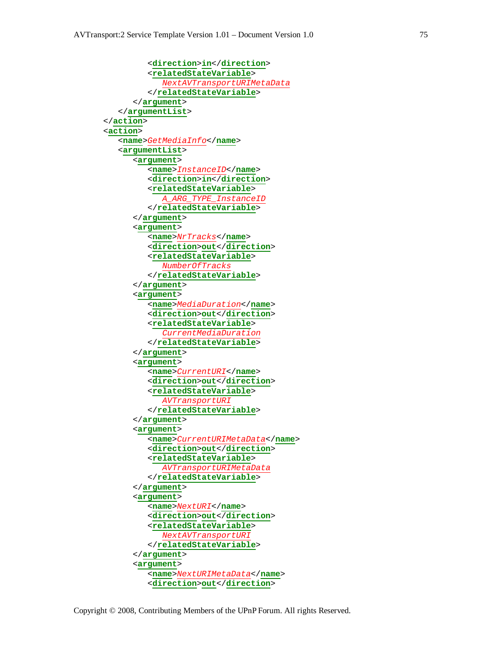```
<direction>in</direction>
         <relatedStateVariable>
            NextAVTransportURIMetaData
         </relatedStateVariable>
      </argument>
   </argumentList>
</action>
<action>
   <name>GetMediaInfo</name>
   <argumentList>
      <argument>
         <name>InstanceID</name>
         <direction>in</direction>
         <relatedStateVariable>
            A_ARG_TYPE_InstanceID
         </relatedStateVariable>
      </argument>
      <argument>
         <name>NrTracks</name>
         <direction>out</direction>
         <relatedStateVariable>
            NumberOfTracks
         </relatedStateVariable>
      </argument>
      <argument>
         <name>MediaDuration</name>
         <direction>out</direction>
         <relatedStateVariable>
            CurrentMediaDuration
         </relatedStateVariable>
      </argument>
      <argument>
         <name>CurrentURI</name>
         <direction>out</direction>
         <relatedStateVariable>
            AVTransportURI
         </relatedStateVariable>
      </argument>
      <argument>
         <name>CurrentURIMetaData</name>
         <direction>out</direction>
         <relatedStateVariable>
            AVTransportURIMetaData
         </relatedStateVariable>
      </argument>
      <argument>
         <name>NextURI</name>
         <direction>out</direction>
         <relatedStateVariable>
            NextAVTransportURI
         </relatedStateVariable>
      </argument>
      <argument>
         <name>NextURIMetaData</name>
         <direction>out</direction>
```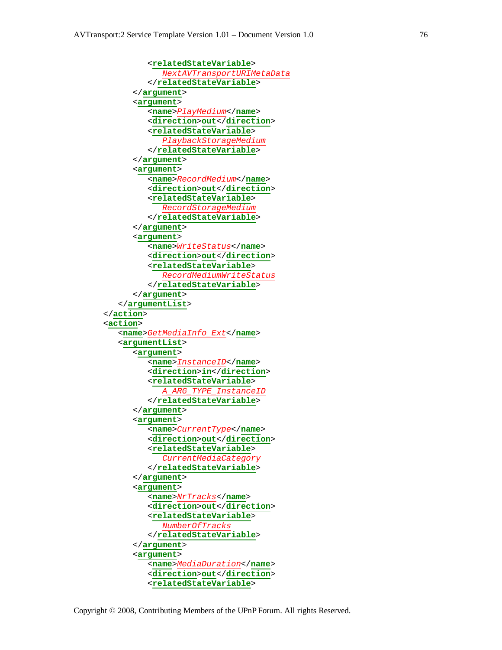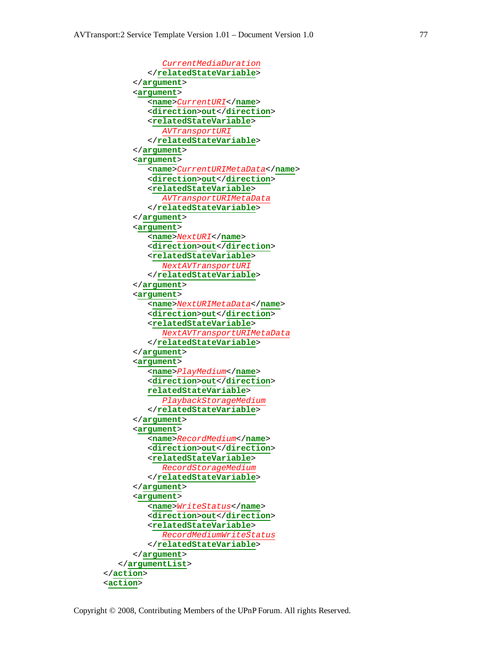



Copyright © 2008, Contributing Members of the UPnP Forum. All rights Reserved.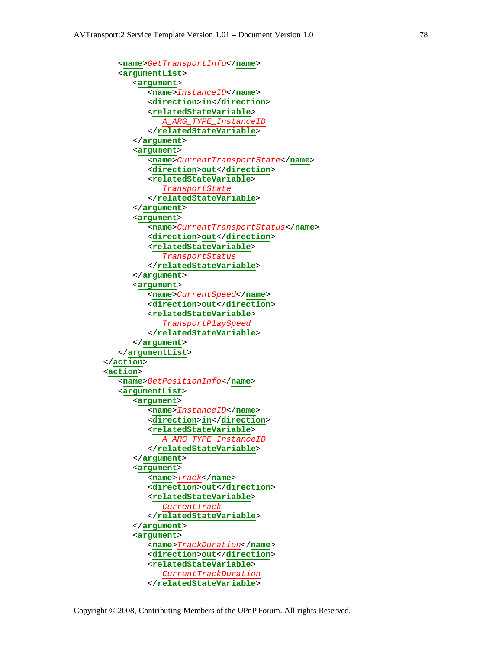```
<name>GetTransportInfo</name>
   <argumentList>
      <argument>
         <name>InstanceID</name>
         <direction>in</direction>
         <relatedStateVariable>
            A_ARG_TYPE_InstanceID
         </relatedStateVariable>
      </argument>
      <argument>
         <name>CurrentTransportState</name>
         <direction>out</direction>
         <relatedStateVariable>
            TransportState
         </relatedStateVariable>
      </argument>
      <argument>
         <name>CurrentTransportStatus</name>
         <direction>out</direction>
         <relatedStateVariable>
            TransportStatus
         </relatedStateVariable>
      </argument>
      <argument>
         <name>CurrentSpeed</name>
         <direction>out</direction>
         <relatedStateVariable>
            TransportPlaySpeed
         </relatedStateVariable>
      </argument>
   </argumentList>
</action>
<action>
   <name>GetPositionInfo</name>
   <argumentList>
      <argument>
         <name>InstanceID</name>
         <direction>in</direction>
         <relatedStateVariable>
            A_ARG_TYPE_InstanceID
         </relatedStateVariable>
      </argument>
      <argument>
         <name>Track</name>
         <direction>out</direction>
         <relatedStateVariable>
            CurrentTrack
         </relatedStateVariable>
      </argument>
      <argument>
         <name>TrackDuration</name>
         <direction>out</direction>
         <relatedStateVariable>
            CurrentTrackDuration
         </relatedStateVariable>
```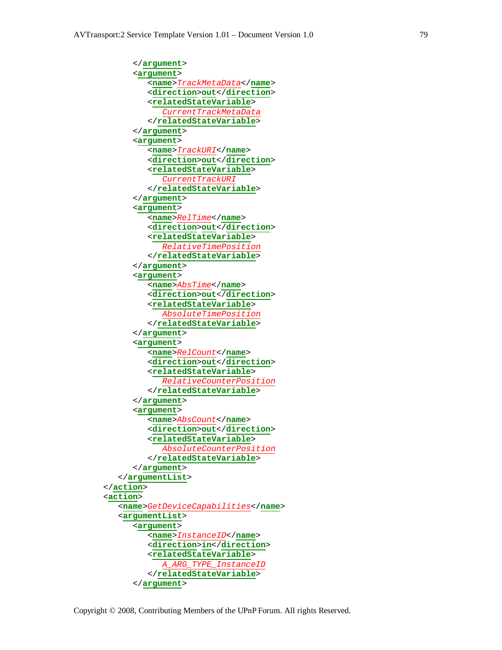```
</argument>
      <argument>
         <name>TrackMetaData</name>
         <direction>out</direction>
         <relatedStateVariable>
            CurrentTrackMetaData
         </relatedStateVariable>
      </argument>
      <argument>
         <name>TrackURI</name>
         <direction>out</direction>
         <relatedStateVariable>
            CurrentTrackURI
         </relatedStateVariable>
      </argument>
      <argument>
         <name>RelTime</name>
         <direction>out</direction>
         <relatedStateVariable>
            RelativeTimePosition
         </relatedStateVariable>
      </argument>
      <argument>
         <name>AbsTime</name>
         <direction>out</direction>
         <relatedStateVariable>
            AbsoluteTimePosition
         </relatedStateVariable>
      </argument>
      <argument>
         <name>RelCount</name>
         <direction>out</direction>
         <relatedStateVariable>
            RelativeCounterPosition
         </relatedStateVariable>
      </argument>
      <argument>
         <name>AbsCount</name>
         <direction>out</direction>
         <relatedStateVariable>
            AbsoluteCounterPosition
         </relatedStateVariable>
      </argument>
   </argumentList>
</action>
<action>
   <name>GetDeviceCapabilities</name>
   <argumentList>
      <argument>
         <name>InstanceID</name>
         <direction>in</direction>
         <relatedStateVariable>
            A_ARG_TYPE_InstanceID
         </relatedStateVariable>
      </argument>
```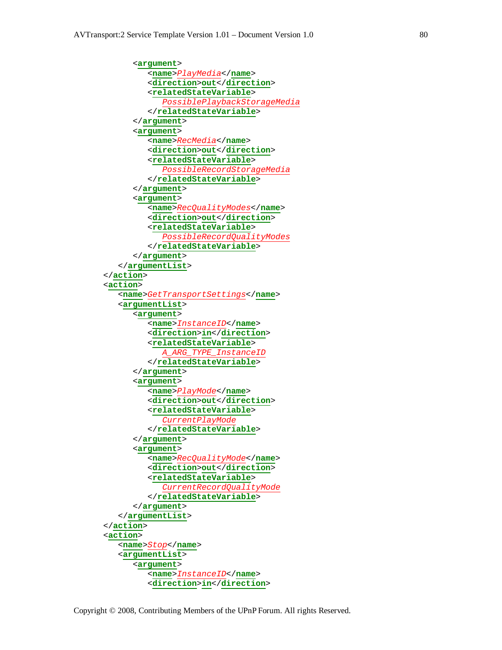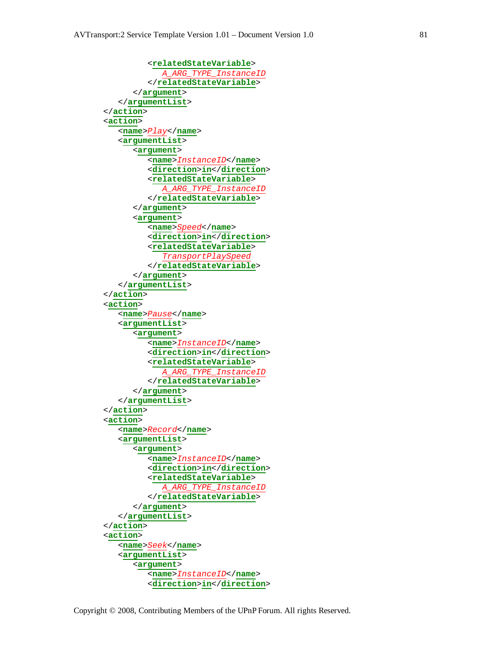</**argument**> </**argumentList**>

</**action**>

```
<relatedStateVariable>
  A_ARG_TYPE_InstanceID
</relatedStateVariable>
```

```
<action>
   <name>Play</name>
   <argumentList>
      <argument>
         <name>InstanceID</name>
         <direction>in</direction>
         <relatedStateVariable>
            A_ARG_TYPE_InstanceID
         </relatedStateVariable>
      </argument>
      <argument>
         <name>Speed</name>
         <direction>in</direction>
         <relatedStateVariable>
            TransportPlaySpeed
         </relatedStateVariable>
      </argument>
   </argumentList>
</action>
<action>
   <name>Pause</name>
   <argumentList>
      <argument>
         <name>InstanceID</name>
         <direction>in</direction>
         <relatedStateVariable>
            A_ARG_TYPE_InstanceID
         </relatedStateVariable>
      </argument>
   </argumentList>
</action>
<action>
   <name>Record</name>
   <argumentList>
      <argument>
         <name>InstanceID</name>
         <direction>in</direction>
         <relatedStateVariable>
            A_ARG_TYPE_InstanceID
         </relatedStateVariable>
      </argument>
   </argumentList>
</action>
<action>
   <name>Seek</name>
   <argumentList>
      <argument>
         <name>InstanceID</name>
         <direction>in</direction>
```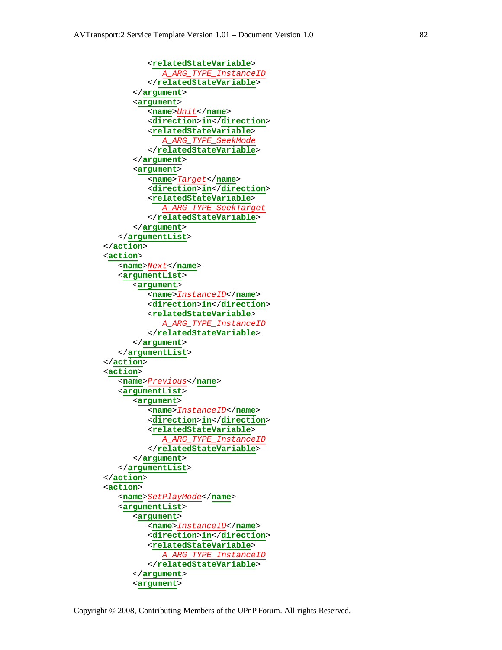```
<relatedStateVariable>
            A_ARG_TYPE_InstanceID
         </relatedStateVariable>
      </argument>
      <argument>
         <name>Unit</name>
         <direction>in</direction>
         <relatedStateVariable>
            A_ARG_TYPE_SeekMode
         </relatedStateVariable>
      </argument>
      <argument>
         <name>Target</name>
         <direction>in</direction>
         <relatedStateVariable>
            A_ARG_TYPE_SeekTarget
         </relatedStateVariable>
      </argument>
   </argumentList>
</action>
<action>
   <name>Next</name>
   <argumentList>
      <argument>
         <name>InstanceID</name>
         <direction>in</direction>
         <relatedStateVariable>
            A_ARG_TYPE_InstanceID
         </relatedStateVariable>
      </argument>
   </argumentList>
</action>
<action>
   <name>Previous</name>
   <argumentList>
      <argument>
         <name>InstanceID</name>
         <direction>in</direction>
         <relatedStateVariable>
            A_ARG_TYPE_InstanceID
         </relatedStateVariable>
      </argument>
   </argumentList>
</action>
<action>
   <name>SetPlayMode</name>
   <argumentList>
      <argument>
         <name>InstanceID</name>
         <direction>in</direction>
         <relatedStateVariable>
            A_ARG_TYPE_InstanceID
         </relatedStateVariable>
      </argument>
      <argument>
```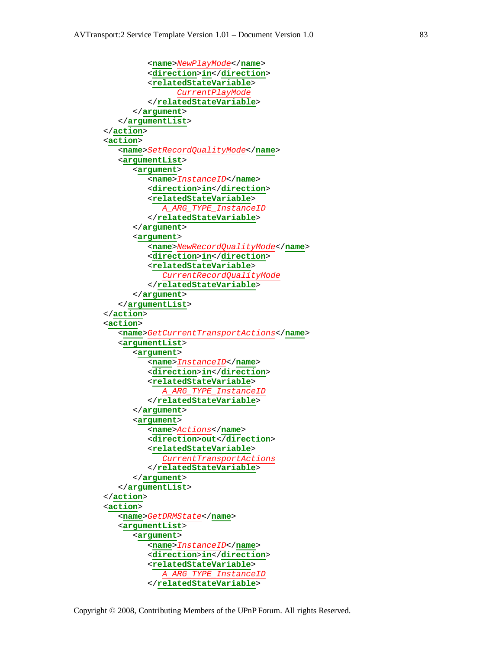```
<name>NewPlayMode</name>
         <direction>in</direction>
         <relatedStateVariable>
               CurrentPlayMode
         </relatedStateVariable>
      </argument>
   </argumentList>
</action>
<action>
   <name>SetRecordQualityMode</name>
   <argumentList>
      <argument>
         <name>InstanceID</name>
         <direction>in</direction>
         <relatedStateVariable>
            A_ARG_TYPE_InstanceID
         </relatedStateVariable>
      </argument>
      <argument>
         <name>NewRecordQualityMode</name>
         <direction>in</direction>
         <relatedStateVariable>
            CurrentRecordQualityMode
         </relatedStateVariable>
      </argument>
   </argumentList>
</action>
<action>
   <name>GetCurrentTransportActions</name>
   <argumentList>
      <argument>
         <name>InstanceID</name>
         <direction>in</direction>
         <relatedStateVariable>
            A_ARG_TYPE_InstanceID
         </relatedStateVariable>
      </argument>
      <argument>
         <name>Actions</name>
         <direction>out</direction>
         <relatedStateVariable>
            CurrentTransportActions
         </relatedStateVariable>
      </argument>
   </argumentList>
</action>
<action>
   <name>GetDRMState</name>
   <argumentList>
      <argument>
         <name>InstanceID</name>
         <direction>in</direction>
         <relatedStateVariable>
            A_ARG_TYPE_InstanceID
         </relatedStateVariable>
```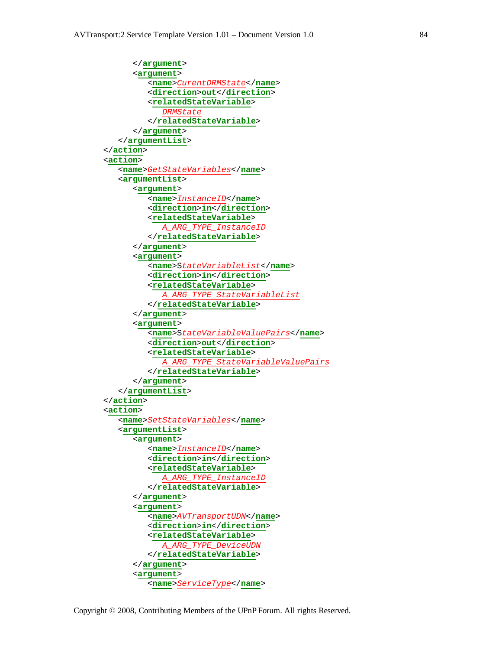```
</argument>
      <argument>
         <name>CurentDRMState</name>
         <direction>out</direction>
         <relatedStateVariable>
            DRMState
         </relatedStateVariable>
      </argument>
   </argumentList>
</action>
<action>
   <name>GetStateVariables</name>
   <argumentList>
      <argument>
         <name>InstanceID</name>
         <direction>in</direction>
         <relatedStateVariable>
            A_ARG_TYPE_InstanceID
         </relatedStateVariable>
      </argument>
      <argument>
         <name>StateVariableList</name>
         <direction>in</direction>
         <relatedStateVariable>
            A_ARG_TYPE_StateVariableList
         </relatedStateVariable>
      </argument>
      <argument>
         <name>StateVariableValuePairs</name>
         <direction>out</direction>
         <relatedStateVariable>
            A_ARG_TYPE_StateVariableValuePairs
         </relatedStateVariable>
      </argument>
   </argumentList>
</action>
<action>
   <name>SetStateVariables</name>
   <argumentList>
      <argument>
         <name>InstanceID</name>
         <direction>in</direction>
         <relatedStateVariable>
            A_ARG_TYPE_InstanceID
         </relatedStateVariable>
      </argument>
      <argument>
         <name>AVTransportUDN</name>
         <direction>in</direction>
         <relatedStateVariable>
            A_ARG_TYPE_DeviceUDN
         </relatedStateVariable>
      </argument>
      <argument>
```
<**name**>*ServiceType*</**name**>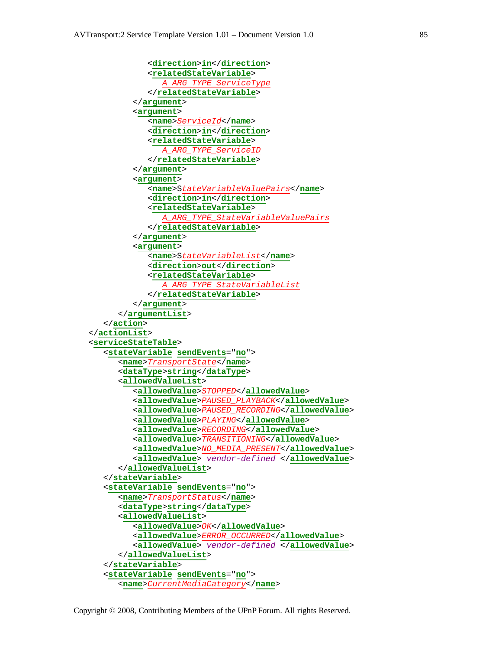```
<direction>in</direction>
            <relatedStateVariable>
               A_ARG_TYPE_ServiceType
            </relatedStateVariable>
         </argument>
         <argument>
            <name>ServiceId</name>
            <direction>in</direction>
            <relatedStateVariable>
               A_ARG_TYPE_ServiceID
            </relatedStateVariable>
         </argument>
         <argument>
            <name>StateVariableValuePairs</name>
            <direction>in</direction>
            <relatedStateVariable>
               A_ARG_TYPE_StateVariableValuePairs
            </relatedStateVariable>
         </argument>
         <argument>
            <name>StateVariableList</name>
            <direction>out</direction>
            <relatedStateVariable>
               A_ARG_TYPE_StateVariableList
            </relatedStateVariable>
         </argument>
      </argumentList>
   </action>
</actionList>
<serviceStateTable>
   <stateVariable sendEvents="no">
      <name>TransportState</name>
      <dataType>string</dataType>
      <allowedValueList>
         <allowedValue>STOPPED</allowedValue>
         <allowedValue>PAUSED_PLAYBACK</allowedValue>
         <allowedValue>PAUSED_RECORDING</allowedValue>
         <allowedValue>PLAYING</allowedValue>
         <allowedValue>RECORDING</allowedValue>
         <allowedValue>TRANSITIONING</allowedValue>
         <allowedValue>NO_MEDIA_PRESENT</allowedValue>
         <allowedValue> vendor-defined </allowedValue>
      </allowedValueList>
   </stateVariable>
   <stateVariable sendEvents="no">
      <name>TransportStatus</name>
      <dataType>string</dataType>
      <allowedValueList>
         <allowedValue>OK</allowedValue>
         <allowedValue>ERROR_OCCURRED</allowedValue>
         <allowedValue> vendor-defined </allowedValue>
      </allowedValueList>
   </stateVariable>
   <stateVariable sendEvents="no">
      <name>CurrentMediaCategory</name>
```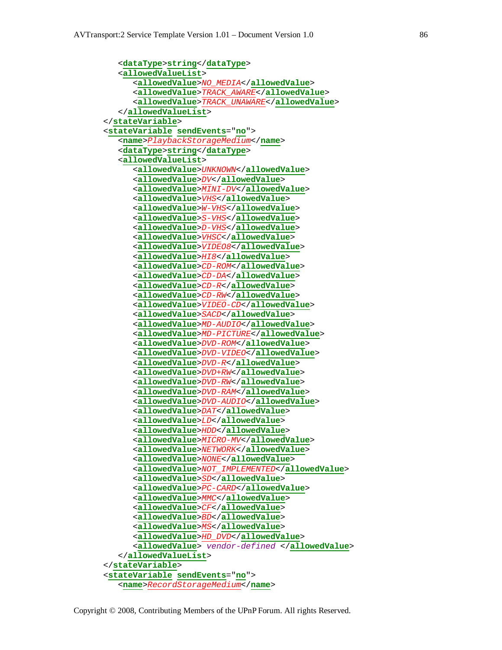```
<dataType>string</dataType>
   <allowedValueList>
      <allowedValue>NO_MEDIA</allowedValue>
      <allowedValue>TRACK_AWARE</allowedValue>
      <allowedValue>TRACK_UNAWARE</allowedValue>
   </allowedValueList>
</stateVariable>
<stateVariable sendEvents="no">
   <name>PlaybackStorageMedium</name>
   <dataType>string</dataType>
   <allowedValueList>
      <allowedValue>UNKNOWN</allowedValue>
      <allowedValue>DV</allowedValue>
      <allowedValue>MINI-DV</allowedValue>
      <allowedValue>VHS</allowedValue>
      <allowedValue>W-VHS</allowedValue>
      <allowedValue>S-VHS</allowedValue>
      <allowedValue>D-VHS</allowedValue>
      <allowedValue>VHSC</allowedValue>
      <allowedValue>VIDEO8</allowedValue>
      <allowedValue>HI8</allowedValue>
      <allowedValue>CD-ROM</allowedValue>
      <allowedValue>CD-DA</allowedValue>
      <allowedValue>CD-R</allowedValue>
      <allowedValue>CD-RW</allowedValue>
      <allowedValue>VIDEO-CD</allowedValue>
      <allowedValue>SACD</allowedValue>
      <allowedValue>MD-AUDIO</allowedValue>
      <allowedValue>MD-PICTURE</allowedValue>
      <allowedValue>DVD-ROM</allowedValue>
      <allowedValue>DVD-VIDEO</allowedValue>
      <allowedValue>DVD-R</allowedValue>
      <allowedValue>DVD+RW</allowedValue>
      <allowedValue>DVD-RW</allowedValue>
      <allowedValue>DVD-RAM</allowedValue>
      <allowedValue>DVD-AUDIO</allowedValue>
      <allowedValue>DAT</allowedValue>
      <allowedValue>LD</allowedValue>
      <allowedValue>HDD</allowedValue>
      <allowedValue>MICRO-MV</allowedValue>
      <allowedValue>NETWORK</allowedValue>
      <allowedValue>NONE</allowedValue>
      <allowedValue>NOT_IMPLEMENTED</allowedValue>
      <allowedValue>SD</allowedValue>
      <allowedValue>PC-CARD</allowedValue>
      <allowedValue>MMC</allowedValue>
      <allowedValue>CF</allowedValue>
      <allowedValue>BD</allowedValue>
      <allowedValue>MS</allowedValue>
      <allowedValue>HD_DVD</allowedValue>
      <allowedValue> vendor-defined </allowedValue>
   </allowedValueList>
</stateVariable>
<stateVariable sendEvents="no">
   <name>RecordStorageMedium</name>
```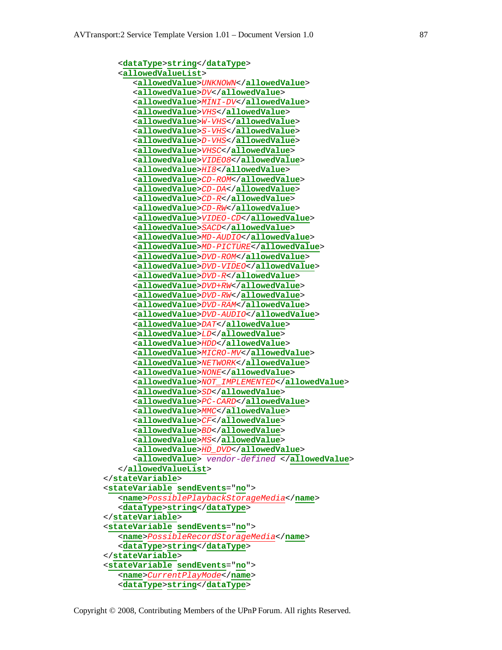```
<dataType>string</dataType>
   <allowedValueList>
      <allowedValue>UNKNOWN</allowedValue>
      <allowedValue>DV</allowedValue>
      <allowedValue>MINI-DV</allowedValue>
      <allowedValue>VHS</allowedValue>
      <allowedValue>W-VHS</allowedValue>
      <allowedValue>S-VHS</allowedValue>
      <allowedValue>D-VHS</allowedValue>
      <allowedValue>VHSC</allowedValue>
      <allowedValue>VIDEO8</allowedValue>
      <allowedValue>HI8</allowedValue>
      <allowedValue>CD-ROM</allowedValue>
      <allowedValue>CD-DA</allowedValue>
      <allowedValue>CD-R</allowedValue>
      <allowedValue>CD-RW</allowedValue>
      <allowedValue>VIDEO-CD</allowedValue>
      <allowedValue>SACD</allowedValue>
      <allowedValue>MD-AUDIO</allowedValue>
      <allowedValue>MD-PICTURE</allowedValue>
      <allowedValue>DVD-ROM</allowedValue>
      <allowedValue>DVD-VIDEO</allowedValue>
      <allowedValue>DVD-R</allowedValue>
      <allowedValue>DVD+RW</allowedValue>
      <allowedValue>DVD-RW</allowedValue>
      <allowedValue>DVD-RAM</allowedValue>
      <allowedValue>DVD-AUDIO</allowedValue>
      <allowedValue>DAT</allowedValue>
      <allowedValue>LD</allowedValue>
      <allowedValue>HDD</allowedValue>
      <allowedValue>MICRO-MV</allowedValue>
      <allowedValue>NETWORK</allowedValue>
      <allowedValue>NONE</allowedValue>
      <allowedValue>NOT_IMPLEMENTED</allowedValue>
      <allowedValue>SD</allowedValue>
      <allowedValue>PC-CARD</allowedValue>
      <allowedValue>MMC</allowedValue>
      <allowedValue>CF</allowedValue>
      <allowedValue>BD</allowedValue>
      <allowedValue>MS</allowedValue>
      <allowedValue>HD_DVD</allowedValue>
      <allowedValue> vendor-defined </allowedValue>
   </allowedValueList>
</stateVariable>
<stateVariable sendEvents="no">
   <name>PossiblePlaybackStorageMedia</name>
   <dataType>string</dataType>
</stateVariable>
<stateVariable sendEvents="no">
   <name>PossibleRecordStorageMedia</name>
   <dataType>string</dataType>
</stateVariable>
<stateVariable sendEvents="no">
   <name>CurrentPlayMode</name>
   <dataType>string</dataType>
```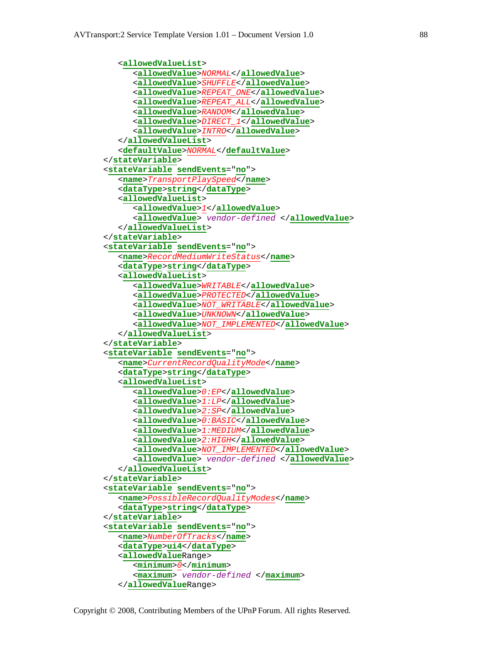```
<allowedValueList>
      <allowedValue>NORMAL</allowedValue>
      <allowedValue>SHUFFLE</allowedValue>
      <allowedValue>REPEAT_ONE</allowedValue>
      <allowedValue>REPEAT_ALL</allowedValue>
      <allowedValue>RANDOM</allowedValue>
      <allowedValue>DIRECT_1</allowedValue>
      <allowedValue>INTRO</allowedValue>
   </allowedValueList>
   <defaultValue>NORMAL</defaultValue>
</stateVariable>
<stateVariable sendEvents="no">
   <name>TransportPlaySpeed</name>
   <dataType>string</dataType>
   <allowedValueList>
      <allowedValue>1</allowedValue>
      <allowedValue> vendor-defined </allowedValue>
   </allowedValueList>
</stateVariable>
<stateVariable sendEvents="no">
   <name>RecordMediumWriteStatus</name>
   <dataType>string</dataType>
   <allowedValueList>
      <allowedValue>WRITABLE</allowedValue>
      <allowedValue>PROTECTED</allowedValue>
      <allowedValue>NOT_WRITABLE</allowedValue>
      <allowedValue>UNKNOWN</allowedValue>
      <allowedValue>NOT_IMPLEMENTED</allowedValue>
   </allowedValueList>
</stateVariable>
<stateVariable sendEvents="no">
   <name>CurrentRecordQualityMode</name>
   <dataType>string</dataType>
   <allowedValueList>
      <allowedValue>0:EP</allowedValue>
      <allowedValue>1:LP</allowedValue>
      <allowedValue>2:SP</allowedValue>
      <allowedValue>0:BASIC</allowedValue>
      <allowedValue>1:MEDIUM</allowedValue>
      <allowedValue>2:HIGH</allowedValue>
      <allowedValue>NOT_IMPLEMENTED</allowedValue>
      <allowedValue> vendor-defined </allowedValue>
   </allowedValueList>
</stateVariable>
<stateVariable sendEvents="no">
   <name>PossibleRecordQualityModes</name>
   <dataType>string</dataType>
</stateVariable>
<stateVariable sendEvents="no">
   <name>NumberOfTracks</name>
   <dataType>ui4</dataType>
   <allowedValueRange>
      <minimum>0</minimum>
      <maximum> vendor-defined </maximum>
   </allowedValueRange>
```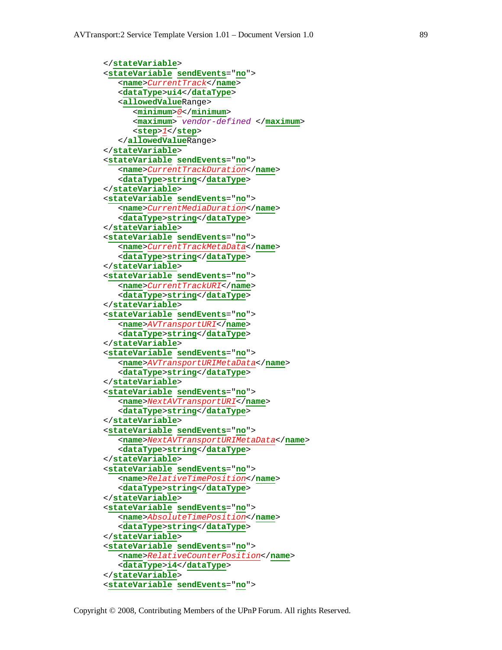```
</stateVariable>
<stateVariable sendEvents="no">
   <name>CurrentTrack</name>
   <dataType>ui4</dataType>
   <allowedValueRange>
      <minimum>0</minimum>
      <maximum> vendor-defined </maximum>
      <step>1</step>
   </allowedValueRange>
</stateVariable>
<stateVariable sendEvents="no">
   <name>CurrentTrackDuration</name>
   <dataType>string</dataType>
</stateVariable>
<stateVariable sendEvents="no">
   <name>CurrentMediaDuration</name>
   <dataType>string</dataType>
</stateVariable>
<stateVariable sendEvents="no">
   <name>CurrentTrackMetaData</name>
   <dataType>string</dataType>
</stateVariable>
<stateVariable sendEvents="no">
   <name>CurrentTrackURI</name>
   <dataType>string</dataType>
</stateVariable>
<stateVariable sendEvents="no">
   <name>AVTransportURI</name>
   <dataType>string</dataType>
</stateVariable>
<stateVariable sendEvents="no">
   <name>AVTransportURIMetaData</name>
   <dataType>string</dataType>
</stateVariable>
<stateVariable sendEvents="no">
   <name>NextAVTransportURI</name>
   <dataType>string</dataType>
</stateVariable>
<stateVariable sendEvents="no">
   <name>NextAVTransportURIMetaData</name>
   <dataType>string</dataType>
</stateVariable>
<stateVariable sendEvents="no">
   <name>RelativeTimePosition</name>
   <dataType>string</dataType>
</stateVariable>
<stateVariable sendEvents="no">
   <name>AbsoluteTimePosition</name>
   <dataType>string</dataType>
</stateVariable>
<stateVariable sendEvents="no">
   <name>RelativeCounterPosition</name>
   <dataType>i4</dataType>
</stateVariable>
<stateVariable sendEvents="no">
```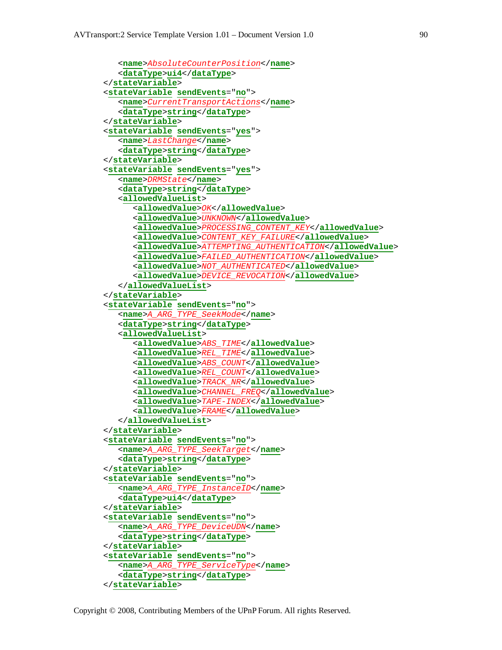```
<name>AbsoluteCounterPosition</name>
   <dataType>ui4</dataType>
</stateVariable>
<stateVariable sendEvents="no">
   <name>CurrentTransportActions</name>
   <dataType>string</dataType>
</stateVariable>
<stateVariable sendEvents="yes">
   <name>LastChange</name>
   <dataType>string</dataType>
</stateVariable>
<stateVariable sendEvents="yes">
   <name>DRMState</name>
   <dataType>string</dataType>
   <allowedValueList>
      <allowedValue>OK</allowedValue>
      <allowedValue>UNKNOWN</allowedValue>
      <allowedValue>PROCESSING_CONTENT_KEY</allowedValue>
      <allowedValue>CONTENT_KEY_FAILURE</allowedValue>
      <allowedValue>ATTEMPTING_AUTHENTICATION</allowedValue>
      <allowedValue>FAILED_AUTHENTICATION</allowedValue>
      <allowedValue>NOT_AUTHENTICATED</allowedValue>
      <allowedValue>DEVICE_REVOCATION</allowedValue>
   </allowedValueList>
</stateVariable>
<stateVariable sendEvents="no">
   <name>A_ARG_TYPE_SeekMode</name>
   <dataType>string</dataType>
   <allowedValueList>
      <allowedValue>ABS_TIME</allowedValue>
      <allowedValue>REL_TIME</allowedValue>
      <allowedValue>ABS_COUNT</allowedValue>
      <allowedValue>REL_COUNT</allowedValue>
      <allowedValue>TRACK_NR</allowedValue>
      <allowedValue>CHANNEL_FREQ</allowedValue>
      <allowedValue>TAPE-INDEX</allowedValue>
      <allowedValue>FRAME</allowedValue>
   </allowedValueList>
</stateVariable>
<stateVariable sendEvents="no">
   <name>A_ARG_TYPE_SeekTarget</name>
   <dataType>string</dataType>
</stateVariable>
<stateVariable sendEvents="no">
   <name>A_ARG_TYPE_InstanceID</name>
   <dataType>ui4</dataType>
</stateVariable>
<stateVariable sendEvents="no">
   <name>A_ARG_TYPE_DeviceUDN</name>
   <dataType>string</dataType>
</stateVariable>
<stateVariable sendEvents="no">
   <name>A_ARG_TYPE_ServiceType</name>
   <dataType>string</dataType>
</stateVariable>
```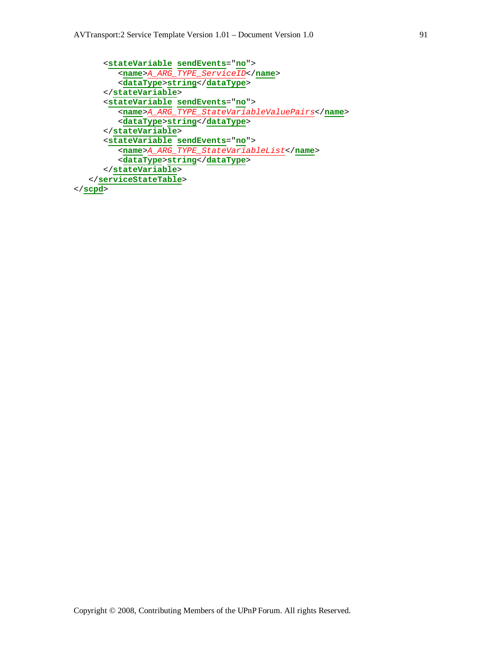```
<stateVariable sendEvents="no">
         <name>A_ARG_TYPE_ServiceID</name>
         <dataType>string</dataType>
      </stateVariable>
      <stateVariable sendEvents="no">
         <name>A_ARG_TYPE_StateVariableValuePairs</name>
         <dataType>string</dataType>
      </stateVariable>
      <stateVariable sendEvents="no">
         <name>A_ARG_TYPE_StateVariableList</name>
         <dataType>string</dataType>
      </stateVariable>
  </serviceStateTable>
</scpd>
```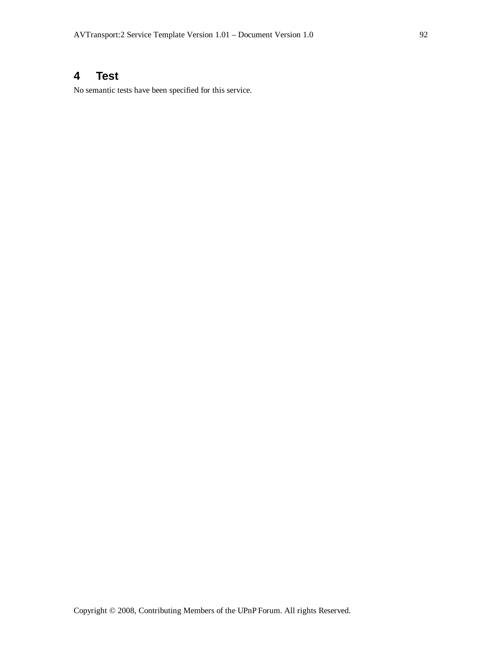# **4 Test**

No semantic tests have been specified for this service.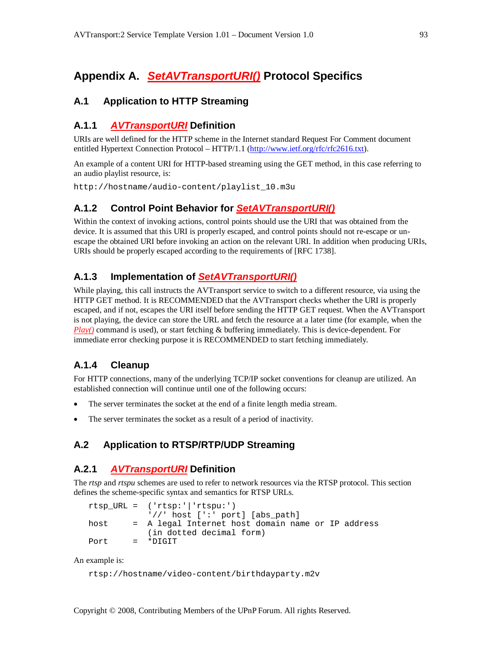# **Appendix A.** *SetAVTransportURI()* **Protocol Specifics**

# **A.1 Application to HTTP Streaming**

# **A.1.1** *AVTransportURI* **Definition**

URIs are well defined for the HTTP scheme in the Internet standard Request For Comment document entitled Hypertext Connection Protocol – HTTP/1.1 (http://www.ietf.org/rfc/rfc2616.txt).

An example of a content URI for HTTP-based streaming using the GET method, in this case referring to an audio playlist resource, is:

http://hostname/audio-content/playlist\_10.m3u

# **A.1.2 Control Point Behavior for** *SetAVTransportURI()*

Within the context of invoking actions, control points should use the URI that was obtained from the device. It is assumed that this URI is properly escaped, and control points should not re-escape or unescape the obtained URI before invoking an action on the relevant URI. In addition when producing URIs, URIs should be properly escaped according to the requirements of [RFC 1738].

# **A.1.3 Implementation of** *SetAVTransportURI()*

While playing, this call instructs the AVTransport service to switch to a different resource, via using the HTTP GET method. It is RECOMMENDED that the AVTransport checks whether the URI is properly escaped, and if not, escapes the URI itself before sending the HTTP GET request. When the AVTransport is not playing, the device can store the URL and fetch the resource at a later time (for example, when the *Play()* command is used), or start fetching & buffering immediately. This is device-dependent. For immediate error checking purpose it is RECOMMENDED to start fetching immediately.

# **A.1.4 Cleanup**

For HTTP connections, many of the underlying TCP/IP socket conventions for cleanup are utilized. An established connection will continue until one of the following occurs:

- The server terminates the socket at the end of a finite length media stream.
- The server terminates the socket as a result of a period of inactivity.

# **A.2 Application to RTSP/RTP/UDP Streaming**

## **A.2.1** *AVTransportURI* **Definition**

The *rtsp* and *rtspu* schemes are used to refer to network resources via the RTSP protocol. This section defines the scheme-specific syntax and semantics for RTSP URLs.

```
rtsp_URL = ('rtsp:'|'rtspu:')
           '//' host [':' port] [abs_path]
host = A legal Internet host domain name or IP address
           (in dotted decimal form)
Port = *DIGIT
```
An example is:

```
rtsp://hostname/video-content/birthdayparty.m2v
```
Copyright © 2008, Contributing Members of the UPnP Forum. All rights Reserved.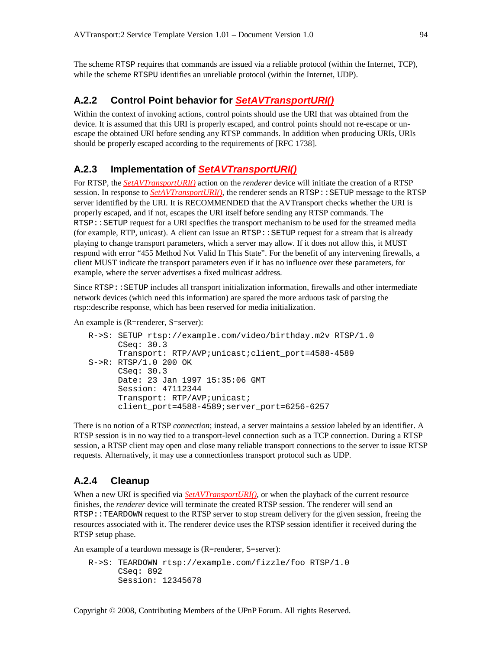The scheme RTSP requires that commands are issued via a reliable protocol (within the Internet, TCP), while the scheme RTSPU identifies an unreliable protocol (within the Internet, UDP).

#### **A.2.2 Control Point behavior for** *SetAVTransportURI()*

Within the context of invoking actions, control points should use the URI that was obtained from the device. It is assumed that this URI is properly escaped, and control points should not re-escape or unescape the obtained URI before sending any RTSP commands. In addition when producing URIs, URIs should be properly escaped according to the requirements of [RFC 1738].

## **A.2.3 Implementation of** *SetAVTransportURI()*

For RTSP, the *SetAVTransportURI()* action on the *renderer* device will initiate the creation of a RTSP session. In response to *SetAVTransportURI()*, the renderer sends an RTSP:: SETUP message to the RTSP server identified by the URI. It is RECOMMENDED that the AVTransport checks whether the URI is properly escaped, and if not, escapes the URI itself before sending any RTSP commands. The RTSP::SETUP request for a URI specifies the transport mechanism to be used for the streamed media (for example, RTP, unicast). A client can issue an  $RTSP:$ : SETUP request for a stream that is already playing to change transport parameters, which a server may allow. If it does not allow this, it MUST respond with error "455 Method Not Valid In This State". For the benefit of any intervening firewalls, a client MUST indicate the transport parameters even if it has no influence over these parameters, for example, where the server advertises a fixed multicast address.

Since  $RTSP::SETUP$  includes all transport initialization information, firewalls and other intermediate network devices (which need this information) are spared the more arduous task of parsing the rtsp::describe response, which has been reserved for media initialization.

An example is (R=renderer, S=server):

```
R->S: SETUP rtsp://example.com/video/birthday.m2v RTSP/1.0
     CSeq: 30.3
     Transport: RTP/AVP;unicast;client_port=4588-4589
S->R: RTSP/1.0 200 OK
     CSeq: 30.3
     Date: 23 Jan 1997 15:35:06 GMT
      Session: 47112344
      Transport: RTP/AVP;unicast;
      client_port=4588-4589;server_port=6256-6257
```
There is no notion of a RTSP *connection*; instead, a server maintains a *session* labeled by an identifier. A RTSP session is in no way tied to a transport-level connection such as a TCP connection. During a RTSP session, a RTSP client may open and close many reliable transport connections to the server to issue RTSP requests. Alternatively, it may use a connectionless transport protocol such as UDP.

#### **A.2.4 Cleanup**

When a new URI is specified via **SetAVTransportURI()**, or when the playback of the current resource finishes, the *renderer* device will terminate the created RTSP session. The renderer will send an RTSP::TEARDOWN request to the RTSP server to stop stream delivery for the given session, freeing the resources associated with it. The renderer device uses the RTSP session identifier it received during the RTSP setup phase.

An example of a teardown message is (R=renderer, S=server):

R->S: TEARDOWN rtsp://example.com/fizzle/foo RTSP/1.0 CSeq: 892 Session: 12345678

Copyright © 2008, Contributing Members of the UPnP Forum. All rights Reserved.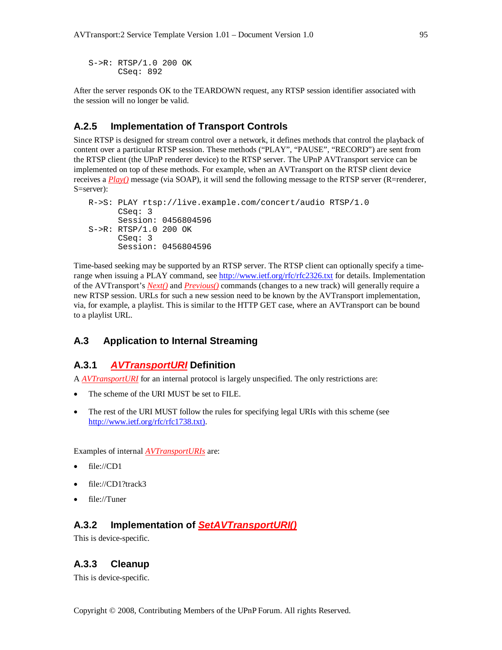S->R: RTSP/1.0 200 OK CSeq: 892

After the server responds OK to the TEARDOWN request, any RTSP session identifier associated with the session will no longer be valid.

## **A.2.5 Implementation of Transport Controls**

Since RTSP is designed for stream control over a network, it defines methods that control the playback of content over a particular RTSP session. These methods ("PLAY", "PAUSE", "RECORD") are sent from the RTSP client (the UPnP renderer device) to the RTSP server. The UPnP AVTransport service can be implemented on top of these methods. For example, when an AVTransport on the RTSP client device receives a *Play()* message (via SOAP), it will send the following message to the RTSP server (R=renderer, S=server):

```
R->S: PLAY rtsp://live.example.com/concert/audio RTSP/1.0
      CSeq: 3
      Session: 0456804596
S->R: RTSP/1.0 200 OK
      CSeq: 3
      Session: 0456804596
```
Time-based seeking may be supported by an RTSP server. The RTSP client can optionally specify a timerange when issuing a PLAY command, see http://www.ietf.org/rfc/rfc2326.txt for details. Implementation of the AVTransport's *Next()* and *Previous()* commands (changes to a new track) will generally require a new RTSP session. URLs for such a new session need to be known by the AVTransport implementation, via, for example, a playlist. This is similar to the HTTP GET case, where an AVTransport can be bound to a playlist URL.

## **A.3 Application to Internal Streaming**

## **A.3.1** *AVTransportURI* **Definition**

A *AVTransportURI* for an internal protocol is largely unspecified. The only restrictions are:

- The scheme of the URI MUST be set to FILE.
- The rest of the URI MUST follow the rules for specifying legal URIs with this scheme (see http://www.ietf.org/rfc/rfc1738.txt).

Examples of internal *AVTransportURIs* are:

- file://CD1
- file://CD1?track3
- file://Tuner

## **A.3.2 Implementation of** *SetAVTransportURI()*

This is device-specific.

#### **A.3.3 Cleanup**

This is device-specific.